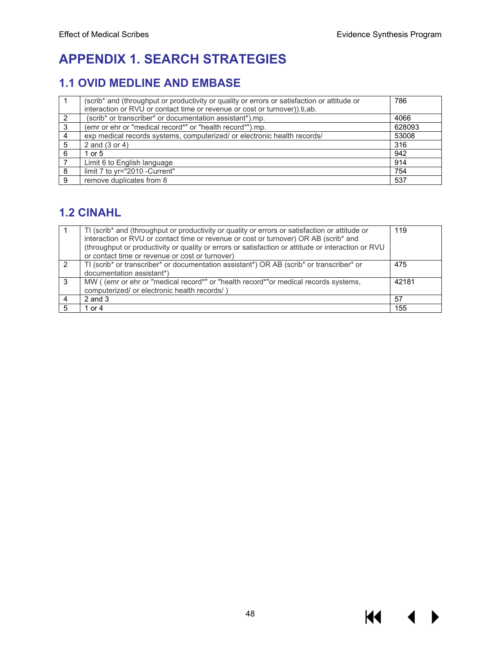**K4** 

▶

# **APPENDIX 1. SEARCH STRATEGIES**

## **1.1 OVID MEDLINE AND EMBASE**

|               | (scrib* and (throughput or productivity or quality or errors or satisfaction or attitude or | 786    |
|---------------|---------------------------------------------------------------------------------------------|--------|
|               | interaction or RVU or contact time or revenue or cost or turnover)).ti,ab.                  |        |
| $\mathcal{P}$ | (scrib* or transcriber* or documentation assistant*).mp.                                    | 4066   |
| 3             | (emr or ehr or "medical record*" or "health record*").mp.                                   | 628093 |
| 4             | exp medical records systems, computerized/ or electronic health records/                    | 53008  |
| 5             | 2 and (3 or 4)                                                                              | 316    |
| 6             | 1 or $5$                                                                                    | 942    |
|               | Limit 6 to English language                                                                 | 914    |
| 8             | limit 7 to yr="2010 -Current"                                                               | 754    |
| 9             | remove duplicates from 8                                                                    | 537    |

## **1.2 CINAHL**

|               | TI (scrib* and (throughput or productivity or quality or errors or satisfaction or attitude or     | 119   |
|---------------|----------------------------------------------------------------------------------------------------|-------|
|               | interaction or RVU or contact time or revenue or cost or turnover) OR AB (scrib* and               |       |
|               | (throughput or productivity or quality or errors or satisfaction or attitude or interaction or RVU |       |
|               | or contact time or revenue or cost or turnover)                                                    |       |
|               | TI (scrib* or transcriber* or documentation assistant*) OR AB (scrib* or transcriber* or           | 475   |
|               | documentation assistant*)                                                                          |       |
| $\mathcal{B}$ | MW (emr or ehr or "medical record*" or "health record*"or medical records systems,                 | 42181 |
|               | computerized/ or electronic health records/)                                                       |       |
|               | $2$ and $3$                                                                                        | 57    |
| 5             | or $4$                                                                                             | 155   |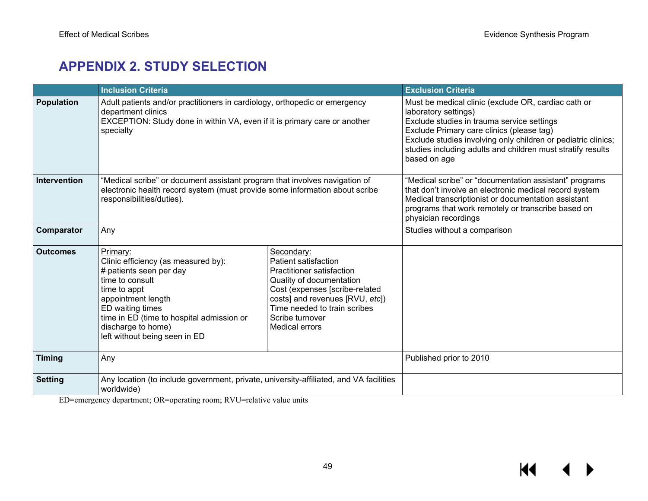# **APPENDIX 2. STUDY SELECTION**

|                     | <b>Inclusion Criteria</b>                                                                                                                                                                                                                                                                                                                                                                                                                                                                                   |                                                                                                                                                                                                                                                                                                                        | <b>Exclusion Criteria</b>    |
|---------------------|-------------------------------------------------------------------------------------------------------------------------------------------------------------------------------------------------------------------------------------------------------------------------------------------------------------------------------------------------------------------------------------------------------------------------------------------------------------------------------------------------------------|------------------------------------------------------------------------------------------------------------------------------------------------------------------------------------------------------------------------------------------------------------------------------------------------------------------------|------------------------------|
| <b>Population</b>   | Adult patients and/or practitioners in cardiology, orthopedic or emergency<br>department clinics<br>EXCEPTION: Study done in within VA, even if it is primary care or another<br>specialty                                                                                                                                                                                                                                                                                                                  | Must be medical clinic (exclude OR, cardiac cath or<br>laboratory settings)<br>Exclude studies in trauma service settings<br>Exclude Primary care clinics (please tag)<br>Exclude studies involving only children or pediatric clinics;<br>studies including adults and children must stratify results<br>based on age |                              |
| <b>Intervention</b> | "Medical scribe" or document assistant program that involves navigation of<br>electronic health record system (must provide some information about scribe<br>responsibilities/duties).                                                                                                                                                                                                                                                                                                                      | "Medical scribe" or "documentation assistant" programs<br>that don't involve an electronic medical record system<br>Medical transcriptionist or documentation assistant<br>programs that work remotely or transcribe based on<br>physician recordings                                                                  |                              |
| Comparator          | Any                                                                                                                                                                                                                                                                                                                                                                                                                                                                                                         |                                                                                                                                                                                                                                                                                                                        | Studies without a comparison |
| <b>Outcomes</b>     | Primary:<br>Secondary:<br><b>Patient satisfaction</b><br>Clinic efficiency (as measured by):<br># patients seen per day<br>Practitioner satisfaction<br>time to consult<br>Quality of documentation<br>Cost (expenses [scribe-related<br>time to appt<br>costs] and revenues [RVU, etc])<br>appointment length<br>Time needed to train scribes<br>ED waiting times<br>time in ED (time to hospital admission or<br>Scribe turnover<br>discharge to home)<br>Medical errors<br>left without being seen in ED |                                                                                                                                                                                                                                                                                                                        |                              |
| <b>Timing</b>       | Any                                                                                                                                                                                                                                                                                                                                                                                                                                                                                                         | Published prior to 2010                                                                                                                                                                                                                                                                                                |                              |
| <b>Setting</b>      | Any location (to include government, private, university-affiliated, and VA facilities<br>worldwide)                                                                                                                                                                                                                                                                                                                                                                                                        |                                                                                                                                                                                                                                                                                                                        |                              |

ED=emergency department; OR=operating room; RVU=relative value units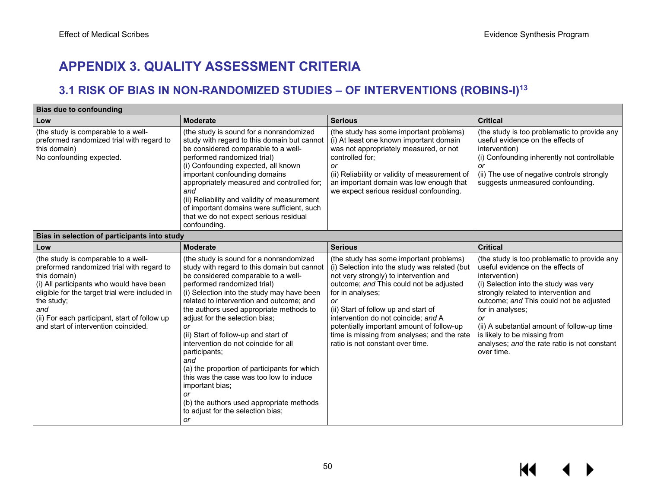# **APPENDIX 3. QUALITY ASSESSMENT CRITERIA**

## **3.1 RISK OF BIAS IN NON-RANDOMIZED STUDIES – OF INTERVENTIONS (ROBINS-I)13**

| <b>Bias due to confounding</b>                                                                                                                                                                                                                                                                               |                                                                                                                                                                                                                                                                                                                                                                                                                                                                                                                                                                                                                                                              |                                                                                                                                                                                                                                                                                                                                                                                                                        |                                                                                                                                                                                                                                                                                                                                                                                                       |  |  |  |  |  |
|--------------------------------------------------------------------------------------------------------------------------------------------------------------------------------------------------------------------------------------------------------------------------------------------------------------|--------------------------------------------------------------------------------------------------------------------------------------------------------------------------------------------------------------------------------------------------------------------------------------------------------------------------------------------------------------------------------------------------------------------------------------------------------------------------------------------------------------------------------------------------------------------------------------------------------------------------------------------------------------|------------------------------------------------------------------------------------------------------------------------------------------------------------------------------------------------------------------------------------------------------------------------------------------------------------------------------------------------------------------------------------------------------------------------|-------------------------------------------------------------------------------------------------------------------------------------------------------------------------------------------------------------------------------------------------------------------------------------------------------------------------------------------------------------------------------------------------------|--|--|--|--|--|
| Low                                                                                                                                                                                                                                                                                                          | <b>Moderate</b>                                                                                                                                                                                                                                                                                                                                                                                                                                                                                                                                                                                                                                              | <b>Serious</b>                                                                                                                                                                                                                                                                                                                                                                                                         | <b>Critical</b>                                                                                                                                                                                                                                                                                                                                                                                       |  |  |  |  |  |
| (the study is comparable to a well-<br>preformed randomized trial with regard to<br>this domain)<br>No confounding expected.                                                                                                                                                                                 | (the study is sound for a nonrandomized<br>study with regard to this domain but cannot<br>be considered comparable to a well-<br>performed randomized trial)<br>(i) Confounding expected, all known<br>important confounding domains<br>appropriately measured and controlled for;<br>and<br>(ii) Reliability and validity of measurement<br>of important domains were sufficient, such<br>that we do not expect serious residual<br>confounding.                                                                                                                                                                                                            | (the study has some important problems)<br>(i) At least one known important domain<br>was not appropriately measured, or not<br>controlled for;<br>or<br>(ii) Reliability or validity of measurement of<br>an important domain was low enough that<br>we expect serious residual confounding.                                                                                                                          | (the study is too problematic to provide any<br>useful evidence on the effects of<br>intervention)<br>(i) Confounding inherently not controllable<br>or<br>(ii) The use of negative controls strongly<br>suggests unmeasured confounding.                                                                                                                                                             |  |  |  |  |  |
| Bias in selection of participants into study                                                                                                                                                                                                                                                                 |                                                                                                                                                                                                                                                                                                                                                                                                                                                                                                                                                                                                                                                              |                                                                                                                                                                                                                                                                                                                                                                                                                        |                                                                                                                                                                                                                                                                                                                                                                                                       |  |  |  |  |  |
| Low                                                                                                                                                                                                                                                                                                          | <b>Moderate</b>                                                                                                                                                                                                                                                                                                                                                                                                                                                                                                                                                                                                                                              | <b>Serious</b>                                                                                                                                                                                                                                                                                                                                                                                                         | <b>Critical</b>                                                                                                                                                                                                                                                                                                                                                                                       |  |  |  |  |  |
| (the study is comparable to a well-<br>preformed randomized trial with regard to<br>this domain)<br>(i) All participants who would have been<br>eligible for the target trial were included in<br>the study;<br>and<br>(ii) For each participant, start of follow up<br>and start of intervention coincided. | (the study is sound for a nonrandomized<br>study with regard to this domain but cannot<br>be considered comparable to a well-<br>performed randomized trial)<br>(i) Selection into the study may have been<br>related to intervention and outcome; and<br>the authors used appropriate methods to<br>adjust for the selection bias;<br>or<br>(ii) Start of follow-up and start of<br>intervention do not coincide for all<br>participants;<br>and<br>(a) the proportion of participants for which<br>this was the case was too low to induce<br>important bias;<br>or<br>(b) the authors used appropriate methods<br>to adjust for the selection bias;<br>or | (the study has some important problems)<br>(i) Selection into the study was related (but<br>not very strongly) to intervention and<br>outcome; and This could not be adjusted<br>for in analyses;<br>or<br>(ii) Start of follow up and start of<br>intervention do not coincide; and A<br>potentially important amount of follow-up<br>time is missing from analyses; and the rate<br>ratio is not constant over time. | (the study is too problematic to provide any<br>useful evidence on the effects of<br>intervention)<br>(i) Selection into the study was very<br>strongly related to intervention and<br>outcome; and This could not be adjusted<br>for in analyses;<br>or<br>(ii) A substantial amount of follow-up time<br>is likely to be missing from<br>analyses; and the rate ratio is not constant<br>over time. |  |  |  |  |  |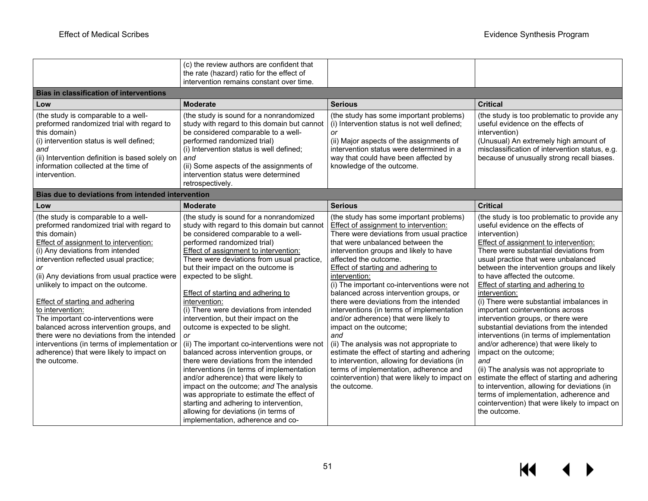| <b>Bias in classification of interventions</b><br>Low<br>(the study is comparable to a well-<br>preformed randomized trial with regard to<br>this domain)<br>(i) intervention status is well defined;<br>and<br>(ii) Intervention definition is based solely on<br>information collected at the time of<br>intervention.                                                                                                                                                                                                                                                                                                       | (c) the review authors are confident that<br>the rate (hazard) ratio for the effect of<br>intervention remains constant over time.<br><b>Moderate</b><br>(the study is sound for a nonrandomized<br>study with regard to this domain but cannot<br>be considered comparable to a well-<br>performed randomized trial)<br>(i) Intervention status is well defined;<br>and<br>(ii) Some aspects of the assignments of<br>intervention status were determined                                                                                                                                                                                                                                                                                                                                                                                                                                                                                                         | <b>Serious</b><br>(the study has some important problems)<br>(i) Intervention status is not well defined;<br>or<br>(ii) Major aspects of the assignments of<br>intervention status were determined in a<br>way that could have been affected by<br>knowledge of the outcome.                                                                                                                                                                                                                                                                                                                                                                                                                                                                                                                                   | <b>Critical</b><br>(the study is too problematic to provide any<br>useful evidence on the effects of<br>intervention)<br>(Unusual) An extremely high amount of<br>misclassification of intervention status, e.g.<br>because of unusually strong recall biases.                                                                                                                                                                                                                                                                                                                                                                                                                                                                                                                                                                                                                                                     |  |  |  |
|--------------------------------------------------------------------------------------------------------------------------------------------------------------------------------------------------------------------------------------------------------------------------------------------------------------------------------------------------------------------------------------------------------------------------------------------------------------------------------------------------------------------------------------------------------------------------------------------------------------------------------|--------------------------------------------------------------------------------------------------------------------------------------------------------------------------------------------------------------------------------------------------------------------------------------------------------------------------------------------------------------------------------------------------------------------------------------------------------------------------------------------------------------------------------------------------------------------------------------------------------------------------------------------------------------------------------------------------------------------------------------------------------------------------------------------------------------------------------------------------------------------------------------------------------------------------------------------------------------------|----------------------------------------------------------------------------------------------------------------------------------------------------------------------------------------------------------------------------------------------------------------------------------------------------------------------------------------------------------------------------------------------------------------------------------------------------------------------------------------------------------------------------------------------------------------------------------------------------------------------------------------------------------------------------------------------------------------------------------------------------------------------------------------------------------------|--------------------------------------------------------------------------------------------------------------------------------------------------------------------------------------------------------------------------------------------------------------------------------------------------------------------------------------------------------------------------------------------------------------------------------------------------------------------------------------------------------------------------------------------------------------------------------------------------------------------------------------------------------------------------------------------------------------------------------------------------------------------------------------------------------------------------------------------------------------------------------------------------------------------|--|--|--|
|                                                                                                                                                                                                                                                                                                                                                                                                                                                                                                                                                                                                                                | retrospectively.                                                                                                                                                                                                                                                                                                                                                                                                                                                                                                                                                                                                                                                                                                                                                                                                                                                                                                                                                   |                                                                                                                                                                                                                                                                                                                                                                                                                                                                                                                                                                                                                                                                                                                                                                                                                |                                                                                                                                                                                                                                                                                                                                                                                                                                                                                                                                                                                                                                                                                                                                                                                                                                                                                                                    |  |  |  |
|                                                                                                                                                                                                                                                                                                                                                                                                                                                                                                                                                                                                                                | Bias due to deviations from intended intervention                                                                                                                                                                                                                                                                                                                                                                                                                                                                                                                                                                                                                                                                                                                                                                                                                                                                                                                  |                                                                                                                                                                                                                                                                                                                                                                                                                                                                                                                                                                                                                                                                                                                                                                                                                |                                                                                                                                                                                                                                                                                                                                                                                                                                                                                                                                                                                                                                                                                                                                                                                                                                                                                                                    |  |  |  |
| Low                                                                                                                                                                                                                                                                                                                                                                                                                                                                                                                                                                                                                            | <b>Moderate</b>                                                                                                                                                                                                                                                                                                                                                                                                                                                                                                                                                                                                                                                                                                                                                                                                                                                                                                                                                    | <b>Serious</b>                                                                                                                                                                                                                                                                                                                                                                                                                                                                                                                                                                                                                                                                                                                                                                                                 | <b>Critical</b>                                                                                                                                                                                                                                                                                                                                                                                                                                                                                                                                                                                                                                                                                                                                                                                                                                                                                                    |  |  |  |
| (the study is comparable to a well-<br>preformed randomized trial with regard to<br>this domain)<br>Effect of assignment to intervention:<br>(i) Any deviations from intended<br>intervention reflected usual practice;<br>or<br>(ii) Any deviations from usual practice were<br>unlikely to impact on the outcome.<br><b>Effect of starting and adhering</b><br>to intervention:<br>The important co-interventions were<br>balanced across intervention groups, and<br>there were no deviations from the intended<br>interventions (in terms of implementation or<br>adherence) that were likely to impact on<br>the outcome. | (the study is sound for a nonrandomized<br>study with regard to this domain but cannot<br>be considered comparable to a well-<br>performed randomized trial)<br><b>Effect of assignment to intervention:</b><br>There were deviations from usual practice,<br>but their impact on the outcome is<br>expected to be slight.<br><b>Effect of starting and adhering to</b><br>intervention:<br>(i) There were deviations from intended<br>intervention, but their impact on the<br>outcome is expected to be slight.<br>or<br>(ii) The important co-interventions were not<br>balanced across intervention groups, or<br>there were deviations from the intended<br>interventions (in terms of implementation<br>and/or adherence) that were likely to<br>impact on the outcome; and The analysis<br>was appropriate to estimate the effect of<br>starting and adhering to intervention,<br>allowing for deviations (in terms of<br>implementation, adherence and co- | (the study has some important problems)<br>Effect of assignment to intervention:<br>There were deviations from usual practice<br>that were unbalanced between the<br>intervention groups and likely to have<br>affected the outcome.<br>Effect of starting and adhering to<br>intervention:<br>(i) The important co-interventions were not<br>balanced across intervention groups, or<br>there were deviations from the intended<br>interventions (in terms of implementation<br>and/or adherence) that were likely to<br>impact on the outcome;<br>and<br>(ii) The analysis was not appropriate to<br>estimate the effect of starting and adhering<br>to intervention, allowing for deviations (in<br>terms of implementation, adherence and<br>cointervention) that were likely to impact on<br>the outcome. | (the study is too problematic to provide any<br>useful evidence on the effects of<br>intervention)<br>Effect of assignment to intervention:<br>There were substantial deviations from<br>usual practice that were unbalanced<br>between the intervention groups and likely<br>to have affected the outcome.<br>Effect of starting and adhering to<br>intervention:<br>(i) There were substantial imbalances in<br>important cointerventions across<br>intervention groups, or there were<br>substantial deviations from the intended<br>interventions (in terms of implementation<br>and/or adherence) that were likely to<br>impact on the outcome;<br>and<br>(ii) The analysis was not appropriate to<br>estimate the effect of starting and adhering<br>to intervention, allowing for deviations (in<br>terms of implementation, adherence and<br>cointervention) that were likely to impact on<br>the outcome. |  |  |  |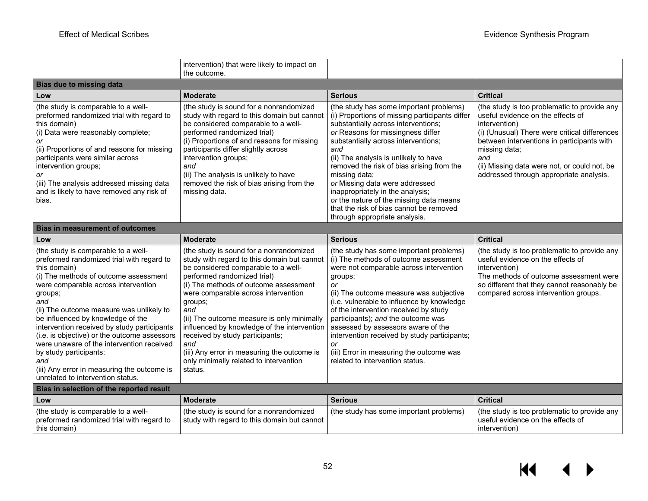|                                                                                                                                                                                                                                                                                                                                                                                                                                                                                                                                                      | intervention) that were likely to impact on<br>the outcome.                                                                                                                                                                                                                                                                                                                                                                                                                                               |                                                                                                                                                                                                                                                                                                                                                                                                                                                                                                                         |                                                                                                                                                                                                                                                                                                                      |
|------------------------------------------------------------------------------------------------------------------------------------------------------------------------------------------------------------------------------------------------------------------------------------------------------------------------------------------------------------------------------------------------------------------------------------------------------------------------------------------------------------------------------------------------------|-----------------------------------------------------------------------------------------------------------------------------------------------------------------------------------------------------------------------------------------------------------------------------------------------------------------------------------------------------------------------------------------------------------------------------------------------------------------------------------------------------------|-------------------------------------------------------------------------------------------------------------------------------------------------------------------------------------------------------------------------------------------------------------------------------------------------------------------------------------------------------------------------------------------------------------------------------------------------------------------------------------------------------------------------|----------------------------------------------------------------------------------------------------------------------------------------------------------------------------------------------------------------------------------------------------------------------------------------------------------------------|
| <b>Bias due to missing data</b>                                                                                                                                                                                                                                                                                                                                                                                                                                                                                                                      |                                                                                                                                                                                                                                                                                                                                                                                                                                                                                                           |                                                                                                                                                                                                                                                                                                                                                                                                                                                                                                                         |                                                                                                                                                                                                                                                                                                                      |
| Low                                                                                                                                                                                                                                                                                                                                                                                                                                                                                                                                                  | <b>Moderate</b>                                                                                                                                                                                                                                                                                                                                                                                                                                                                                           | <b>Serious</b>                                                                                                                                                                                                                                                                                                                                                                                                                                                                                                          | <b>Critical</b>                                                                                                                                                                                                                                                                                                      |
| (the study is comparable to a well-<br>preformed randomized trial with regard to<br>this domain)<br>(i) Data were reasonably complete;<br>or<br>(ii) Proportions of and reasons for missing<br>participants were similar across<br>intervention groups;<br>or<br>(iii) The analysis addressed missing data<br>and is likely to have removed any risk of<br>bias.                                                                                                                                                                                     | (the study is sound for a nonrandomized<br>study with regard to this domain but cannot<br>be considered comparable to a well-<br>performed randomized trial)<br>(i) Proportions of and reasons for missing<br>participants differ slightly across<br>intervention groups;<br>and<br>(ii) The analysis is unlikely to have<br>removed the risk of bias arising from the<br>missing data.                                                                                                                   | (the study has some important problems)<br>(i) Proportions of missing participants differ<br>substantially across interventions;<br>or Reasons for missingness differ<br>substantially across interventions;<br>and<br>(ii) The analysis is unlikely to have<br>removed the risk of bias arising from the<br>missing data;<br>or Missing data were addressed<br>inappropriately in the analysis;<br>or the nature of the missing data means<br>that the risk of bias cannot be removed<br>through appropriate analysis. | (the study is too problematic to provide any<br>useful evidence on the effects of<br>intervention)<br>(i) (Unusual) There were critical differences<br>between interventions in participants with<br>missing data;<br>and<br>(ii) Missing data were not, or could not, be<br>addressed through appropriate analysis. |
| <b>Bias in measurement of outcomes</b>                                                                                                                                                                                                                                                                                                                                                                                                                                                                                                               |                                                                                                                                                                                                                                                                                                                                                                                                                                                                                                           |                                                                                                                                                                                                                                                                                                                                                                                                                                                                                                                         |                                                                                                                                                                                                                                                                                                                      |
| Low                                                                                                                                                                                                                                                                                                                                                                                                                                                                                                                                                  | <b>Moderate</b>                                                                                                                                                                                                                                                                                                                                                                                                                                                                                           | <b>Serious</b>                                                                                                                                                                                                                                                                                                                                                                                                                                                                                                          | <b>Critical</b>                                                                                                                                                                                                                                                                                                      |
| (the study is comparable to a well-<br>preformed randomized trial with regard to<br>this domain)<br>(i) The methods of outcome assessment<br>were comparable across intervention<br>groups;<br>and<br>(ii) The outcome measure was unlikely to<br>be influenced by knowledge of the<br>intervention received by study participants<br>(i.e. is objective) or the outcome assessors<br>were unaware of the intervention received<br>by study participants;<br>and<br>(iii) Any error in measuring the outcome is<br>unrelated to intervention status. | (the study is sound for a nonrandomized<br>study with regard to this domain but cannot<br>be considered comparable to a well-<br>performed randomized trial)<br>(i) The methods of outcome assessment<br>were comparable across intervention<br>groups;<br>and<br>(ii) The outcome measure is only minimally<br>influenced by knowledge of the intervention<br>received by study participants;<br>and<br>(iii) Any error in measuring the outcome is<br>only minimally related to intervention<br>status. | (the study has some important problems)<br>(i) The methods of outcome assessment<br>were not comparable across intervention<br>groups;<br>or<br>(ii) The outcome measure was subjective<br>(i.e. vulnerable to influence by knowledge<br>of the intervention received by study<br>participants); and the outcome was<br>assessed by assessors aware of the<br>intervention received by study participants;<br>or<br>(iii) Error in measuring the outcome was<br>related to intervention status.                         | (the study is too problematic to provide any<br>useful evidence on the effects of<br>intervention)<br>The methods of outcome assessment were<br>so different that they cannot reasonably be<br>compared across intervention groups.                                                                                  |
| Bias in selection of the reported result                                                                                                                                                                                                                                                                                                                                                                                                                                                                                                             |                                                                                                                                                                                                                                                                                                                                                                                                                                                                                                           |                                                                                                                                                                                                                                                                                                                                                                                                                                                                                                                         |                                                                                                                                                                                                                                                                                                                      |
| Low                                                                                                                                                                                                                                                                                                                                                                                                                                                                                                                                                  | <b>Moderate</b>                                                                                                                                                                                                                                                                                                                                                                                                                                                                                           | <b>Serious</b>                                                                                                                                                                                                                                                                                                                                                                                                                                                                                                          | <b>Critical</b>                                                                                                                                                                                                                                                                                                      |
| (the study is comparable to a well-<br>preformed randomized trial with regard to<br>this domain)                                                                                                                                                                                                                                                                                                                                                                                                                                                     | (the study is sound for a nonrandomized<br>study with regard to this domain but cannot                                                                                                                                                                                                                                                                                                                                                                                                                    | (the study has some important problems)                                                                                                                                                                                                                                                                                                                                                                                                                                                                                 | (the study is too problematic to provide any<br>useful evidence on the effects of<br>intervention)                                                                                                                                                                                                                   |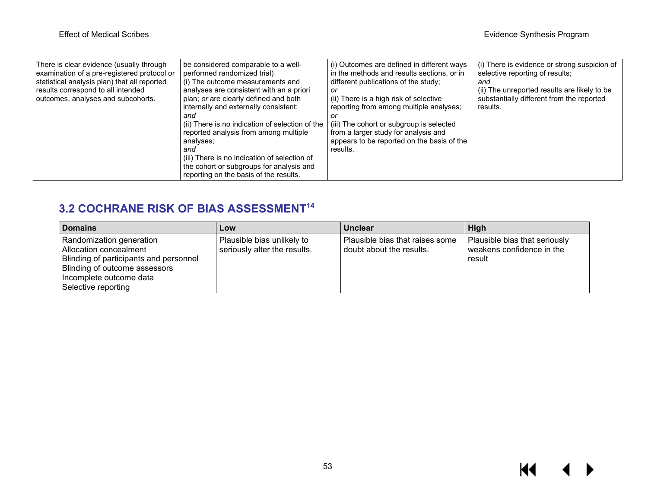| There is clear evidence (usually through<br>examination of a pre-registered protocol or<br>statistical analysis plan) that all reported<br>results correspond to all intended<br>outcomes, analyses and subcohorts. | be considered comparable to a well-<br>performed randomized trial)<br>(i) The outcome measurements and<br>analyses are consistent with an a priori<br>plan; or are clearly defined and both<br>internally and externally consistent;<br>and<br>(ii) There is no indication of selection of the<br>reported analysis from among multiple<br>analyses:<br>and<br>(iii) There is no indication of selection of<br>the cohort or subgroups for analysis and<br>reporting on the basis of the results. | (i) Outcomes are defined in different ways<br>in the methods and results sections, or in<br>different publications of the study;<br>or<br>(ii) There is a high risk of selective<br>reporting from among multiple analyses;<br>(iii) The cohort or subgroup is selected<br>from a larger study for analysis and<br>appears to be reported on the basis of the<br>results. | (i) There is evidence or strong suspicion of<br>selective reporting of results;<br>and<br>(ii) The unreported results are likely to be<br>substantially different from the reported<br>results. |
|---------------------------------------------------------------------------------------------------------------------------------------------------------------------------------------------------------------------|---------------------------------------------------------------------------------------------------------------------------------------------------------------------------------------------------------------------------------------------------------------------------------------------------------------------------------------------------------------------------------------------------------------------------------------------------------------------------------------------------|---------------------------------------------------------------------------------------------------------------------------------------------------------------------------------------------------------------------------------------------------------------------------------------------------------------------------------------------------------------------------|-------------------------------------------------------------------------------------------------------------------------------------------------------------------------------------------------|
|---------------------------------------------------------------------------------------------------------------------------------------------------------------------------------------------------------------------|---------------------------------------------------------------------------------------------------------------------------------------------------------------------------------------------------------------------------------------------------------------------------------------------------------------------------------------------------------------------------------------------------------------------------------------------------------------------------------------------------|---------------------------------------------------------------------------------------------------------------------------------------------------------------------------------------------------------------------------------------------------------------------------------------------------------------------------------------------------------------------------|-------------------------------------------------------------------------------------------------------------------------------------------------------------------------------------------------|

## **3.2 COCHRANE RISK OF BIAS ASSESSMENT14**

| Domains                                                                                                                                                                                         | Low                                                        | <b>Unclear</b>                                              | High                                                                 |
|-------------------------------------------------------------------------------------------------------------------------------------------------------------------------------------------------|------------------------------------------------------------|-------------------------------------------------------------|----------------------------------------------------------------------|
| Randomization generation<br>Allocation concealment<br><b>Blinding of participants and personnel</b><br><b>Blinding of outcome assessors</b><br>Incomplete outcome data<br>l Selective reporting | Plausible bias unlikely to<br>seriously alter the results. | Plausible bias that raises some<br>doubt about the results. | Plausible bias that seriously<br>weakens confidence in the<br>result |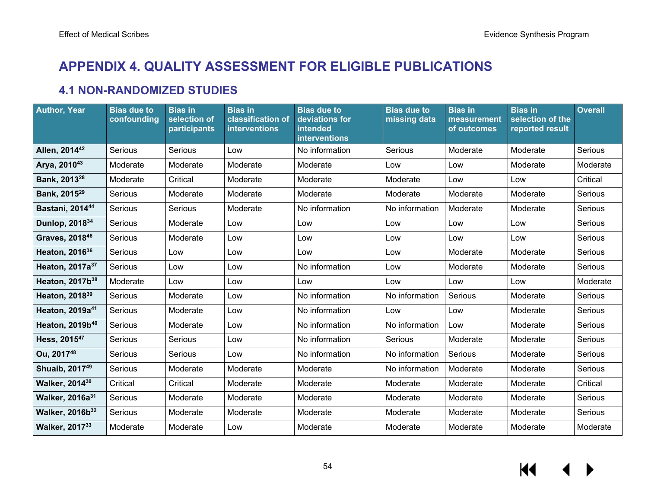# **APPENDIX 4. QUALITY ASSESSMENT FOR ELIGIBLE PUBLICATIONS**

## **4.1 NON-RANDOMIZED STUDIES**

| <b>Author, Year</b>         | <b>Bias due to</b><br>confounding | <b>Bias in</b><br>selection of<br>participants | <b>Bias in</b><br>classification of<br>interventions | <b>Bias due to</b><br>deviations for<br>intended<br><b>interventions</b> | <b>Bias due to</b><br>missing data | <b>Bias in</b><br>measurement<br>of outcomes | <b>Bias in</b><br>selection of the<br>reported result | <b>Overall</b> |
|-----------------------------|-----------------------------------|------------------------------------------------|------------------------------------------------------|--------------------------------------------------------------------------|------------------------------------|----------------------------------------------|-------------------------------------------------------|----------------|
| Allen, 2014 <sup>42</sup>   | Serious                           | Serious                                        | Low                                                  | No information                                                           | Serious                            | Moderate                                     | Moderate                                              | Serious        |
| Arya, 201043                | Moderate                          | Moderate                                       | Moderate                                             | Moderate                                                                 | Low                                | Low                                          | Moderate                                              | Moderate       |
| Bank, 2013 <sup>28</sup>    | Moderate                          | Critical                                       | Moderate                                             | Moderate                                                                 | Moderate                           | Low                                          | Low                                                   | Critical       |
| Bank, 2015 <sup>29</sup>    | Serious                           | Moderate                                       | Moderate                                             | Moderate                                                                 | Moderate                           | Moderate                                     | Moderate                                              | Serious        |
| Bastani, 201444             | Serious                           | Serious                                        | Moderate                                             | No information                                                           | No information                     | Moderate                                     | Moderate                                              | Serious        |
| Dunlop, 2018 <sup>34</sup>  | Serious                           | Moderate                                       | Low                                                  | Low                                                                      | Low                                | Low                                          | Low                                                   | Serious        |
| Graves, 201846              | Serious                           | Moderate                                       | Low                                                  | Low                                                                      | Low                                | Low                                          | Low                                                   | Serious        |
| Heaton, 2016 <sup>36</sup>  | Serious                           | Low                                            | Low                                                  | Low                                                                      | Low                                | Moderate                                     | Moderate                                              | Serious        |
| Heaton, 2017a <sup>37</sup> | Serious                           | Low                                            | Low                                                  | No information                                                           | Low                                | Moderate                                     | Moderate                                              | Serious        |
| Heaton, 2017b <sup>38</sup> | Moderate                          | Low                                            | Low                                                  | Low                                                                      | Low                                | Low                                          | Low                                                   | Moderate       |
| Heaton, 2018 <sup>39</sup>  | Serious                           | Moderate                                       | Low                                                  | No information                                                           | No information                     | Serious                                      | Moderate                                              | Serious        |
| Heaton, 2019a <sup>41</sup> | Serious                           | Moderate                                       | Low                                                  | No information                                                           | Low                                | Low                                          | Moderate                                              | Serious        |
| Heaton, 2019b <sup>40</sup> | Serious                           | Moderate                                       | Low                                                  | No information                                                           | No information                     | Low                                          | Moderate                                              | Serious        |
| Hess, 2015 <sup>47</sup>    | Serious                           | Serious                                        | Low                                                  | No information                                                           | Serious                            | Moderate                                     | Moderate                                              | Serious        |
| Ou, 201748                  | Serious                           | Serious                                        | Low                                                  | No information                                                           | No information                     | Serious                                      | Moderate                                              | Serious        |
| Shuaib, 2017 <sup>49</sup>  | Serious                           | Moderate                                       | Moderate                                             | Moderate                                                                 | No information                     | Moderate                                     | Moderate                                              | Serious        |
| <b>Walker, 201430</b>       | Critical                          | Critical                                       | Moderate                                             | Moderate                                                                 | Moderate                           | Moderate                                     | Moderate                                              | Critical       |
| Walker, 2016a <sup>31</sup> | Serious                           | Moderate                                       | Moderate                                             | Moderate                                                                 | Moderate                           | Moderate                                     | Moderate                                              | Serious        |
| Walker, 2016b <sup>32</sup> | Serious                           | Moderate                                       | Moderate                                             | Moderate                                                                 | Moderate                           | Moderate                                     | Moderate                                              | Serious        |
| <b>Walker, 201733</b>       | Moderate                          | Moderate                                       | Low                                                  | Moderate                                                                 | Moderate                           | Moderate                                     | Moderate                                              | Moderate       |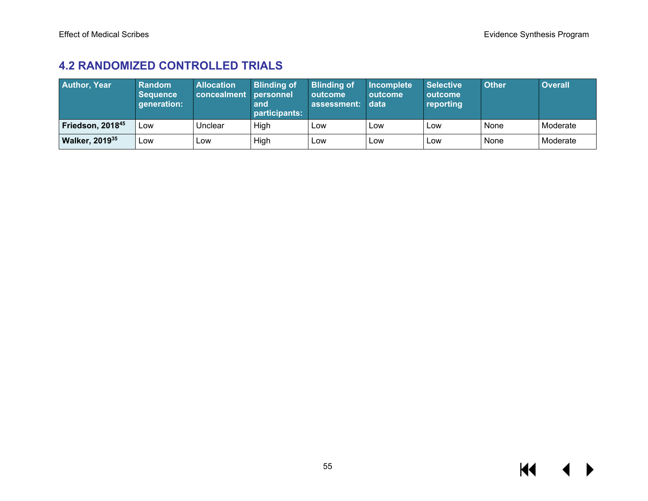## **4.2 RANDOMIZED CONTROLLED TRIALS**

| <b>Author, Year</b>    | Random<br><b>Sequence</b><br>generation: | <b>Allocation</b><br>concealment personnel | <b>Blinding of</b><br>and<br>participants: | <b>Blinding of</b><br>outcome<br>assessment: | Incomplete<br><b>outcome</b><br>data | <b>Selective</b><br>outcome<br>reporting | <b>Other</b> | <b>Overall</b> |
|------------------------|------------------------------------------|--------------------------------------------|--------------------------------------------|----------------------------------------------|--------------------------------------|------------------------------------------|--------------|----------------|
| Friedson, 201845       | Low                                      | Unclear                                    | High                                       | Low                                          | Low                                  | Low                                      | None         | Moderate       |
| <b>Walker, 2019</b> 35 | <b>LOW</b>                               | LOW                                        | High                                       | Low                                          | Low                                  | Low                                      | None         | Moderate       |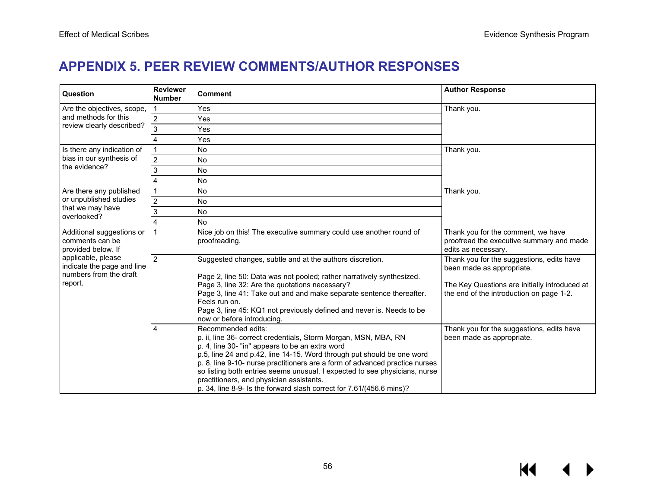## **APPENDIX 5. PEER REVIEW COMMENTS/AUTHOR RESPONSES**

| Question                                                                              | <b>Reviewer</b><br><b>Number</b> | <b>Comment</b>                                                                                                                                                                                                                                                                                                                                                                                                                                                                                      | <b>Author Response</b>                                                                                                                                              |
|---------------------------------------------------------------------------------------|----------------------------------|-----------------------------------------------------------------------------------------------------------------------------------------------------------------------------------------------------------------------------------------------------------------------------------------------------------------------------------------------------------------------------------------------------------------------------------------------------------------------------------------------------|---------------------------------------------------------------------------------------------------------------------------------------------------------------------|
| Are the objectives, scope,                                                            |                                  | Yes                                                                                                                                                                                                                                                                                                                                                                                                                                                                                                 | Thank you.                                                                                                                                                          |
| and methods for this                                                                  | $\overline{2}$                   | Yes                                                                                                                                                                                                                                                                                                                                                                                                                                                                                                 |                                                                                                                                                                     |
| review clearly described?                                                             | 3                                | Yes                                                                                                                                                                                                                                                                                                                                                                                                                                                                                                 |                                                                                                                                                                     |
|                                                                                       | 4                                | Yes                                                                                                                                                                                                                                                                                                                                                                                                                                                                                                 |                                                                                                                                                                     |
| Is there any indication of                                                            |                                  | <b>No</b>                                                                                                                                                                                                                                                                                                                                                                                                                                                                                           | Thank you.                                                                                                                                                          |
| bias in our synthesis of                                                              | $\overline{2}$                   | <b>No</b>                                                                                                                                                                                                                                                                                                                                                                                                                                                                                           |                                                                                                                                                                     |
| the evidence?                                                                         | 3                                | <b>No</b>                                                                                                                                                                                                                                                                                                                                                                                                                                                                                           |                                                                                                                                                                     |
|                                                                                       | 4                                | No                                                                                                                                                                                                                                                                                                                                                                                                                                                                                                  |                                                                                                                                                                     |
| Are there any published                                                               |                                  | No                                                                                                                                                                                                                                                                                                                                                                                                                                                                                                  | Thank you.                                                                                                                                                          |
| or unpublished studies                                                                | $\overline{2}$                   | <b>No</b>                                                                                                                                                                                                                                                                                                                                                                                                                                                                                           |                                                                                                                                                                     |
| that we may have<br>overlooked?                                                       | 3                                | <b>No</b>                                                                                                                                                                                                                                                                                                                                                                                                                                                                                           |                                                                                                                                                                     |
|                                                                                       | 4                                | <b>No</b>                                                                                                                                                                                                                                                                                                                                                                                                                                                                                           |                                                                                                                                                                     |
| Additional suggestions or<br>comments can be<br>provided below. If                    |                                  | Nice job on this! The executive summary could use another round of<br>proofreading.                                                                                                                                                                                                                                                                                                                                                                                                                 | Thank you for the comment, we have<br>proofread the executive summary and made<br>edits as necessary.                                                               |
| applicable, please<br>indicate the page and line<br>numbers from the draft<br>report. | $\overline{2}$                   | Suggested changes, subtle and at the authors discretion.<br>Page 2, line 50: Data was not pooled; rather narratively synthesized.<br>Page 3, line 32: Are the quotations necessary?<br>Page 3, line 41: Take out and and make separate sentence thereafter.<br>Feels run on.<br>Page 3, line 45: KQ1 not previously defined and never is. Needs to be<br>now or before introducing.                                                                                                                 | Thank you for the suggestions, edits have<br>been made as appropriate.<br>The Key Questions are initially introduced at<br>the end of the introduction on page 1-2. |
|                                                                                       | 4                                | Recommended edits:<br>p. ii, line 36- correct credentials, Storm Morgan, MSN, MBA, RN<br>p. 4, line 30- "in" appears to be an extra word<br>p.5, line 24 and p.42, line 14-15. Word through put should be one word<br>p. 8, line 9-10- nurse practitioners are a form of advanced practice nurses<br>so listing both entries seems unusual. I expected to see physicians, nurse<br>practitioners, and physician assistants.<br>p. 34, line 8-9- Is the forward slash correct for 7.61/(456.6 mins)? | Thank you for the suggestions, edits have<br>been made as appropriate.                                                                                              |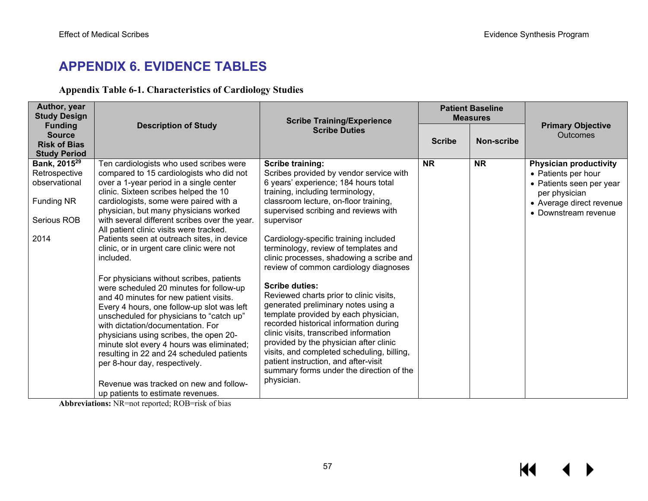# **APPENDIX 6. EVIDENCE TABLES**

### **Appendix Table 6-1. Characteristics of Cardiology Studies**

| Author, year<br><b>Study Design</b>                    |                                                                                                                                                                                                                                                                                                                                                                                                                                                                                                                  | <b>Scribe Training/Experience</b>                                                                                                                                                                                                                                                                                                                                                                                             |               | <b>Patient Baseline</b><br><b>Measures</b> |                                                                  |
|--------------------------------------------------------|------------------------------------------------------------------------------------------------------------------------------------------------------------------------------------------------------------------------------------------------------------------------------------------------------------------------------------------------------------------------------------------------------------------------------------------------------------------------------------------------------------------|-------------------------------------------------------------------------------------------------------------------------------------------------------------------------------------------------------------------------------------------------------------------------------------------------------------------------------------------------------------------------------------------------------------------------------|---------------|--------------------------------------------|------------------------------------------------------------------|
| <b>Funding</b><br><b>Source</b><br><b>Risk of Bias</b> | <b>Description of Study</b>                                                                                                                                                                                                                                                                                                                                                                                                                                                                                      | <b>Scribe Duties</b>                                                                                                                                                                                                                                                                                                                                                                                                          | <b>Scribe</b> | Non-scribe                                 | <b>Primary Objective</b><br><b>Outcomes</b>                      |
| <b>Study Period</b>                                    |                                                                                                                                                                                                                                                                                                                                                                                                                                                                                                                  |                                                                                                                                                                                                                                                                                                                                                                                                                               |               |                                            |                                                                  |
| Bank, 2015 <sup>29</sup><br>Retrospective              | Ten cardiologists who used scribes were<br>compared to 15 cardiologists who did not                                                                                                                                                                                                                                                                                                                                                                                                                              | <b>Scribe training:</b><br>Scribes provided by vendor service with                                                                                                                                                                                                                                                                                                                                                            | <b>NR</b>     | <b>NR</b>                                  | <b>Physician productivity</b>                                    |
| observational                                          | over a 1-year period in a single center<br>clinic. Sixteen scribes helped the 10                                                                                                                                                                                                                                                                                                                                                                                                                                 | 6 years' experience; 184 hours total<br>training, including terminology,                                                                                                                                                                                                                                                                                                                                                      |               |                                            | • Patients per hour<br>• Patients seen per year<br>per physician |
| <b>Funding NR</b>                                      | cardiologists, some were paired with a<br>physician, but many physicians worked                                                                                                                                                                                                                                                                                                                                                                                                                                  | classroom lecture, on-floor training,<br>supervised scribing and reviews with                                                                                                                                                                                                                                                                                                                                                 |               |                                            | • Average direct revenue<br>• Downstream revenue                 |
| Serious ROB                                            | with several different scribes over the year.<br>All patient clinic visits were tracked.                                                                                                                                                                                                                                                                                                                                                                                                                         | supervisor                                                                                                                                                                                                                                                                                                                                                                                                                    |               |                                            |                                                                  |
| 2014                                                   | Patients seen at outreach sites, in device<br>clinic, or in urgent care clinic were not<br>included.                                                                                                                                                                                                                                                                                                                                                                                                             | Cardiology-specific training included<br>terminology, review of templates and<br>clinic processes, shadowing a scribe and<br>review of common cardiology diagnoses                                                                                                                                                                                                                                                            |               |                                            |                                                                  |
|                                                        | For physicians without scribes, patients<br>were scheduled 20 minutes for follow-up<br>and 40 minutes for new patient visits.<br>Every 4 hours, one follow-up slot was left<br>unscheduled for physicians to "catch up"<br>with dictation/documentation. For<br>physicians using scribes, the open 20-<br>minute slot every 4 hours was eliminated;<br>resulting in 22 and 24 scheduled patients<br>per 8-hour day, respectively.<br>Revenue was tracked on new and follow-<br>up patients to estimate revenues. | <b>Scribe duties:</b><br>Reviewed charts prior to clinic visits,<br>generated preliminary notes using a<br>template provided by each physician,<br>recorded historical information during<br>clinic visits, transcribed information<br>provided by the physician after clinic<br>visits, and completed scheduling, billing,<br>patient instruction, and after-visit<br>summary forms under the direction of the<br>physician. |               |                                            |                                                                  |

**Abbreviations:** NR=not reported; ROB=risk of bias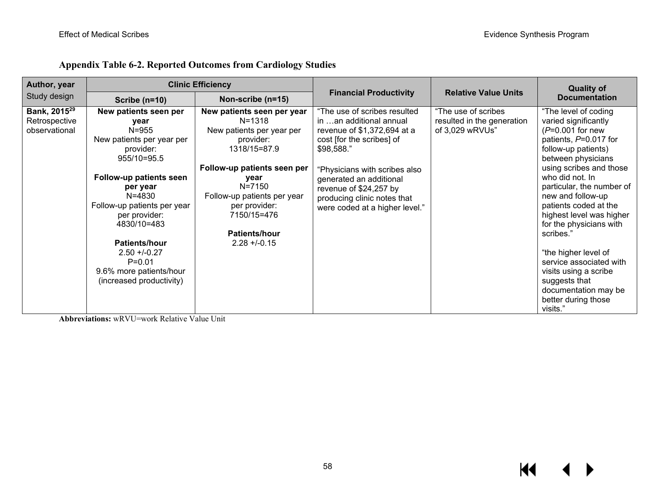| Author, year                                               |                                                                                                                                                                                                                                                                                                                                   | <b>Clinic Efficiency</b>                                                                                                                                                                                                                                     |                                                                                                                                                                                                                                                                                          |                                                                      | <b>Quality of</b>                                                                                                                                                                                                                                                                                                                                                                                                                                                                             |
|------------------------------------------------------------|-----------------------------------------------------------------------------------------------------------------------------------------------------------------------------------------------------------------------------------------------------------------------------------------------------------------------------------|--------------------------------------------------------------------------------------------------------------------------------------------------------------------------------------------------------------------------------------------------------------|------------------------------------------------------------------------------------------------------------------------------------------------------------------------------------------------------------------------------------------------------------------------------------------|----------------------------------------------------------------------|-----------------------------------------------------------------------------------------------------------------------------------------------------------------------------------------------------------------------------------------------------------------------------------------------------------------------------------------------------------------------------------------------------------------------------------------------------------------------------------------------|
| Study design                                               | Scribe $(n=10)$                                                                                                                                                                                                                                                                                                                   | Non-scribe (n=15)                                                                                                                                                                                                                                            | <b>Financial Productivity</b>                                                                                                                                                                                                                                                            | <b>Relative Value Units</b>                                          | <b>Documentation</b>                                                                                                                                                                                                                                                                                                                                                                                                                                                                          |
| Bank, 2015 <sup>29</sup><br>Retrospective<br>observational | New patients seen per<br>year<br>$N = 955$<br>New patients per year per<br>provider:<br>955/10=95.5<br><b>Follow-up patients seen</b><br>per year<br>N=4830<br>Follow-up patients per year<br>per provider:<br>4830/10=483<br>Patients/hour<br>$2.50 + 0.27$<br>$P = 0.01$<br>9.6% more patients/hour<br>(increased productivity) | New patients seen per year<br>$N = 1318$<br>New patients per year per<br>provider:<br>1318/15=87.9<br>Follow-up patients seen per<br>year<br>N=7150<br>Follow-up patients per year<br>per provider:<br>7150/15=476<br><b>Patients/hour</b><br>$2.28 + -0.15$ | "The use of scribes resulted<br>in an additional annual<br>revenue of \$1,372,694 at a<br>cost [for the scribes] of<br>\$98,588."<br>"Physicians with scribes also<br>generated an additional<br>revenue of \$24,257 by<br>producing clinic notes that<br>were coded at a higher level." | "The use of scribes<br>resulted in the generation<br>of 3,029 wRVUs" | "The level of coding<br>varied significantly<br>$(P=0.001$ for new<br>patients, P=0.017 for<br>follow-up patients)<br>between physicians<br>using scribes and those<br>who did not. In<br>particular, the number of<br>new and follow-up<br>patients coded at the<br>highest level was higher<br>for the physicians with<br>scribes."<br>"the higher level of<br>service associated with<br>visits using a scribe<br>suggests that<br>documentation may be<br>better during those<br>visits." |

## **Appendix Table 6-2. Reported Outcomes from Cardiology Studies**

**Abbreviations:** wRVU=work Relative Value Unit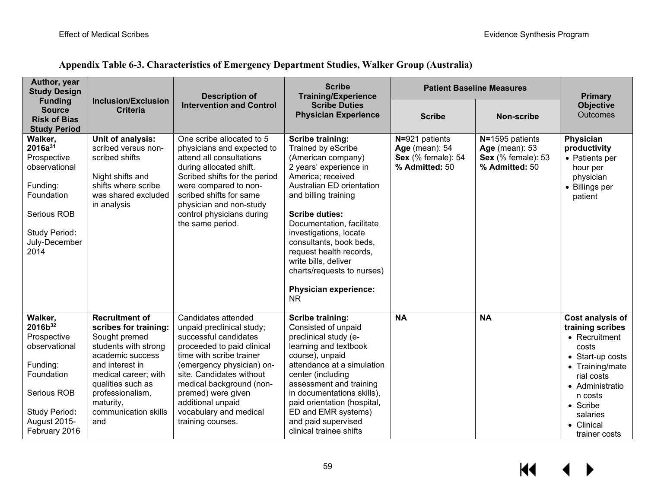| Appendix Table 6-3. Characteristics of Emergency Department Studies, Walker Group (Australia) |  |  |
|-----------------------------------------------------------------------------------------------|--|--|
|                                                                                               |  |  |

| Author, year<br><b>Study Design</b>                                                                                                                       |                                                                                                                                                                                                                                             | <b>Description of</b>                                                                                                                                                                                                                                                                                              | <b>Scribe</b><br><b>Training/Experience</b>                                                                                                                                                                                                                                                                                                                                                                      | <b>Patient Baseline Measures</b>                                                |                                                                                         | <b>Primary</b>                                                                                                                                                                                           |
|-----------------------------------------------------------------------------------------------------------------------------------------------------------|---------------------------------------------------------------------------------------------------------------------------------------------------------------------------------------------------------------------------------------------|--------------------------------------------------------------------------------------------------------------------------------------------------------------------------------------------------------------------------------------------------------------------------------------------------------------------|------------------------------------------------------------------------------------------------------------------------------------------------------------------------------------------------------------------------------------------------------------------------------------------------------------------------------------------------------------------------------------------------------------------|---------------------------------------------------------------------------------|-----------------------------------------------------------------------------------------|----------------------------------------------------------------------------------------------------------------------------------------------------------------------------------------------------------|
| <b>Funding</b><br><b>Source</b><br><b>Risk of Bias</b><br><b>Study Period</b>                                                                             | <b>Inclusion/Exclusion</b><br><b>Criteria</b>                                                                                                                                                                                               | <b>Intervention and Control</b>                                                                                                                                                                                                                                                                                    | <b>Scribe Duties</b><br><b>Physician Experience</b>                                                                                                                                                                                                                                                                                                                                                              | <b>Scribe</b>                                                                   | <b>Non-scribe</b>                                                                       | <b>Objective</b><br><b>Outcomes</b>                                                                                                                                                                      |
| Walker,<br>2016a <sup>31</sup><br>Prospective<br>observational<br>Funding:<br>Foundation<br>Serious ROB<br>Study Period:<br>July-December<br>2014         | Unit of analysis:<br>scribed versus non-<br>scribed shifts<br>Night shifts and<br>shifts where scribe<br>was shared excluded<br>in analysis                                                                                                 | One scribe allocated to 5<br>physicians and expected to<br>attend all consultations<br>during allocated shift.<br>Scribed shifts for the period<br>were compared to non-<br>scribed shifts for same<br>physician and non-study<br>control physicians during<br>the same period.                                    | <b>Scribe training:</b><br>Trained by eScribe<br>(American company)<br>2 years' experience in<br>America; received<br>Australian ED orientation<br>and billing training<br><b>Scribe duties:</b><br>Documentation, facilitate<br>investigations, locate<br>consultants, book beds,<br>request health records,<br>write bills, deliver<br>charts/requests to nurses)<br><b>Physician experience:</b><br><b>NR</b> | N=921 patients<br>Age (mean): 54<br><b>Sex</b> (% female): 54<br>% Admitted: 50 | N=1595 patients<br><b>Age</b> (mean): 53<br><b>Sex</b> (% female): 53<br>% Admitted: 50 | Physician<br>productivity<br>• Patients per<br>hour per<br>physician<br>• Billings per<br>patient                                                                                                        |
| Walker,<br>2016b <sup>32</sup><br>Prospective<br>observational<br>Funding:<br>Foundation<br>Serious ROB<br>Study Period:<br>August 2015-<br>February 2016 | <b>Recruitment of</b><br>scribes for training:<br>Sought premed<br>students with strong<br>academic success<br>and interest in<br>medical career; with<br>qualities such as<br>professionalism,<br>maturity,<br>communication skills<br>and | Candidates attended<br>unpaid preclinical study;<br>successful candidates<br>proceeded to paid clinical<br>time with scribe trainer<br>(emergency physician) on-<br>site. Candidates without<br>medical background (non-<br>premed) were given<br>additional unpaid<br>vocabulary and medical<br>training courses. | <b>Scribe training:</b><br>Consisted of unpaid<br>preclinical study (e-<br>learning and textbook<br>course), unpaid<br>attendance at a simulation<br>center (including<br>assessment and training<br>in documentations skills),<br>paid orientation (hospital,<br>ED and EMR systems)<br>and paid supervised<br>clinical trainee shifts                                                                          | <b>NA</b>                                                                       | <b>NA</b>                                                                               | Cost analysis of<br>training scribes<br>• Recruitment<br>costs<br>• Start-up costs<br>• Training/mate<br>rial costs<br>• Administratio<br>n costs<br>• Scribe<br>salaries<br>• Clinical<br>trainer costs |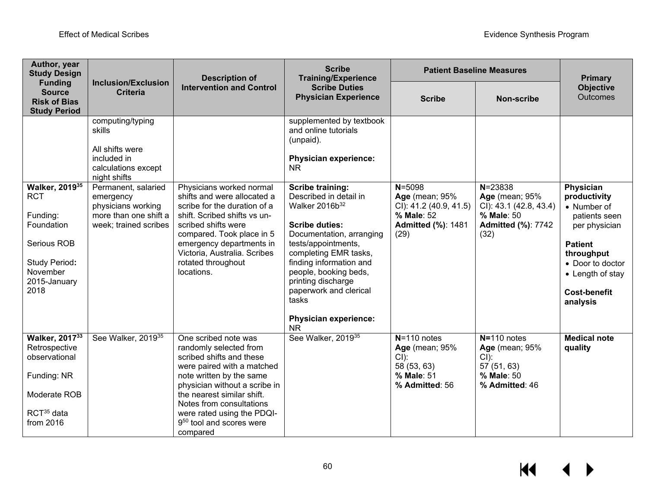| Author, year<br><b>Study Design</b>                                                                                        |                                                                                                          | <b>Description of</b>                                                                                                                                                                                                                                                                                             | <b>Scribe</b><br><b>Training/Experience</b>                                                                                                                                                                                                                                                                                                    | <b>Patient Baseline Measures</b>                                                                                 | <b>Primary</b>                                                                                                    |                                                                                                                                                                                       |
|----------------------------------------------------------------------------------------------------------------------------|----------------------------------------------------------------------------------------------------------|-------------------------------------------------------------------------------------------------------------------------------------------------------------------------------------------------------------------------------------------------------------------------------------------------------------------|------------------------------------------------------------------------------------------------------------------------------------------------------------------------------------------------------------------------------------------------------------------------------------------------------------------------------------------------|------------------------------------------------------------------------------------------------------------------|-------------------------------------------------------------------------------------------------------------------|---------------------------------------------------------------------------------------------------------------------------------------------------------------------------------------|
| <b>Funding</b><br><b>Source</b><br><b>Risk of Bias</b><br><b>Study Period</b>                                              | <b>Inclusion/Exclusion</b><br><b>Criteria</b>                                                            | <b>Intervention and Control</b>                                                                                                                                                                                                                                                                                   | <b>Scribe Duties</b><br><b>Physician Experience</b>                                                                                                                                                                                                                                                                                            | <b>Scribe</b>                                                                                                    | <b>Non-scribe</b>                                                                                                 | <b>Objective</b><br><b>Outcomes</b>                                                                                                                                                   |
|                                                                                                                            | computing/typing<br>skills<br>All shifts were<br>included in<br>calculations except<br>night shifts      |                                                                                                                                                                                                                                                                                                                   | supplemented by textbook<br>and online tutorials<br>(unpaid).<br><b>Physician experience:</b><br><b>NR</b>                                                                                                                                                                                                                                     |                                                                                                                  |                                                                                                                   |                                                                                                                                                                                       |
| Walker, 201935<br><b>RCT</b><br>Funding:<br>Foundation<br>Serious ROB<br>Study Period:<br>November<br>2015-January<br>2018 | Permanent, salaried<br>emergency<br>physicians working<br>more than one shift a<br>week; trained scribes | Physicians worked normal<br>shifts and were allocated a<br>scribe for the duration of a<br>shift. Scribed shifts vs un-<br>scribed shifts were<br>compared. Took place in 5<br>emergency departments in<br>Victoria, Australia. Scribes<br>rotated throughout<br>locations.                                       | <b>Scribe training:</b><br>Described in detail in<br>Walker 2016b <sup>32</sup><br><b>Scribe duties:</b><br>Documentation, arranging<br>tests/appointments,<br>completing EMR tasks,<br>finding information and<br>people, booking beds,<br>printing discharge<br>paperwork and clerical<br>tasks<br><b>Physician experience:</b><br><b>NR</b> | $N = 5098$<br><b>Age</b> (mean; 95%<br>CI): 41.2 (40.9, 41.5)<br>% Male: 52<br><b>Admitted (%): 1481</b><br>(29) | $N = 23838$<br><b>Age</b> (mean; 95%<br>CI): 43.1 (42.8, 43.4)<br>% Male: 50<br><b>Admitted (%): 7742</b><br>(32) | Physician<br>productivity<br>• Number of<br>patients seen<br>per physician<br><b>Patient</b><br>throughput<br>• Door to doctor<br>• Length of stay<br><b>Cost-benefit</b><br>analysis |
| Walker, 201733<br>Retrospective<br>observational<br>Funding: NR<br>Moderate ROB<br>RCT <sup>35</sup> data<br>from 2016     | See Walker, 2019 <sup>35</sup>                                                                           | One scribed note was<br>randomly selected from<br>scribed shifts and these<br>were paired with a matched<br>note written by the same<br>physician without a scribe in<br>the nearest similar shift.<br>Notes from consultations<br>were rated using the PDQI-<br>9 <sup>50</sup> tool and scores were<br>compared | See Walker, 2019 <sup>35</sup>                                                                                                                                                                                                                                                                                                                 | $N = 110$ notes<br><b>Age</b> (mean; 95%<br>$Cl$ :<br>58 (53, 63)<br>% Male: 51<br>% Admitted: 56                | $N = 110$ notes<br><b>Age</b> (mean; 95%<br>CI):<br>57 (51, 63)<br>% Male: 50<br>% Admitted: 46                   | <b>Medical note</b><br>quality                                                                                                                                                        |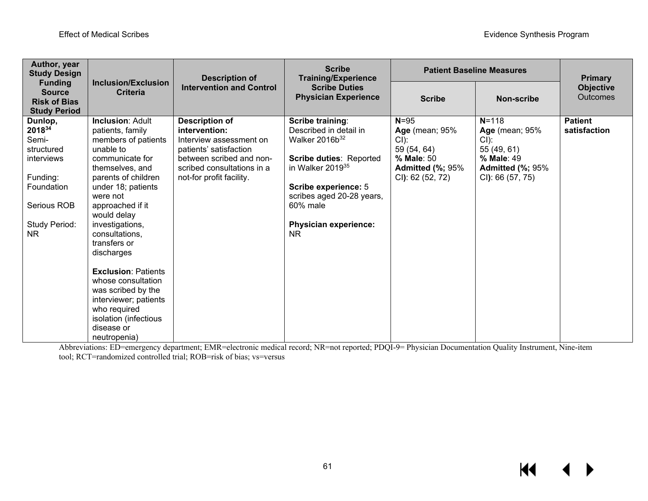| Author, year<br><b>Study Design</b>                                                                                     |                                                                                                                                                                                                                                                                                                                                                                                                                                                                | <b>Description of</b>                                                                                                                                                             | <b>Scribe</b><br><b>Training/Experience</b><br><b>Scribe Duties</b><br><b>Physician Experience</b>                                                                                                                                          | <b>Patient Baseline Measures</b>                                                                                         | <b>Primary</b>                                                                                                    |                                |
|-------------------------------------------------------------------------------------------------------------------------|----------------------------------------------------------------------------------------------------------------------------------------------------------------------------------------------------------------------------------------------------------------------------------------------------------------------------------------------------------------------------------------------------------------------------------------------------------------|-----------------------------------------------------------------------------------------------------------------------------------------------------------------------------------|---------------------------------------------------------------------------------------------------------------------------------------------------------------------------------------------------------------------------------------------|--------------------------------------------------------------------------------------------------------------------------|-------------------------------------------------------------------------------------------------------------------|--------------------------------|
| <b>Funding</b><br><b>Source</b><br><b>Risk of Bias</b><br><b>Study Period</b>                                           | <b>Inclusion/Exclusion</b><br><b>Criteria</b>                                                                                                                                                                                                                                                                                                                                                                                                                  | <b>Intervention and Control</b>                                                                                                                                                   |                                                                                                                                                                                                                                             | <b>Scribe</b>                                                                                                            | <b>Non-scribe</b>                                                                                                 | <b>Objective</b><br>Outcomes   |
| Dunlop,<br>201834<br>Semi-<br>structured<br>interviews<br>Funding:<br>Foundation<br>Serious ROB<br>Study Period:<br>NR. | <b>Inclusion: Adult</b><br>patients, family<br>members of patients<br>unable to<br>communicate for<br>themselves, and<br>parents of children<br>under 18; patients<br>were not<br>approached if it<br>would delay<br>investigations,<br>consultations,<br>transfers or<br>discharges<br><b>Exclusion: Patients</b><br>whose consultation<br>was scribed by the<br>interviewer; patients<br>who required<br>isolation (infectious<br>disease or<br>neutropenia) | <b>Description of</b><br>intervention:<br>Interview assessment on<br>patients' satisfaction<br>between scribed and non-<br>scribed consultations in a<br>not-for profit facility. | Scribe training:<br>Described in detail in<br>Walker 2016b <sup>32</sup><br>Scribe duties: Reported<br>in Walker 2019 <sup>35</sup><br>Scribe experience: 5<br>scribes aged 20-28 years,<br>60% male<br><b>Physician experience:</b><br>NR. | $N = 95$<br><b>Age</b> (mean; 95%<br>$Cl)$ :<br>59 (54, 64)<br>% Male: 50<br><b>Admitted (%; 95%</b><br>CI): 62 (52, 72) | $N = 118$<br><b>Age</b> (mean; 95%<br>CI):<br>55 (49, 61)<br>% Male: 49<br>Admitted (%; 95%<br>$Cl$ : 66 (57, 75) | <b>Patient</b><br>satisfaction |

Abbreviations: ED=emergency department; EMR=electronic medical record; NR=not reported; PDQI-9= Physician Documentation Quality Instrument, Nine-item tool; RCT=randomized controlled trial; ROB=risk of bias; vs=versus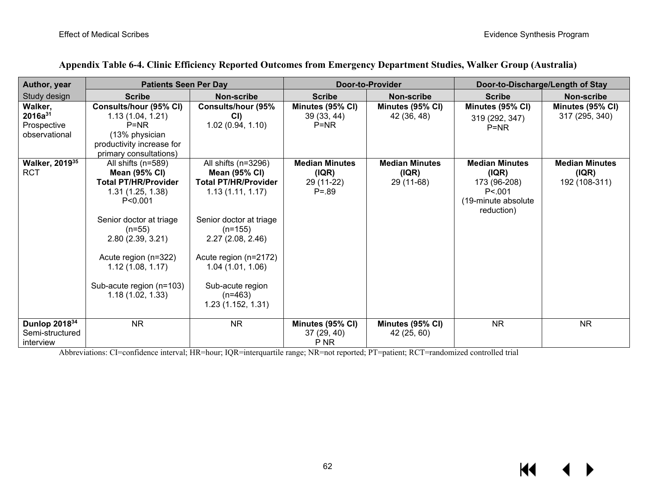| Author, year               | <b>Patients Seen Per Day</b> |                             |                       | <b>Door-to-Provider</b> |                       | Door-to-Discharge/Length of Stay |  |
|----------------------------|------------------------------|-----------------------------|-----------------------|-------------------------|-----------------------|----------------------------------|--|
| Study design               | <b>Scribe</b>                | Non-scribe                  | <b>Scribe</b>         | Non-scribe              | <b>Scribe</b>         | Non-scribe                       |  |
| Walker,                    | Consults/hour (95% CI)       | <b>Consults/hour (95%</b>   | Minutes (95% CI)      | Minutes (95% CI)        | Minutes (95% CI)      | Minutes (95% CI)                 |  |
| $2016a^{31}$               | 1.13(1.04, 1.21)             | CI)                         | 39(33, 44)            | 42 (36, 48)             | 319 (292, 347)        | 317 (295, 340)                   |  |
| Prospective                | $P=NR$                       | 1.02(0.94, 1.10)            | $P=NR$                |                         | $P=NR$                |                                  |  |
| observational              | (13% physician               |                             |                       |                         |                       |                                  |  |
|                            | productivity increase for    |                             |                       |                         |                       |                                  |  |
|                            | primary consultations)       |                             |                       |                         |                       |                                  |  |
| Walker, 2019 <sup>35</sup> | All shifts (n=589)           | All shifts (n=3296)         | <b>Median Minutes</b> | <b>Median Minutes</b>   | <b>Median Minutes</b> | <b>Median Minutes</b>            |  |
| RCT                        | <b>Mean (95% CI)</b>         | <b>Mean (95% CI)</b>        | ( IQR)                | ( IQR)                  | ( IQR)                | (IQR)                            |  |
|                            | <b>Total PT/HR/Provider</b>  | <b>Total PT/HR/Provider</b> | 29 (11-22)            | 29 (11-68)              | 173 (96-208)          | 192 (108-311)                    |  |
|                            | 1.31(1.25, 1.38)             | 1.13(1.11, 1.17)            | $P = .89$             |                         | P < 001               |                                  |  |
|                            | P < 0.001                    |                             |                       |                         | (19-minute absolute   |                                  |  |
|                            |                              |                             |                       |                         | reduction)            |                                  |  |
|                            | Senior doctor at triage      | Senior doctor at triage     |                       |                         |                       |                                  |  |
|                            | $(n=55)$                     | $(n=155)$                   |                       |                         |                       |                                  |  |
|                            | 2.80(2.39, 3.21)             | 2.27(2.08, 2.46)            |                       |                         |                       |                                  |  |
|                            |                              |                             |                       |                         |                       |                                  |  |
|                            | Acute region (n=322)         | Acute region (n=2172)       |                       |                         |                       |                                  |  |
|                            | 1.12(1.08, 1.17)             | 1.04(1.01, 1.06)            |                       |                         |                       |                                  |  |
|                            |                              |                             |                       |                         |                       |                                  |  |
|                            | Sub-acute region (n=103)     | Sub-acute region            |                       |                         |                       |                                  |  |
|                            | 1.18(1.02, 1.33)             | $(n=463)$                   |                       |                         |                       |                                  |  |
|                            |                              | 1.23(1.152, 1.31)           |                       |                         |                       |                                  |  |
| Dunlop 201834              | <b>NR</b>                    | <b>NR</b>                   | Minutes (95% CI)      | Minutes (95% CI)        | <b>NR</b>             | <b>NR</b>                        |  |
| Semi-structured            |                              |                             | 37(29, 40)            | 42 (25, 60)             |                       |                                  |  |
| interview                  |                              |                             | P <sub>NR</sub>       |                         |                       |                                  |  |

#### **Appendix Table 6-4. Clinic Efficiency Reported Outcomes from Emergency Department Studies, Walker Group (Australia)**

Abbreviations: CI=confidence interval; HR=hour; IQR=interquartile range; NR=not reported; PT=patient; RCT=randomized controlled trial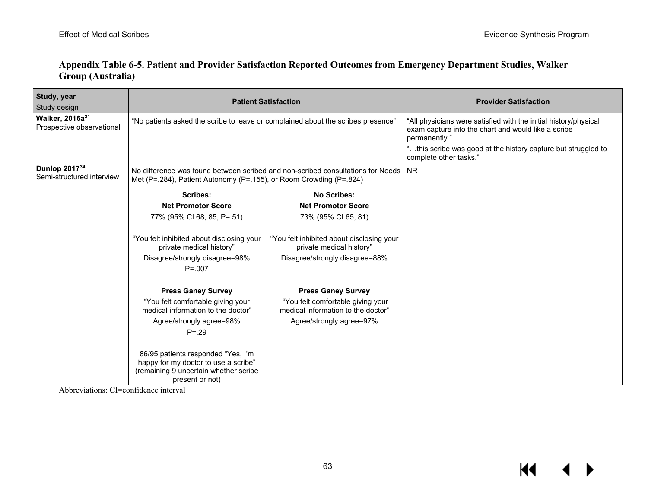|                          |  | Appendix Table 6-5. Patient and Provider Satisfaction Reported Outcomes from Emergency Department Studies, Walker |  |
|--------------------------|--|-------------------------------------------------------------------------------------------------------------------|--|
| <b>Group (Australia)</b> |  |                                                                                                                   |  |

| Study, year<br>Study design                              |                                                                                                                                                            | <b>Patient Satisfaction</b>                                             | <b>Provider Satisfaction</b>                                                                                                                                                                                                        |
|----------------------------------------------------------|------------------------------------------------------------------------------------------------------------------------------------------------------------|-------------------------------------------------------------------------|-------------------------------------------------------------------------------------------------------------------------------------------------------------------------------------------------------------------------------------|
| Walker, 2016a <sup>31</sup><br>Prospective observational | "No patients asked the scribe to leave or complained about the scribes presence"                                                                           |                                                                         | "All physicians were satisfied with the initial history/physical<br>exam capture into the chart and would like a scribe<br>permanently."<br>"this scribe was good at the history capture but struggled to<br>complete other tasks." |
| Dunlop 201734<br>Semi-structured interview               | No difference was found between scribed and non-scribed consultations for Needs   NR<br>Met (P=.284), Patient Autonomy (P=.155), or Room Crowding (P=.824) |                                                                         |                                                                                                                                                                                                                                     |
|                                                          | <b>Scribes:</b>                                                                                                                                            | <b>No Scribes:</b>                                                      |                                                                                                                                                                                                                                     |
|                                                          | <b>Net Promotor Score</b>                                                                                                                                  | <b>Net Promotor Score</b>                                               |                                                                                                                                                                                                                                     |
|                                                          | 77% (95% CI 68, 85; P=.51)                                                                                                                                 | 73% (95% CI 65, 81)                                                     |                                                                                                                                                                                                                                     |
|                                                          | "You felt inhibited about disclosing your<br>private medical history"                                                                                      | "You felt inhibited about disclosing your<br>private medical history"   |                                                                                                                                                                                                                                     |
|                                                          | Disagree/strongly disagree=98%                                                                                                                             | Disagree/strongly disagree=88%                                          |                                                                                                                                                                                                                                     |
|                                                          | $P = 0.007$                                                                                                                                                |                                                                         |                                                                                                                                                                                                                                     |
|                                                          | <b>Press Ganey Survey</b>                                                                                                                                  | <b>Press Ganey Survey</b>                                               |                                                                                                                                                                                                                                     |
|                                                          | "You felt comfortable giving your<br>medical information to the doctor"                                                                                    | "You felt comfortable giving your<br>medical information to the doctor" |                                                                                                                                                                                                                                     |
|                                                          | Agree/strongly agree=98%                                                                                                                                   | Agree/strongly agree=97%                                                |                                                                                                                                                                                                                                     |
|                                                          | $P = 29$                                                                                                                                                   |                                                                         |                                                                                                                                                                                                                                     |
|                                                          | 86/95 patients responded "Yes, I'm<br>happy for my doctor to use a scribe"<br>(remaining 9 uncertain whether scribe<br>present or not)                     |                                                                         |                                                                                                                                                                                                                                     |

Abbreviations: CI=confidence interval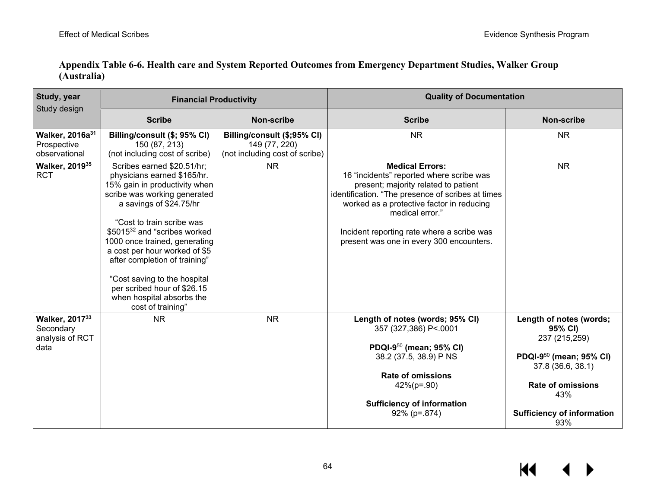| Study, year<br>Study design                                 | <b>Financial Productivity</b>                                                                                                                                                                                                                                                                                                                                                                                                                      |                                                                                | <b>Quality of Documentation</b>                                                                                                                                                                                                                                                                                           |                                                                                                                                                                                                |  |
|-------------------------------------------------------------|----------------------------------------------------------------------------------------------------------------------------------------------------------------------------------------------------------------------------------------------------------------------------------------------------------------------------------------------------------------------------------------------------------------------------------------------------|--------------------------------------------------------------------------------|---------------------------------------------------------------------------------------------------------------------------------------------------------------------------------------------------------------------------------------------------------------------------------------------------------------------------|------------------------------------------------------------------------------------------------------------------------------------------------------------------------------------------------|--|
|                                                             | <b>Scribe</b>                                                                                                                                                                                                                                                                                                                                                                                                                                      | <b>Non-scribe</b>                                                              | <b>Scribe</b>                                                                                                                                                                                                                                                                                                             | <b>Non-scribe</b>                                                                                                                                                                              |  |
| Walker, 2016a <sup>31</sup><br>Prospective<br>observational | Billing/consult (\$; 95% CI)<br>150 (87, 213)<br>(not including cost of scribe)                                                                                                                                                                                                                                                                                                                                                                    | Billing/consult (\$;95% CI)<br>149 (77, 220)<br>(not including cost of scribe) | <b>NR</b>                                                                                                                                                                                                                                                                                                                 | <b>NR</b>                                                                                                                                                                                      |  |
| Walker, 2019 <sup>35</sup><br><b>RCT</b>                    | Scribes earned \$20.51/hr;<br>physicians earned \$165/hr.<br>15% gain in productivity when<br>scribe was working generated<br>a savings of \$24.75/hr<br>"Cost to train scribe was<br>\$5015 <sup>32</sup> and "scribes worked<br>1000 once trained, generating<br>a cost per hour worked of \$5<br>after completion of training"<br>"Cost saving to the hospital<br>per scribed hour of \$26.15<br>when hospital absorbs the<br>cost of training" | <b>NR</b>                                                                      | <b>Medical Errors:</b><br>16 "incidents" reported where scribe was<br>present; majority related to patient<br>identification. "The presence of scribes at times<br>worked as a protective factor in reducing<br>medical error."<br>Incident reporting rate where a scribe was<br>present was one in every 300 encounters. | <b>NR</b>                                                                                                                                                                                      |  |
| Walker, 201733<br>Secondary<br>analysis of RCT<br>data      | <b>NR</b>                                                                                                                                                                                                                                                                                                                                                                                                                                          | <b>NR</b>                                                                      | Length of notes (words; 95% CI)<br>357 (327,386) P<.0001<br>PDQI-950 (mean; 95% CI)<br>38.2 (37.5, 38.9) P NS<br><b>Rate of omissions</b><br>$42\%$ (p=.90)<br><b>Sufficiency of information</b><br>$92\%$ (p=.874)                                                                                                       | Length of notes (words;<br>95% CI)<br>237 (215,259)<br>PDQI-9 <sup>50</sup> (mean; 95% CI)<br>37.8 (36.6, 38.1)<br><b>Rate of omissions</b><br>43%<br><b>Sufficiency of information</b><br>93% |  |

### **Appendix Table 6-6. Health care and System Reported Outcomes from Emergency Department Studies, Walker Group (Australia)**

KI ▶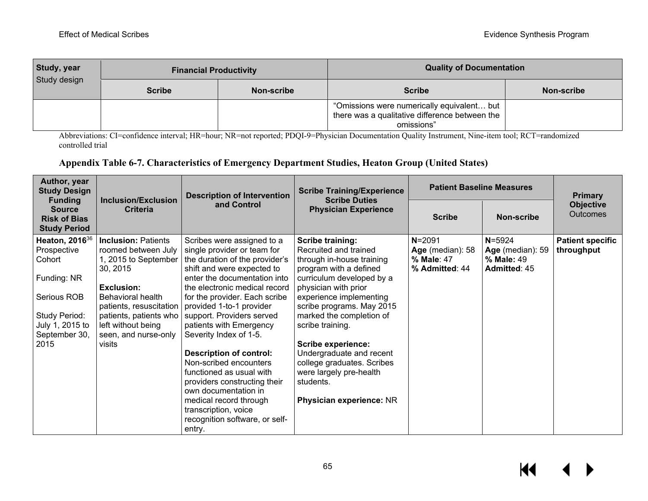| <b>Study, year</b><br>Study design | <b>Financial Productivity</b> |            | <b>Quality of Documentation</b>                                                                              |            |  |
|------------------------------------|-------------------------------|------------|--------------------------------------------------------------------------------------------------------------|------------|--|
|                                    | <b>Scribe</b>                 | Non-scribe | <b>Scribe</b>                                                                                                | Non-scribe |  |
|                                    |                               |            | "Omissions were numerically equivalent but  <br>there was a qualitative difference between the<br>omissions" |            |  |

Abbreviations: CI=confidence interval; HR=hour; NR=not reported; PDQI-9=Physician Documentation Quality Instrument, Nine-item tool; RCT=randomized controlled trial

### **Appendix Table 6-7. Characteristics of Emergency Department Studies, Heaton Group (United States)**

| Author, year<br><b>Study Design</b>                                                                                                            | Inclusion/Exclusion                                                                                                                                                                                                                   | <b>Description of Intervention</b>                                                                                                                                                                                                                                                                                                                                                                                                                                                                                                                                                      | <b>Scribe Training/Experience</b><br><b>Scribe Duties</b>                                                                                                                                                                                                                                                                                                                                                                       |                                                                |                                                              | <b>Patient Baseline Measures</b>      | <b>Primary</b> |
|------------------------------------------------------------------------------------------------------------------------------------------------|---------------------------------------------------------------------------------------------------------------------------------------------------------------------------------------------------------------------------------------|-----------------------------------------------------------------------------------------------------------------------------------------------------------------------------------------------------------------------------------------------------------------------------------------------------------------------------------------------------------------------------------------------------------------------------------------------------------------------------------------------------------------------------------------------------------------------------------------|---------------------------------------------------------------------------------------------------------------------------------------------------------------------------------------------------------------------------------------------------------------------------------------------------------------------------------------------------------------------------------------------------------------------------------|----------------------------------------------------------------|--------------------------------------------------------------|---------------------------------------|----------------|
| <b>Funding</b><br><b>Source</b><br><b>Risk of Bias</b><br><b>Study Period</b>                                                                  | <b>Criteria</b>                                                                                                                                                                                                                       | and Control                                                                                                                                                                                                                                                                                                                                                                                                                                                                                                                                                                             | <b>Physician Experience</b>                                                                                                                                                                                                                                                                                                                                                                                                     | <b>Scribe</b>                                                  | Non-scribe                                                   | <b>Objective</b><br><b>Outcomes</b>   |                |
| Heaton, 2016 <sup>36</sup><br>Prospective<br>Cohort<br>Funding: NR<br>Serious ROB<br>Study Period:<br>July 1, 2015 to<br>September 30,<br>2015 | <b>Inclusion: Patients</b><br>roomed between July<br>1, 2015 to September<br>30, 2015<br>Exclusion:<br>Behavioral health<br>patients, resuscitation<br>patients, patients who<br>left without being<br>seen, and nurse-only<br>visits | Scribes were assigned to a<br>single provider or team for<br>the duration of the provider's<br>shift and were expected to<br>enter the documentation into<br>the electronic medical record<br>for the provider. Each scribe<br>provided 1-to-1 provider<br>support. Providers served<br>patients with Emergency<br>Severity Index of 1-5.<br><b>Description of control:</b><br>Non-scribed encounters<br>functioned as usual with<br>providers constructing their<br>own documentation in<br>medical record through<br>transcription, voice<br>recognition software, or self-<br>entry. | <b>Scribe training:</b><br>Recruited and trained<br>through in-house training<br>program with a defined<br>curriculum developed by a<br>physician with prior<br>experience implementing<br>scribe programs. May 2015<br>marked the completion of<br>scribe training.<br><b>Scribe experience:</b><br>Undergraduate and recent<br>college graduates. Scribes<br>were largely pre-health<br>students.<br>Physician experience: NR | $N = 2091$<br>Age (median): 58<br>% Male: 47<br>% Admitted: 44 | $N = 5924$<br>Age (median): 59<br>% Male: 49<br>Admitted: 45 | <b>Patient specific</b><br>throughput |                |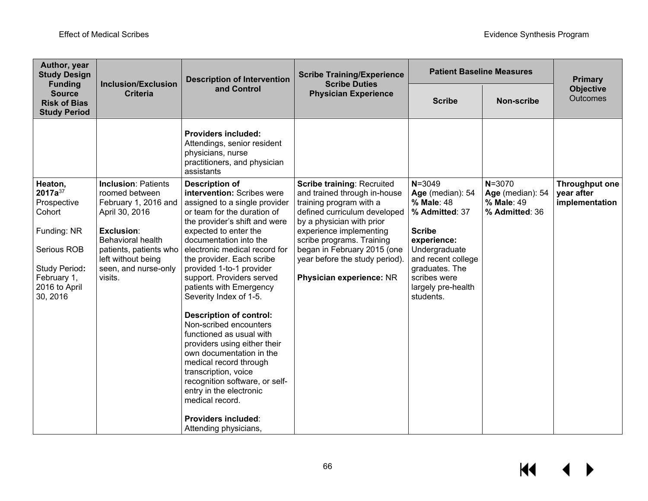| Author, year<br><b>Study Design</b>                                                                                                                       | <b>Inclusion/Exclusion</b>                                                                                                                                                                                          | <b>Description of Intervention</b>                                                                                                                                                                                                                                                                                                                                                                                                                                                                                                                                                                                                                                        | <b>Scribe Training/Experience</b><br><b>Scribe Duties</b>                                                                                                                                                                                                                                                      | <b>Patient Baseline Measures</b>                                                                                                                                                                           |                                                                | <b>Primary</b>                                        |
|-----------------------------------------------------------------------------------------------------------------------------------------------------------|---------------------------------------------------------------------------------------------------------------------------------------------------------------------------------------------------------------------|---------------------------------------------------------------------------------------------------------------------------------------------------------------------------------------------------------------------------------------------------------------------------------------------------------------------------------------------------------------------------------------------------------------------------------------------------------------------------------------------------------------------------------------------------------------------------------------------------------------------------------------------------------------------------|----------------------------------------------------------------------------------------------------------------------------------------------------------------------------------------------------------------------------------------------------------------------------------------------------------------|------------------------------------------------------------------------------------------------------------------------------------------------------------------------------------------------------------|----------------------------------------------------------------|-------------------------------------------------------|
| <b>Funding</b><br><b>Source</b><br><b>Risk of Bias</b><br><b>Study Period</b>                                                                             | <b>Criteria</b>                                                                                                                                                                                                     | and Control                                                                                                                                                                                                                                                                                                                                                                                                                                                                                                                                                                                                                                                               | <b>Physician Experience</b>                                                                                                                                                                                                                                                                                    | <b>Scribe</b>                                                                                                                                                                                              | <b>Non-scribe</b>                                              | <b>Objective</b><br><b>Outcomes</b>                   |
|                                                                                                                                                           |                                                                                                                                                                                                                     | <b>Providers included:</b><br>Attendings, senior resident<br>physicians, nurse<br>practitioners, and physician<br>assistants                                                                                                                                                                                                                                                                                                                                                                                                                                                                                                                                              |                                                                                                                                                                                                                                                                                                                |                                                                                                                                                                                                            |                                                                |                                                       |
| Heaton,<br>2017a <sup>37</sup><br>Prospective<br>Cohort<br>Funding: NR<br>Serious ROB<br><b>Study Period:</b><br>February 1,<br>2016 to April<br>30, 2016 | <b>Inclusion: Patients</b><br>roomed between<br>February 1, 2016 and<br>April 30, 2016<br>Exclusion:<br><b>Behavioral health</b><br>patients, patients who<br>left without being<br>seen, and nurse-only<br>visits. | <b>Description of</b><br>intervention: Scribes were<br>assigned to a single provider<br>or team for the duration of<br>the provider's shift and were<br>expected to enter the<br>documentation into the<br>electronic medical record for<br>the provider. Each scribe<br>provided 1-to-1 provider<br>support. Providers served<br>patients with Emergency<br>Severity Index of 1-5.<br><b>Description of control:</b><br>Non-scribed encounters<br>functioned as usual with<br>providers using either their<br>own documentation in the<br>medical record through<br>transcription, voice<br>recognition software, or self-<br>entry in the electronic<br>medical record. | <b>Scribe training: Recruited</b><br>and trained through in-house<br>training program with a<br>defined curriculum developed<br>by a physician with prior<br>experience implementing<br>scribe programs. Training<br>began in February 2015 (one<br>year before the study period).<br>Physician experience: NR | $N = 3049$<br>Age (median): 54<br>% Male: 48<br>% Admitted: 37<br><b>Scribe</b><br>experience:<br>Undergraduate<br>and recent college<br>graduates. The<br>scribes were<br>largely pre-health<br>students. | $N = 3070$<br>Age (median): 54<br>% Male: 49<br>% Admitted: 36 | <b>Throughput one</b><br>year after<br>implementation |
|                                                                                                                                                           |                                                                                                                                                                                                                     | <b>Providers included:</b><br>Attending physicians,                                                                                                                                                                                                                                                                                                                                                                                                                                                                                                                                                                                                                       |                                                                                                                                                                                                                                                                                                                |                                                                                                                                                                                                            |                                                                |                                                       |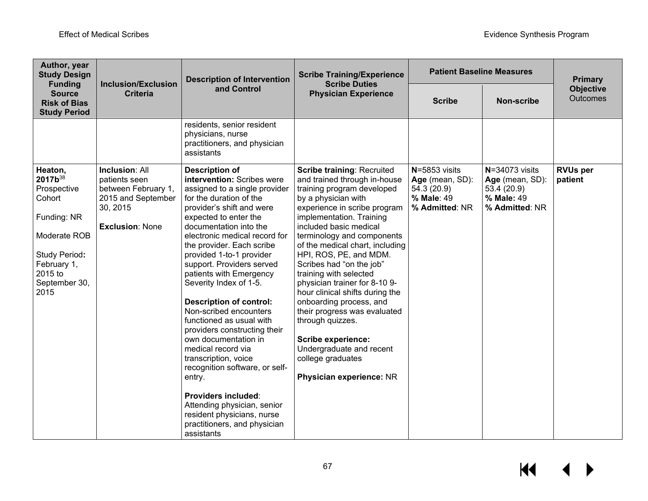| Author, year<br><b>Study Design</b><br><b>Funding</b>                                                                                                             | <b>Inclusion/Exclusion</b>                                                                                                | <b>Description of Intervention</b>                                                                                                                                                                                                                                                                                                                                                                                                                                                                                                                                                                                                                                                                                                                             | <b>Scribe Training/Experience</b><br><b>Scribe Duties</b>                                                                                                                                                                                                                                                                                                                                                                                                                                                                                                                                                                  | <b>Patient Baseline Measures</b>                                                | <b>Primary</b>                                                                       |                              |
|-------------------------------------------------------------------------------------------------------------------------------------------------------------------|---------------------------------------------------------------------------------------------------------------------------|----------------------------------------------------------------------------------------------------------------------------------------------------------------------------------------------------------------------------------------------------------------------------------------------------------------------------------------------------------------------------------------------------------------------------------------------------------------------------------------------------------------------------------------------------------------------------------------------------------------------------------------------------------------------------------------------------------------------------------------------------------------|----------------------------------------------------------------------------------------------------------------------------------------------------------------------------------------------------------------------------------------------------------------------------------------------------------------------------------------------------------------------------------------------------------------------------------------------------------------------------------------------------------------------------------------------------------------------------------------------------------------------------|---------------------------------------------------------------------------------|--------------------------------------------------------------------------------------|------------------------------|
| <b>Source</b><br><b>Risk of Bias</b><br><b>Study Period</b>                                                                                                       | <b>Criteria</b>                                                                                                           | and Control                                                                                                                                                                                                                                                                                                                                                                                                                                                                                                                                                                                                                                                                                                                                                    | <b>Physician Experience</b>                                                                                                                                                                                                                                                                                                                                                                                                                                                                                                                                                                                                | <b>Scribe</b>                                                                   | Non-scribe                                                                           | <b>Objective</b><br>Outcomes |
|                                                                                                                                                                   |                                                                                                                           | residents, senior resident<br>physicians, nurse<br>practitioners, and physician<br>assistants                                                                                                                                                                                                                                                                                                                                                                                                                                                                                                                                                                                                                                                                  |                                                                                                                                                                                                                                                                                                                                                                                                                                                                                                                                                                                                                            |                                                                                 |                                                                                      |                              |
| Heaton,<br>2017b <sup>38</sup><br>Prospective<br>Cohort<br>Funding: NR<br>Moderate ROB<br><b>Study Period:</b><br>February 1,<br>2015 to<br>September 30,<br>2015 | <b>Inclusion: All</b><br>patients seen<br>between February 1,<br>2015 and September<br>30, 2015<br><b>Exclusion: None</b> | <b>Description of</b><br>intervention: Scribes were<br>assigned to a single provider<br>for the duration of the<br>provider's shift and were<br>expected to enter the<br>documentation into the<br>electronic medical record for<br>the provider. Each scribe<br>provided 1-to-1 provider<br>support. Providers served<br>patients with Emergency<br>Severity Index of 1-5.<br><b>Description of control:</b><br>Non-scribed encounters<br>functioned as usual with<br>providers constructing their<br>own documentation in<br>medical record via<br>transcription, voice<br>recognition software, or self-<br>entry.<br><b>Providers included:</b><br>Attending physician, senior<br>resident physicians, nurse<br>practitioners, and physician<br>assistants | <b>Scribe training: Recruited</b><br>and trained through in-house<br>training program developed<br>by a physician with<br>experience in scribe program<br>implementation. Training<br>included basic medical<br>terminology and components<br>of the medical chart, including<br>HPI, ROS, PE, and MDM.<br>Scribes had "on the job"<br>training with selected<br>physician trainer for 8-10 9-<br>hour clinical shifts during the<br>onboarding process, and<br>their progress was evaluated<br>through quizzes.<br><b>Scribe experience:</b><br>Undergraduate and recent<br>college graduates<br>Physician experience: NR | N=5853 visits<br>Age (mean, SD):<br>54.3 (20.9)<br>% Male: 49<br>% Admitted: NR | $N = 34073$ visits<br>Age (mean, SD):<br>53.4 (20.9)<br>% Male: 49<br>% Admitted: NR | <b>RVUs per</b><br>patient   |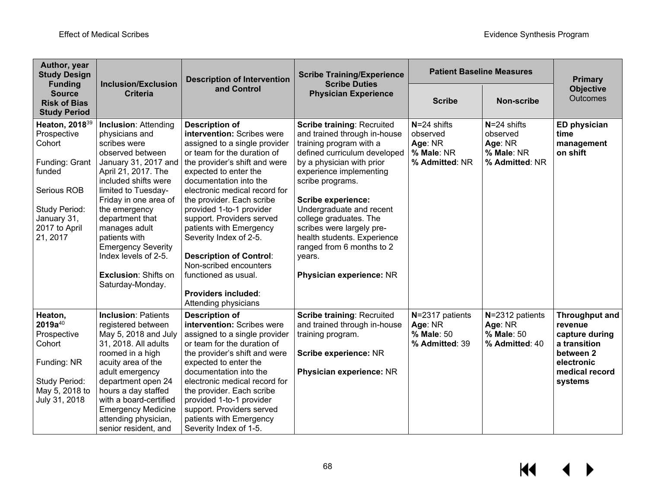| Author, year<br><b>Study Design</b><br><b>Funding</b>       | <b>Inclusion/Exclusion</b>                                          | <b>Description of Intervention</b>                                               | <b>Scribe Training/Experience</b><br><b>Scribe Duties</b>                | <b>Patient Baseline Measures</b> | <b>Primary</b>               |                                     |
|-------------------------------------------------------------|---------------------------------------------------------------------|----------------------------------------------------------------------------------|--------------------------------------------------------------------------|----------------------------------|------------------------------|-------------------------------------|
| <b>Source</b><br><b>Risk of Bias</b><br><b>Study Period</b> | <b>Criteria</b>                                                     | and Control                                                                      | <b>Physician Experience</b>                                              | <b>Scribe</b>                    | <b>Non-scribe</b>            | <b>Objective</b><br><b>Outcomes</b> |
| Heaton, 2018 <sup>39</sup><br>Prospective                   | <b>Inclusion: Attending</b><br>physicians and                       | <b>Description of</b><br>intervention: Scribes were                              | <b>Scribe training: Recruited</b><br>and trained through in-house        | $N = 24$ shifts<br>observed      | $N = 24$ shifts<br>observed  | <b>ED physician</b><br>time         |
| Cohort                                                      | scribes were<br>observed between                                    | assigned to a single provider<br>or team for the duration of                     | training program with a<br>defined curriculum developed                  | Age: NR<br>% Male: NR            | Age: NR<br>% Male: NR        | management<br>on shift              |
| Funding: Grant<br>funded                                    | January 31, 2017 and<br>April 21, 2017. The<br>included shifts were | the provider's shift and were<br>expected to enter the<br>documentation into the | by a physician with prior<br>experience implementing<br>scribe programs. | % Admitted: NR                   | % Admitted: NR               |                                     |
| Serious ROB                                                 | limited to Tuesday-<br>Friday in one area of                        | electronic medical record for<br>the provider. Each scribe                       | <b>Scribe experience:</b>                                                |                                  |                              |                                     |
| Study Period:<br>January 31,                                | the emergency<br>department that                                    | provided 1-to-1 provider<br>support. Providers served                            | Undergraduate and recent<br>college graduates. The                       |                                  |                              |                                     |
| 2017 to April                                               | manages adult                                                       | patients with Emergency                                                          | scribes were largely pre-                                                |                                  |                              |                                     |
| 21, 2017                                                    | patients with<br><b>Emergency Severity</b>                          | Severity Index of 2-5.                                                           | health students. Experience<br>ranged from 6 months to 2                 |                                  |                              |                                     |
|                                                             | Index levels of 2-5.                                                | <b>Description of Control:</b><br>Non-scribed encounters                         | years.                                                                   |                                  |                              |                                     |
|                                                             | <b>Exclusion: Shifts on</b><br>Saturday-Monday.                     | functioned as usual.                                                             | Physician experience: NR                                                 |                                  |                              |                                     |
|                                                             |                                                                     | <b>Providers included:</b><br>Attending physicians                               |                                                                          |                                  |                              |                                     |
| Heaton,<br>$2019a^{40}$                                     | <b>Inclusion: Patients</b><br>registered between                    | <b>Description of</b><br>intervention: Scribes were                              | <b>Scribe training: Recruited</b><br>and trained through in-house        | N=2317 patients<br>Age: NR       | N=2312 patients<br>Age: NR   | <b>Throughput and</b><br>revenue    |
| Prospective<br>Cohort                                       | May 5, 2018 and July<br>31, 2018. All adults                        | assigned to a single provider<br>or team for the duration of                     | training program.                                                        | % Male: 50<br>% Admitted: 39     | % Male: 50<br>% Admitted: 40 | capture during<br>a transition      |
|                                                             | roomed in a high                                                    | the provider's shift and were                                                    | Scribe experience: NR                                                    |                                  |                              | between 2                           |
| Funding: NR                                                 | acuity area of the<br>adult emergency                               | expected to enter the<br>documentation into the                                  | Physician experience: NR                                                 |                                  |                              | electronic<br>medical record        |
| Study Period:                                               | department open 24                                                  | electronic medical record for                                                    |                                                                          |                                  |                              | systems                             |
| May 5, 2018 to                                              | hours a day staffed                                                 | the provider. Each scribe                                                        |                                                                          |                                  |                              |                                     |
| July 31, 2018                                               | with a board-certified                                              | provided 1-to-1 provider                                                         |                                                                          |                                  |                              |                                     |
|                                                             | <b>Emergency Medicine</b>                                           | support. Providers served                                                        |                                                                          |                                  |                              |                                     |
|                                                             | attending physician,<br>senior resident, and                        | patients with Emergency<br>Severity Index of 1-5.                                |                                                                          |                                  |                              |                                     |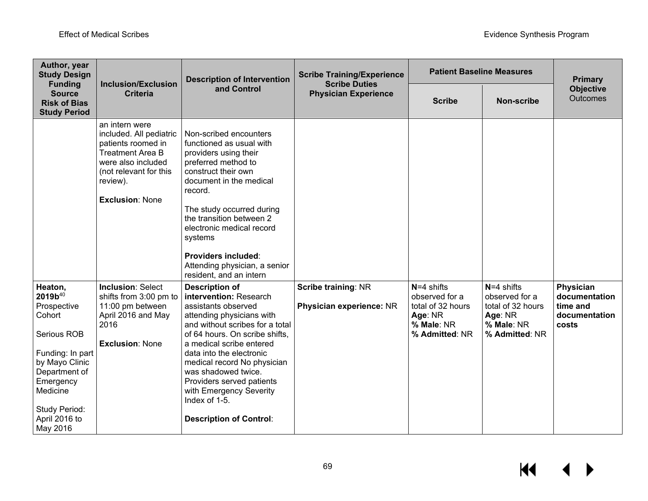| Author, year<br><b>Study Design</b>                                                                                                                                                                         |                                                                                                                                                                                  | <b>Description of Intervention</b>                                                                                                                                                                                                                                                                                                                                                                | <b>Scribe Training/Experience</b><br><b>Scribe Duties</b> | <b>Patient Baseline Measures</b>                                                               | <b>Primary</b>                                                                                 |                                                                  |
|-------------------------------------------------------------------------------------------------------------------------------------------------------------------------------------------------------------|----------------------------------------------------------------------------------------------------------------------------------------------------------------------------------|---------------------------------------------------------------------------------------------------------------------------------------------------------------------------------------------------------------------------------------------------------------------------------------------------------------------------------------------------------------------------------------------------|-----------------------------------------------------------|------------------------------------------------------------------------------------------------|------------------------------------------------------------------------------------------------|------------------------------------------------------------------|
| <b>Funding</b><br><b>Source</b><br><b>Risk of Bias</b><br><b>Study Period</b>                                                                                                                               | <b>Inclusion/Exclusion</b><br><b>Criteria</b>                                                                                                                                    | and Control                                                                                                                                                                                                                                                                                                                                                                                       | <b>Physician Experience</b>                               | <b>Scribe</b>                                                                                  | <b>Non-scribe</b>                                                                              | <b>Objective</b><br>Outcomes                                     |
|                                                                                                                                                                                                             | an intern were<br>included. All pediatric<br>patients roomed in<br><b>Treatment Area B</b><br>were also included<br>(not relevant for this<br>review).<br><b>Exclusion: None</b> | Non-scribed encounters<br>functioned as usual with<br>providers using their<br>preferred method to<br>construct their own<br>document in the medical<br>record.<br>The study occurred during<br>the transition between 2<br>electronic medical record<br>systems<br>Providers included:<br>Attending physician, a senior<br>resident, and an intern                                               |                                                           |                                                                                                |                                                                                                |                                                                  |
| Heaton,<br>2019b <sup>40</sup><br>Prospective<br>Cohort<br>Serious ROB<br>Funding: In part<br>by Mayo Clinic<br>Department of<br>Emergency<br>Medicine<br><b>Study Period:</b><br>April 2016 to<br>May 2016 | <b>Inclusion: Select</b><br>shifts from 3:00 pm to<br>11:00 pm between<br>April 2016 and May<br>2016<br><b>Exclusion: None</b>                                                   | <b>Description of</b><br>intervention: Research<br>assistants observed<br>attending physicians with<br>and without scribes for a total<br>of 64 hours. On scribe shifts,<br>a medical scribe entered<br>data into the electronic<br>medical record No physician<br>was shadowed twice.<br>Providers served patients<br>with Emergency Severity<br>Index of 1-5.<br><b>Description of Control:</b> | <b>Scribe training: NR</b><br>Physician experience: NR    | $N=4$ shifts<br>observed for a<br>total of 32 hours<br>Age: NR<br>% Male: NR<br>% Admitted: NR | $N=4$ shifts<br>observed for a<br>total of 32 hours<br>Age: NR<br>% Male: NR<br>% Admitted: NR | Physician<br>documentation<br>time and<br>documentation<br>costs |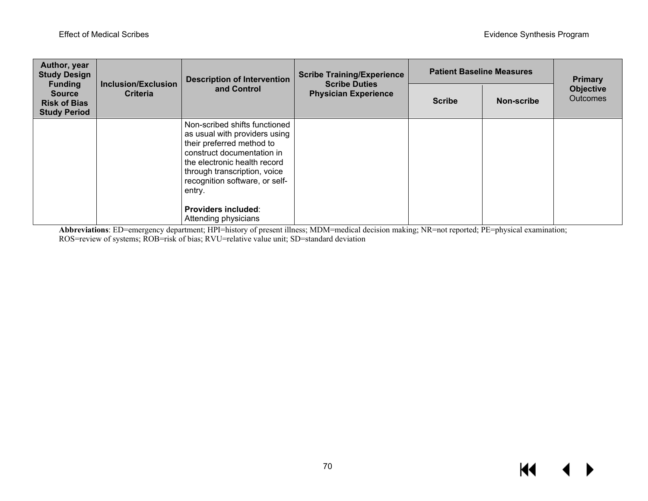| Author, year<br><b>Study Design</b><br><b>Funding</b>       | <b>Inclusion/Exclusion</b><br><b>Criteria</b> | <b>Description of Intervention</b><br>and Control                                                                                                                                                                                                                   | <b>Scribe Training/Experience</b><br><b>Scribe Duties</b><br><b>Physician Experience</b> | <b>Patient Baseline Measures</b> | <b>Primary</b> |                                     |
|-------------------------------------------------------------|-----------------------------------------------|---------------------------------------------------------------------------------------------------------------------------------------------------------------------------------------------------------------------------------------------------------------------|------------------------------------------------------------------------------------------|----------------------------------|----------------|-------------------------------------|
| <b>Source</b><br><b>Risk of Bias</b><br><b>Study Period</b> |                                               |                                                                                                                                                                                                                                                                     |                                                                                          | <b>Scribe</b>                    | Non-scribe     | <b>Objective</b><br><b>Outcomes</b> |
|                                                             |                                               | Non-scribed shifts functioned<br>as usual with providers using<br>their preferred method to<br>construct documentation in<br>the electronic health record<br>through transcription, voice<br>recognition software, or self-<br>entry.<br><b>Providers included:</b> |                                                                                          |                                  |                |                                     |
|                                                             |                                               | Attending physicians                                                                                                                                                                                                                                                |                                                                                          |                                  |                |                                     |

**Abbreviations**: ED=emergency department; HPI=history of present illness; MDM=medical decision making; NR=not reported; PE=physical examination; ROS=review of systems; ROB=risk of bias; RVU=relative value unit; SD=standard deviation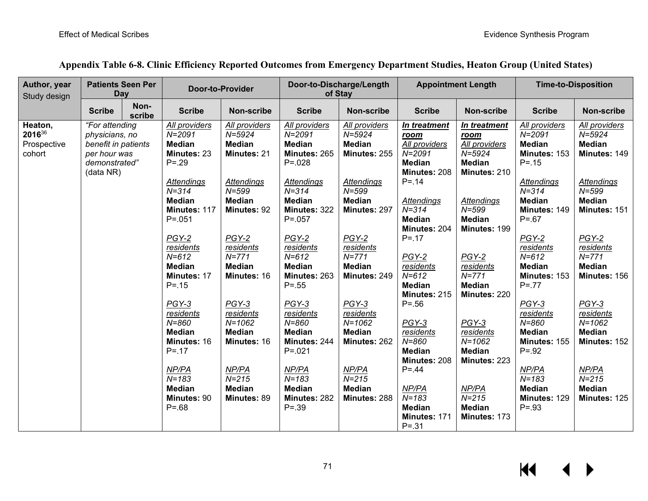| Author, year<br>Study design               | <b>Patients Seen Per</b><br>Day                                                                       |                | Door-to-Provider                                                                                                                                                                                                                                                                                                                                                     |                                                                                                                                                                                                                                                                                                        | Door-to-Discharge/Length<br>of Stay                                                                                                                                                                                                                                                                                                                                      |                                                                                                                                                                                                                                                                                                                   | <b>Appointment Length</b>                                                                                                                                                                                                                                                                                                                              |                                                                                                                                                                                                                                                                                                        | <b>Time-to-Disposition</b>                                                                                                                                                                                                                                                                                                                                        |                                                                                                                                                                                                                                                                                                            |
|--------------------------------------------|-------------------------------------------------------------------------------------------------------|----------------|----------------------------------------------------------------------------------------------------------------------------------------------------------------------------------------------------------------------------------------------------------------------------------------------------------------------------------------------------------------------|--------------------------------------------------------------------------------------------------------------------------------------------------------------------------------------------------------------------------------------------------------------------------------------------------------|--------------------------------------------------------------------------------------------------------------------------------------------------------------------------------------------------------------------------------------------------------------------------------------------------------------------------------------------------------------------------|-------------------------------------------------------------------------------------------------------------------------------------------------------------------------------------------------------------------------------------------------------------------------------------------------------------------|--------------------------------------------------------------------------------------------------------------------------------------------------------------------------------------------------------------------------------------------------------------------------------------------------------------------------------------------------------|--------------------------------------------------------------------------------------------------------------------------------------------------------------------------------------------------------------------------------------------------------------------------------------------------------|-------------------------------------------------------------------------------------------------------------------------------------------------------------------------------------------------------------------------------------------------------------------------------------------------------------------------------------------------------------------|------------------------------------------------------------------------------------------------------------------------------------------------------------------------------------------------------------------------------------------------------------------------------------------------------------|
|                                            | <b>Scribe</b>                                                                                         | Non-<br>scribe | <b>Scribe</b>                                                                                                                                                                                                                                                                                                                                                        | Non-scribe                                                                                                                                                                                                                                                                                             | <b>Scribe</b>                                                                                                                                                                                                                                                                                                                                                            | Non-scribe                                                                                                                                                                                                                                                                                                        | <b>Scribe</b>                                                                                                                                                                                                                                                                                                                                          | Non-scribe                                                                                                                                                                                                                                                                                             | <b>Scribe</b>                                                                                                                                                                                                                                                                                                                                                     | Non-scribe                                                                                                                                                                                                                                                                                                 |
| Heaton,<br>201636<br>Prospective<br>cohort | "For attending<br>physicians, no<br>benefit in patients<br>per hour was<br>demonstrated"<br>(data NR) |                | All providers<br>$N = 2091$<br><b>Median</b><br>Minutes: 23<br>$P = 0.29$<br><b>Attendings</b><br>$N = 314$<br><b>Median</b><br>Minutes: 117<br>$P = 0.051$<br>$PGY-2$<br>residents<br>$N = 612$<br><b>Median</b><br>Minutes: 17<br>$P = 15$<br>$PGY-3$<br>residents<br>$N = 860$<br><b>Median</b><br>Minutes: 16<br>$P = 17$<br>NP/PA<br>$N = 183$<br><b>Median</b> | All providers<br>$N = 5924$<br><b>Median</b><br>Minutes: 21<br>Attendings<br>$N = 599$<br><b>Median</b><br>Minutes: 92<br>$PGY-2$<br>residents<br>$N = 771$<br><b>Median</b><br>Minutes: 16<br>PGY-3<br>residents<br>$N = 1062$<br><b>Median</b><br>Minutes: 16<br>NP/PA<br>$N = 215$<br><b>Median</b> | All providers<br>$N = 2091$<br><b>Median</b><br>Minutes: 265<br>$P = 0.028$<br><b>Attendings</b><br>$N = 314$<br><b>Median</b><br>Minutes: 322<br>$P = 0.057$<br>PGY-2<br>residents<br>$N = 612$<br><b>Median</b><br>Minutes: 263<br>$P = .55$<br>PGY-3<br>residents<br>$N = 860$<br><b>Median</b><br>Minutes: 244<br>$P = 0.021$<br>NP/PA<br>$N = 183$<br><b>Median</b> | All providers<br>$N = 5924$<br><b>Median</b><br>Minutes: 255<br><b>Attendings</b><br>$N = 599$<br><b>Median</b><br>Minutes: 297<br>$PGY-2$<br>residents<br>$N = 771$<br><b>Median</b><br>Minutes: 249<br>PGY-3<br>residents<br>$N = 1062$<br><b>Median</b><br>Minutes: 262<br>NP/PA<br>$N = 215$<br><b>Median</b> | In treatment<br>room<br>All providers<br>$N = 2091$<br><b>Median</b><br>Minutes: 208<br>$P = 14$<br>Attendings<br>$N = 314$<br><b>Median</b><br>Minutes: 204<br>$P = 17$<br>$PGY-2$<br>residents<br>$N = 612$<br><b>Median</b><br>Minutes: 215<br>$P = .56$<br>PGY-3<br>residents<br>$N = 860$<br><b>Median</b><br>Minutes: 208<br>$P = 0.44$<br>NP/PA | In treatment<br>room<br>All providers<br>$N = 5924$<br><b>Median</b><br>Minutes: 210<br>Attendings<br>$N = 599$<br><b>Median</b><br>Minutes: 199<br>$PGY-2$<br>residents<br>$N = 771$<br><b>Median</b><br>Minutes: 220<br>$PGY-3$<br>residents<br>$N = 1062$<br><b>Median</b><br>Minutes: 223<br>NP/PA | All providers<br>$N = 2091$<br><b>Median</b><br>Minutes: 153<br>$P = 15$<br><b>Attendings</b><br>$N = 314$<br><b>Median</b><br>Minutes: 149<br>$P = .67$<br>PGY-2<br>residents<br>$N = 612$<br><b>Median</b><br>Minutes: 153<br>$P = .77$<br>PGY-3<br>residents<br>$N = 860$<br><b>Median</b><br>Minutes: 155<br>$P = .92$<br>NP/PA<br>$N = 183$<br><b>Median</b> | All providers<br>$N = 5924$<br><b>Median</b><br>Minutes: 149<br>Attendings<br>$N = 599$<br><b>Median</b><br>Minutes: 151<br>$PGY-2$<br>residents<br>$N = 771$<br><b>Median</b><br>Minutes: 156<br>PGY-3<br>residents<br>$N = 1062$<br><b>Median</b><br>Minutes: 152<br>NP/PA<br>$N = 215$<br><b>Median</b> |
|                                            |                                                                                                       |                | Minutes: 90<br>$P = .68$                                                                                                                                                                                                                                                                                                                                             | Minutes: 89                                                                                                                                                                                                                                                                                            | Minutes: 282<br>$P = .39$                                                                                                                                                                                                                                                                                                                                                | Minutes: 288                                                                                                                                                                                                                                                                                                      | $N = 183$<br><b>Median</b><br>Minutes: 171<br>$P = .31$                                                                                                                                                                                                                                                                                                | $N = 215$<br><b>Median</b><br>Minutes: 173                                                                                                                                                                                                                                                             | Minutes: 129<br>$P = .93$                                                                                                                                                                                                                                                                                                                                         | Minutes: 125                                                                                                                                                                                                                                                                                               |

## **Appendix Table 6-8. Clinic Efficiency Reported Outcomes from Emergency Department Studies, Heaton Group (United States)**

 $\overline{\mathbf{M}}$ ▶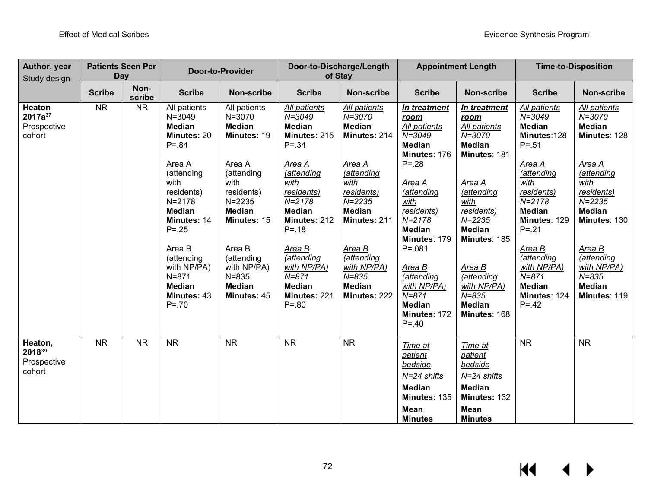| Author, year<br>Study design                           | <b>Patients Seen Per</b><br>Day |                | <b>Door-to-Provider</b>                                                                                                                                                                                                                                                          |                                                                                                                                                                                                                                        |                                                                                                                                                                                                                                                                                            | Door-to-Discharge/Length<br>of Stay                                                                                                                                                                                                                  |                                                                                                                                                                                                                                                                                                                 | <b>Appointment Length</b>                                                                                                                                                                                                                                             | <b>Time-to-Disposition</b>                                                                                                                                                                                                                                                         |                                                                                                                                                                                                                                               |
|--------------------------------------------------------|---------------------------------|----------------|----------------------------------------------------------------------------------------------------------------------------------------------------------------------------------------------------------------------------------------------------------------------------------|----------------------------------------------------------------------------------------------------------------------------------------------------------------------------------------------------------------------------------------|--------------------------------------------------------------------------------------------------------------------------------------------------------------------------------------------------------------------------------------------------------------------------------------------|------------------------------------------------------------------------------------------------------------------------------------------------------------------------------------------------------------------------------------------------------|-----------------------------------------------------------------------------------------------------------------------------------------------------------------------------------------------------------------------------------------------------------------------------------------------------------------|-----------------------------------------------------------------------------------------------------------------------------------------------------------------------------------------------------------------------------------------------------------------------|------------------------------------------------------------------------------------------------------------------------------------------------------------------------------------------------------------------------------------------------------------------------------------|-----------------------------------------------------------------------------------------------------------------------------------------------------------------------------------------------------------------------------------------------|
|                                                        | <b>Scribe</b>                   | Non-<br>scribe | <b>Scribe</b>                                                                                                                                                                                                                                                                    | <b>Non-scribe</b>                                                                                                                                                                                                                      | <b>Scribe</b>                                                                                                                                                                                                                                                                              | <b>Non-scribe</b>                                                                                                                                                                                                                                    | <b>Scribe</b>                                                                                                                                                                                                                                                                                                   | <b>Non-scribe</b>                                                                                                                                                                                                                                                     | <b>Scribe</b>                                                                                                                                                                                                                                                                      | <b>Non-scribe</b>                                                                                                                                                                                                                             |
| Heaton<br>2017a <sup>37</sup><br>Prospective<br>cohort | <b>NR</b>                       | <b>NR</b>      | All patients<br>$N = 3049$<br><b>Median</b><br>Minutes: 20<br>$P = .84$<br>Area A<br>(attending<br>with<br>residents)<br>$N = 2178$<br><b>Median</b><br>Minutes: 14<br>$P = .25$<br>Area B<br>(attending<br>with NP/PA)<br>$N = 871$<br><b>Median</b><br>Minutes: 43<br>$P = 70$ | All patients<br>N=3070<br><b>Median</b><br>Minutes: 19<br>Area A<br>(attending<br>with<br>residents)<br>$N = 2235$<br><b>Median</b><br>Minutes: 15<br>Area B<br>(attending<br>with NP/PA)<br>$N = 835$<br><b>Median</b><br>Minutes: 45 | All patients<br>$N = 3049$<br><b>Median</b><br>Minutes: 215<br>$P = .34$<br><u>Area A</u><br>(attending<br>with<br>residents)<br>$N = 2178$<br><b>Median</b><br>Minutes: 212<br>$P = 18$<br>Area B<br>(attending<br>with NP/PA)<br>$N = 871$<br><b>Median</b><br>Minutes: 221<br>$P = .80$ | All patients<br>$N = 3070$<br><b>Median</b><br>Minutes: 214<br><u>Area A</u><br>(attending<br>with<br>residents)<br>$N = 2235$<br><b>Median</b><br>Minutes: 211<br>Area B<br>(attending<br>with NP/PA)<br>$N = 835$<br><b>Median</b><br>Minutes: 222 | In treatment<br>room<br>All patients<br>$N = 3049$<br><b>Median</b><br>Minutes: 176<br>$P = 0.28$<br>Area A<br>(attending<br>with<br>residents)<br>$N = 2178$<br><b>Median</b><br>Minutes: 179<br>$P = 0.081$<br>Area B<br>(attending<br>with NP/PA)<br>$N = 871$<br><b>Median</b><br>Minutes: 172<br>$P = .40$ | In treatment<br>room<br>All patients<br>$N = 3070$<br><b>Median</b><br>Minutes: 181<br>Area A<br>(attending<br>with<br>residents)<br>$N = 2235$<br><b>Median</b><br>Minutes: 185<br>Area B<br>(attending<br>with NP/PA)<br>$N = 835$<br><b>Median</b><br>Minutes: 168 | All patients<br>$N = 3049$<br><b>Median</b><br>Minutes:128<br>$P = .51$<br>Area A<br>(attending<br>with<br>residents)<br>$N = 2178$<br><b>Median</b><br>Minutes: 129<br>$P = .21$<br>Area B<br>(attending<br>with NP/PA)<br>$N = 871$<br><b>Median</b><br>Minutes: 124<br>$P = 42$ | All patients<br>$N = 3070$<br><b>Median</b><br>Minutes: 128<br>Area A<br>(attending<br>with<br>residents)<br>$N = 2235$<br><b>Median</b><br>Minutes: 130<br>Area B<br>(attending<br>with NP/PA)<br>$N = 835$<br><b>Median</b><br>Minutes: 119 |
| Heaton,<br>201839<br>Prospective<br>cohort             | <b>NR</b>                       | <b>NR</b>      | $\overline{\text{NR}}$                                                                                                                                                                                                                                                           | <b>NR</b>                                                                                                                                                                                                                              | <b>NR</b>                                                                                                                                                                                                                                                                                  | <b>NR</b>                                                                                                                                                                                                                                            | Time at<br>patient<br>bedside<br>N=24 shifts<br><b>Median</b><br>Minutes: 135<br><b>Mean</b><br><b>Minutes</b>                                                                                                                                                                                                  | Time at<br><i>patient</i><br>bedside<br>$N=24$ shifts<br><b>Median</b><br>Minutes: 132<br>Mean<br><b>Minutes</b>                                                                                                                                                      | <b>NR</b>                                                                                                                                                                                                                                                                          | <b>NR</b>                                                                                                                                                                                                                                     |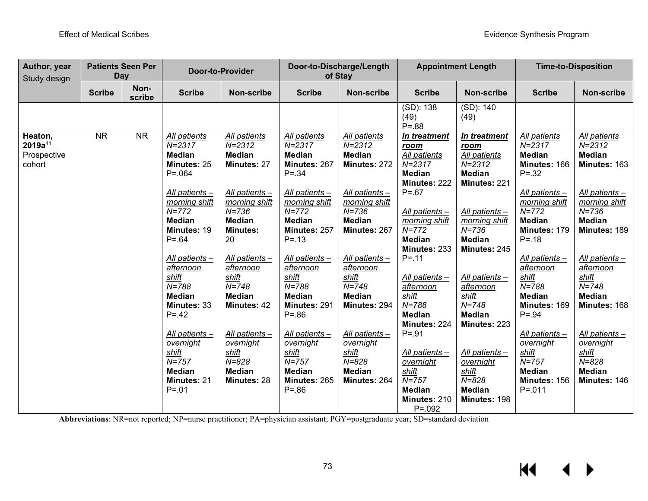| Author, year<br>Study design                     | <b>Day</b>    | <b>Patients Seen Per</b> | <b>Door-to-Provider</b>                                                                                                                                                                                                                                                                                                                                                      |                                                                                                                                                                                                                                                                                                                               | Door-to-Discharge/Length<br>of Stay                                                                                                                                                                                                                                                                                                                                         |                                                                                                                                                                                                                                                                                                                          | <b>Appointment Length</b>                                                                                                                                                                                                                                                                                                                                                                             |                                                                                                                                                                                                                                                                                                                                                  | <b>Time-to-Disposition</b>                                                                                                                                                                                                                                                                                                                                                  |                                                                                                                                                                                                                                                                                                                          |
|--------------------------------------------------|---------------|--------------------------|------------------------------------------------------------------------------------------------------------------------------------------------------------------------------------------------------------------------------------------------------------------------------------------------------------------------------------------------------------------------------|-------------------------------------------------------------------------------------------------------------------------------------------------------------------------------------------------------------------------------------------------------------------------------------------------------------------------------|-----------------------------------------------------------------------------------------------------------------------------------------------------------------------------------------------------------------------------------------------------------------------------------------------------------------------------------------------------------------------------|--------------------------------------------------------------------------------------------------------------------------------------------------------------------------------------------------------------------------------------------------------------------------------------------------------------------------|-------------------------------------------------------------------------------------------------------------------------------------------------------------------------------------------------------------------------------------------------------------------------------------------------------------------------------------------------------------------------------------------------------|--------------------------------------------------------------------------------------------------------------------------------------------------------------------------------------------------------------------------------------------------------------------------------------------------------------------------------------------------|-----------------------------------------------------------------------------------------------------------------------------------------------------------------------------------------------------------------------------------------------------------------------------------------------------------------------------------------------------------------------------|--------------------------------------------------------------------------------------------------------------------------------------------------------------------------------------------------------------------------------------------------------------------------------------------------------------------------|
|                                                  | <b>Scribe</b> | Non-<br>scribe           | <b>Scribe</b>                                                                                                                                                                                                                                                                                                                                                                | <b>Non-scribe</b>                                                                                                                                                                                                                                                                                                             | <b>Scribe</b>                                                                                                                                                                                                                                                                                                                                                               | <b>Non-scribe</b>                                                                                                                                                                                                                                                                                                        | <b>Scribe</b>                                                                                                                                                                                                                                                                                                                                                                                         | <b>Non-scribe</b>                                                                                                                                                                                                                                                                                                                                | <b>Scribe</b>                                                                                                                                                                                                                                                                                                                                                               | <b>Non-scribe</b>                                                                                                                                                                                                                                                                                                        |
|                                                  |               |                          |                                                                                                                                                                                                                                                                                                                                                                              |                                                                                                                                                                                                                                                                                                                               |                                                                                                                                                                                                                                                                                                                                                                             |                                                                                                                                                                                                                                                                                                                          | (SD): 138<br>(49)<br>$P = .88$                                                                                                                                                                                                                                                                                                                                                                        | (SD): 140<br>(49)                                                                                                                                                                                                                                                                                                                                |                                                                                                                                                                                                                                                                                                                                                                             |                                                                                                                                                                                                                                                                                                                          |
| Heaton,<br>$2019a^{41}$<br>Prospective<br>cohort | <b>NR</b>     | <b>NR</b>                | All patients<br>$N = 2317$<br><b>Median</b><br>Minutes: 25<br>$P = 064$<br>All patients -<br>morning shift<br>$N = 772$<br><b>Median</b><br>Minutes: 19<br>$P = 64$<br>All patients -<br>afternoon<br>shift<br>$N = 788$<br><b>Median</b><br><b>Minutes: 33</b><br>$P = 42$<br>All patients -<br>overnight<br>shift<br>$N = 757$<br><b>Median</b><br>Minutes: 21<br>$P = 01$ | All patients<br>$N = 2312$<br><b>Median</b><br>Minutes: 27<br>All patients-<br>morning shift<br>$N = 736$<br><b>Median</b><br><b>Minutes:</b><br>20<br>All patients -<br>afternoon<br>shift<br>$N = 748$<br><b>Median</b><br>Minutes: 42<br>All patients -<br>overnight<br>shift<br>$N = 828$<br><b>Median</b><br>Minutes: 28 | All patients<br>$N = 2317$<br><b>Median</b><br>Minutes: 267<br>$P = 0.34$<br>All patients -<br>morning shift<br>$N = 772$<br><b>Median</b><br>Minutes: 257<br>$P = 13$<br>All patients -<br>afternoon<br>shift<br>$N = 788$<br><b>Median</b><br>Minutes: 291<br>$P = .86$<br>All patients-<br>overnight<br>shift<br>$N = 757$<br><b>Median</b><br>Minutes: 265<br>$P = .86$ | All patients<br>$N = 2312$<br><b>Median</b><br>Minutes: 272<br>All patients -<br>morning shift<br>$N = 736$<br><b>Median</b><br>Minutes: 267<br>All patients -<br>afternoon<br>shift<br>$N = 748$<br><b>Median</b><br>Minutes: 294<br>All patients -<br>overnight<br>shift<br>$N = 828$<br><b>Median</b><br>Minutes: 264 | In treatment<br>room<br>All patients<br>$N = 2317$<br><b>Median</b><br>Minutes: 222<br>$P = .67$<br>All patients -<br>morning shift<br>$N = 772$<br><b>Median</b><br>Minutes: 233<br>$P = 11$<br>All patients -<br>afternoon<br>shift<br>$N = 788$<br><b>Median</b><br>Minutes: 224<br>$P = .91$<br>All patients -<br>overnight<br>shift<br>$N = 757$<br><b>Median</b><br>Minutes: 210<br>$P = 0.092$ | In treatment<br>room<br>All patients<br>$N = 2312$<br><b>Median</b><br>Minutes: 221<br>All patients -<br>morning shift<br>$N = 736$<br><b>Median</b><br>Minutes: 245<br>All patients -<br>afternoon<br>shift<br>$N = 748$<br><b>Median</b><br>Minutes: 223<br>All patients -<br>overnight<br>shift<br>$N = 828$<br><b>Median</b><br>Minutes: 198 | All patients<br>$N = 2317$<br><b>Median</b><br>Minutes: 166<br>$P = 0.32$<br>All patients -<br>morning shift<br>$N = 772$<br><b>Median</b><br>Minutes: 179<br>$P = 18$<br>All patients -<br>afternoon<br>shift<br>$N = 788$<br><b>Median</b><br>Minutes: 169<br>$P = .94$<br>All patients-<br>overnight<br>shift<br>$N = 757$<br><b>Median</b><br>Minutes: 156<br>$P = 011$ | All patients<br>$N = 2312$<br><b>Median</b><br>Minutes: 163<br>All patients -<br>morning shift<br>$N = 736$<br><b>Median</b><br>Minutes: 189<br>All patients -<br>afternoon<br>shift<br>$N = 748$<br><b>Median</b><br>Minutes: 168<br>All patients -<br>overnight<br>shift<br>$N = 828$<br><b>Median</b><br>Minutes: 146 |

**Abbreviations**: NR=not reported; NP=nurse practitioner; PA=physician assistant; PGY=postgraduate year; SD=standard deviation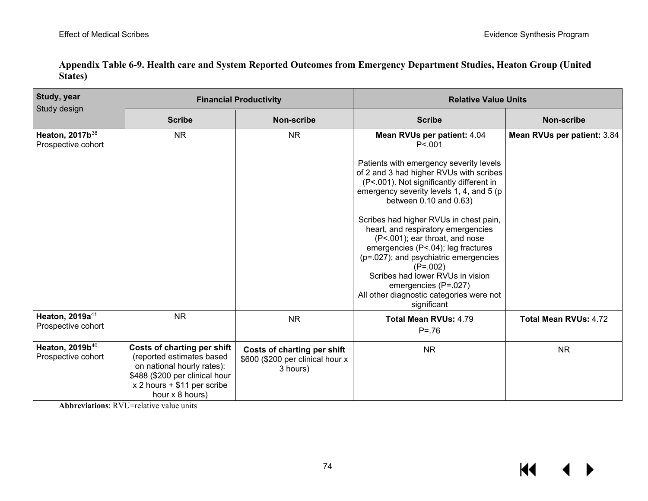| Study, year<br>Study design                       |                                                                                                                                                                              | <b>Financial Productivity</b>                                               | <b>Relative Value Units</b>                                                                                                                                                                                                                                                                                                                                                                                                                                                                                                                |                             |  |  |
|---------------------------------------------------|------------------------------------------------------------------------------------------------------------------------------------------------------------------------------|-----------------------------------------------------------------------------|--------------------------------------------------------------------------------------------------------------------------------------------------------------------------------------------------------------------------------------------------------------------------------------------------------------------------------------------------------------------------------------------------------------------------------------------------------------------------------------------------------------------------------------------|-----------------------------|--|--|
|                                                   | <b>Scribe</b>                                                                                                                                                                | <b>Non-scribe</b>                                                           | <b>Scribe</b>                                                                                                                                                                                                                                                                                                                                                                                                                                                                                                                              | <b>Non-scribe</b>           |  |  |
| Heaton, 2017b <sup>38</sup><br>Prospective cohort | <b>NR</b>                                                                                                                                                                    | <b>NR</b>                                                                   | Mean RVUs per patient: 4.04<br>P < 001                                                                                                                                                                                                                                                                                                                                                                                                                                                                                                     | Mean RVUs per patient: 3.84 |  |  |
|                                                   |                                                                                                                                                                              |                                                                             | Patients with emergency severity levels<br>of 2 and 3 had higher RVUs with scribes<br>(P<.001). Not significantly different in<br>emergency severity levels 1, 4, and 5 (p<br>between 0.10 and 0.63)<br>Scribes had higher RVUs in chest pain,<br>heart, and respiratory emergencies<br>(P<.001); ear throat, and nose<br>emergencies (P<.04); leg fractures<br>(p=.027); and psychiatric emergencies<br>$(P=.002)$<br>Scribes had lower RVUs in vision<br>emergencies (P=.027)<br>All other diagnostic categories were not<br>significant |                             |  |  |
| Heaton, 2019a <sup>41</sup><br>Prospective cohort | <b>NR</b>                                                                                                                                                                    | <b>NR</b>                                                                   | Total Mean RVUs: 4.79<br>$P = 76$                                                                                                                                                                                                                                                                                                                                                                                                                                                                                                          | Total Mean RVUs: 4.72       |  |  |
| Heaton, 2019b <sup>40</sup><br>Prospective cohort | Costs of charting per shift<br>(reported estimates based<br>on national hourly rates):<br>\$488 (\$200 per clinical hour<br>$x 2$ hours + \$11 per scribe<br>hour x 8 hours) | Costs of charting per shift<br>\$600 (\$200 per clinical hour x<br>3 hours) | <b>NR</b>                                                                                                                                                                                                                                                                                                                                                                                                                                                                                                                                  | <b>NR</b>                   |  |  |

**Appendix Table 6-9. Health care and System Reported Outcomes from Emergency Department Studies, Heaton Group (United States)**

**Abbreviations**: RVU=relative value units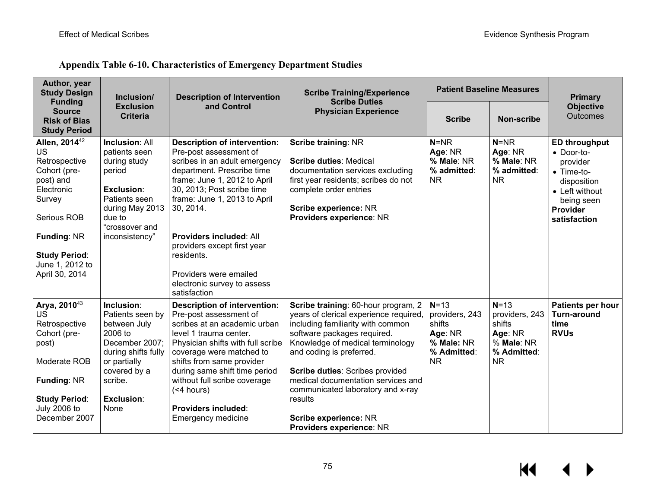**Appendix Table 6-10. Characteristics of Emergency Department Studies**

| Author, year<br><b>Study Design</b>                                                                                                                                                                            | Inclusion/                                                                                                                                                          | <b>Description of Intervention</b>                                                                                                                                                                                                                                                                                                                                                              | <b>Scribe Training/Experience</b>                                                                                                                                                                                                                                                                                                                                                               | <b>Patient Baseline Measures</b>                                                        |                                                                                         | <b>Primary</b>                                                                                                                                  |
|----------------------------------------------------------------------------------------------------------------------------------------------------------------------------------------------------------------|---------------------------------------------------------------------------------------------------------------------------------------------------------------------|-------------------------------------------------------------------------------------------------------------------------------------------------------------------------------------------------------------------------------------------------------------------------------------------------------------------------------------------------------------------------------------------------|-------------------------------------------------------------------------------------------------------------------------------------------------------------------------------------------------------------------------------------------------------------------------------------------------------------------------------------------------------------------------------------------------|-----------------------------------------------------------------------------------------|-----------------------------------------------------------------------------------------|-------------------------------------------------------------------------------------------------------------------------------------------------|
| <b>Funding</b><br><b>Source</b><br><b>Risk of Bias</b><br><b>Study Period</b>                                                                                                                                  | <b>Exclusion</b><br><b>Criteria</b>                                                                                                                                 | and Control                                                                                                                                                                                                                                                                                                                                                                                     | <b>Scribe Duties</b><br><b>Physician Experience</b>                                                                                                                                                                                                                                                                                                                                             | <b>Scribe</b>                                                                           | <b>Non-scribe</b>                                                                       | <b>Objective</b><br>Outcomes                                                                                                                    |
| Allen, 2014 <sup>42</sup><br><b>US</b><br>Retrospective<br>Cohort (pre-<br>post) and<br>Electronic<br>Survey<br>Serious ROB<br><b>Funding: NR</b><br><b>Study Period:</b><br>June 1, 2012 to<br>April 30, 2014 | <b>Inclusion: All</b><br>patients seen<br>during study<br>period<br>Exclusion:<br>Patients seen<br>during May 2013<br>due to<br>"crossover and<br>inconsistency"    | <b>Description of intervention:</b><br>Pre-post assessment of<br>scribes in an adult emergency<br>department. Prescribe time<br>frame: June 1, 2012 to April<br>30, 2013; Post scribe time<br>frame: June 1, 2013 to April<br>30, 2014.<br><b>Providers included: All</b><br>providers except first year<br>residents.<br>Providers were emailed<br>electronic survey to assess<br>satisfaction | Scribe training: NR<br><b>Scribe duties: Medical</b><br>documentation services excluding<br>first year residents; scribes do not<br>complete order entries<br>Scribe experience: NR<br>Providers experience: NR                                                                                                                                                                                 | $N = NR$<br>Age: NR<br>% Male: NR<br>% admitted:<br><b>NR</b>                           | $N = NR$<br>Age: NR<br>% Male: NR<br>% admitted:<br><b>NR</b>                           | <b>ED throughput</b><br>• Door-to-<br>provider<br>$\bullet$ Time-to-<br>disposition<br>• Left without<br>being seen<br>Provider<br>satisfaction |
| Arya, 201043<br>US<br>Retrospective<br>Cohort (pre-<br>post)<br>Moderate ROB<br><b>Funding: NR</b><br><b>Study Period:</b><br><b>July 2006 to</b><br>December 2007                                             | Inclusion:<br>Patients seen by<br>between July<br>2006 to<br>December 2007;<br>during shifts fully<br>or partially<br>covered by a<br>scribe.<br>Exclusion:<br>None | <b>Description of intervention:</b><br>Pre-post assessment of<br>scribes at an academic urban<br>level 1 trauma center.<br>Physician shifts with full scribe<br>coverage were matched to<br>shifts from same provider<br>during same shift time period<br>without full scribe coverage<br>( <sub>4</sub> hours)<br><b>Providers included:</b><br>Emergency medicine                             | Scribe training: 60-hour program, 2<br>years of clerical experience required,<br>including familiarity with common<br>software packages required.<br>Knowledge of medical terminology<br>and coding is preferred.<br>Scribe duties: Scribes provided<br>medical documentation services and<br>communicated laboratory and x-ray<br>results<br>Scribe experience: NR<br>Providers experience: NR | $N=13$<br>providers, 243<br>shifts<br>Age: NR<br>% Male: NR<br>% Admitted:<br><b>NR</b> | $N=13$<br>providers, 243<br>shifts<br>Age: NR<br>% Male: NR<br>% Admitted:<br><b>NR</b> | <b>Patients per hour</b><br><b>Turn-around</b><br>time<br><b>RVUs</b>                                                                           |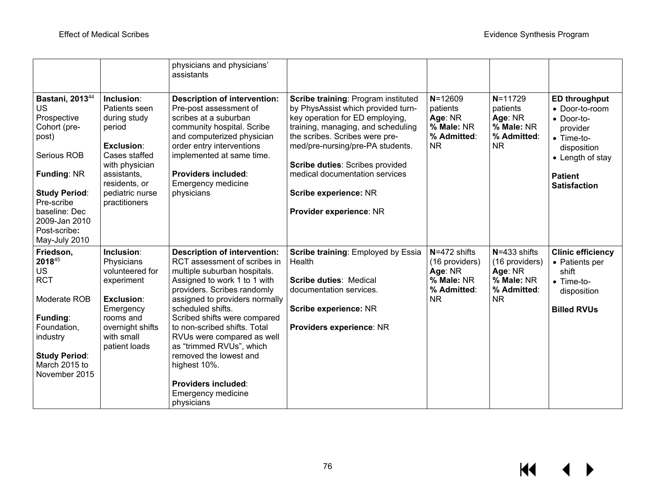|                                                                                                                                                                                                                         |                                                                                                                                                                            | physicians and physicians'<br>assistants                                                                                                                                                                                                                                                                                                                                                                                                                        |                                                                                                                                                                                                                                                                                                                                                   |                                                                                         |                                                                                         |                                                                                                                                                                            |
|-------------------------------------------------------------------------------------------------------------------------------------------------------------------------------------------------------------------------|----------------------------------------------------------------------------------------------------------------------------------------------------------------------------|-----------------------------------------------------------------------------------------------------------------------------------------------------------------------------------------------------------------------------------------------------------------------------------------------------------------------------------------------------------------------------------------------------------------------------------------------------------------|---------------------------------------------------------------------------------------------------------------------------------------------------------------------------------------------------------------------------------------------------------------------------------------------------------------------------------------------------|-----------------------------------------------------------------------------------------|-----------------------------------------------------------------------------------------|----------------------------------------------------------------------------------------------------------------------------------------------------------------------------|
| Bastani, 2013 <sup>44</sup><br>US<br>Prospective<br>Cohort (pre-<br>post)<br>Serious ROB<br><b>Funding: NR</b><br><b>Study Period:</b><br>Pre-scribe<br>baseline: Dec<br>2009-Jan 2010<br>Post-scribe:<br>May-July 2010 | Inclusion:<br>Patients seen<br>during study<br>period<br>Exclusion:<br>Cases staffed<br>with physician<br>assistants,<br>residents, or<br>pediatric nurse<br>practitioners | <b>Description of intervention:</b><br>Pre-post assessment of<br>scribes at a suburban<br>community hospital. Scribe<br>and computerized physician<br>order entry interventions<br>implemented at same time.<br><b>Providers included:</b><br><b>Emergency medicine</b><br>physicians                                                                                                                                                                           | Scribe training: Program instituted<br>by PhysAssist which provided turn-<br>key operation for ED employing,<br>training, managing, and scheduling<br>the scribes. Scribes were pre-<br>med/pre-nursing/pre-PA students.<br>Scribe duties: Scribes provided<br>medical documentation services<br>Scribe experience: NR<br>Provider experience: NR | $N = 12609$<br>patients<br>Age: NR<br>% Male: NR<br>% Admitted:<br><b>NR</b>            | $N = 11729$<br>patients<br>Age: NR<br>% Male: NR<br>% Admitted:<br><b>NR</b>            | <b>ED throughput</b><br>• Door-to-room<br>$\bullet$ Door-to-<br>provider<br>$\bullet$ Time-to-<br>disposition<br>• Length of stay<br><b>Patient</b><br><b>Satisfaction</b> |
| Friedson,<br>201845<br><b>US</b><br><b>RCT</b><br>Moderate ROB<br><b>Funding:</b><br>Foundation,<br>industry<br><b>Study Period:</b><br>March 2015 to<br>November 2015                                                  | Inclusion:<br>Physicians<br>volunteered for<br>experiment<br>Exclusion:<br>Emergency<br>rooms and<br>overnight shifts<br>with small<br>patient loads                       | <b>Description of intervention:</b><br>RCT assessment of scribes in<br>multiple suburban hospitals.<br>Assigned to work 1 to 1 with<br>providers. Scribes randomly<br>assigned to providers normally<br>scheduled shifts.<br>Scribed shifts were compared<br>to non-scribed shifts. Total<br>RVUs were compared as well<br>as "trimmed RVUs", which<br>removed the lowest and<br>highest 10%.<br><b>Providers included:</b><br>Emergency medicine<br>physicians | Scribe training: Employed by Essia<br>Health<br><b>Scribe duties: Medical</b><br>documentation services.<br>Scribe experience: NR<br>Providers experience: NR                                                                                                                                                                                     | $N = 472$ shifts<br>(16 providers)<br>Age: NR<br>% Male: NR<br>% Admitted:<br><b>NR</b> | $N = 433$ shifts<br>(16 providers)<br>Age: NR<br>% Male: NR<br>% Admitted:<br><b>NR</b> | <b>Clinic efficiency</b><br>• Patients per<br>shift<br>$\bullet$ Time-to-<br>disposition<br><b>Billed RVUs</b>                                                             |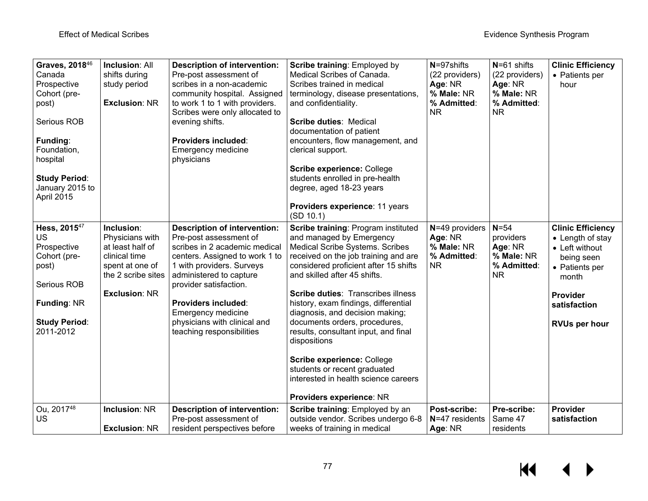| Graves, 2018 <sup>46</sup><br>Canada<br>Prospective<br>Cohort (pre-<br>post)<br>Serious ROB<br>Funding:<br>Foundation,<br>hospital<br><b>Study Period:</b><br>January 2015 to<br>April 2015 | <b>Inclusion: All</b><br>shifts during<br>study period<br><b>Exclusion: NR</b>                                                      | <b>Description of intervention:</b><br>Pre-post assessment of<br>scribes in a non-academic<br>community hospital. Assigned<br>to work 1 to 1 with providers.<br>Scribes were only allocated to<br>evening shifts.<br>Providers included:<br>Emergency medicine<br>physicians                                                        | <b>Scribe training: Employed by</b><br>Medical Scribes of Canada.<br>Scribes trained in medical<br>terminology, disease presentations,<br>and confidentiality.<br><b>Scribe duties: Medical</b><br>documentation of patient<br>encounters, flow management, and<br>clerical support.<br>Scribe experience: College<br>students enrolled in pre-health<br>degree, aged 18-23 years<br>Providers experience: 11 years<br>(SD 10.1)                                                                                                                                       | $N = 97$ shifts<br>(22 providers)<br>Age: NR<br>% Male: NR<br>% Admitted:<br><b>NR</b> | $N = 61$ shifts<br>(22 providers)<br>Age: NR<br>% Male: NR<br>% Admitted:<br><b>NR</b> | <b>Clinic Efficiency</b><br>• Patients per<br>hour                                                                                                          |
|---------------------------------------------------------------------------------------------------------------------------------------------------------------------------------------------|-------------------------------------------------------------------------------------------------------------------------------------|-------------------------------------------------------------------------------------------------------------------------------------------------------------------------------------------------------------------------------------------------------------------------------------------------------------------------------------|------------------------------------------------------------------------------------------------------------------------------------------------------------------------------------------------------------------------------------------------------------------------------------------------------------------------------------------------------------------------------------------------------------------------------------------------------------------------------------------------------------------------------------------------------------------------|----------------------------------------------------------------------------------------|----------------------------------------------------------------------------------------|-------------------------------------------------------------------------------------------------------------------------------------------------------------|
| Hess, 2015 <sup>47</sup><br><b>US</b><br>Prospective<br>Cohort (pre-<br>post)<br>Serious ROB<br><b>Funding: NR</b><br><b>Study Period:</b><br>2011-2012                                     | Inclusion:<br>Physicians with<br>at least half of<br>clinical time<br>spent at one of<br>the 2 scribe sites<br><b>Exclusion: NR</b> | <b>Description of intervention:</b><br>Pre-post assessment of<br>scribes in 2 academic medical<br>centers. Assigned to work 1 to<br>1 with providers. Surveys<br>administered to capture<br>provider satisfaction.<br><b>Providers included:</b><br>Emergency medicine<br>physicians with clinical and<br>teaching responsibilities | Scribe training: Program instituted<br>and managed by Emergency<br>Medical Scribe Systems. Scribes<br>received on the job training and are<br>considered proficient after 15 shifts<br>and skilled after 45 shifts.<br><b>Scribe duties: Transcribes illness</b><br>history, exam findings, differential<br>diagnosis, and decision making;<br>documents orders, procedures,<br>results, consultant input, and final<br>dispositions<br>Scribe experience: College<br>students or recent graduated<br>interested in health science careers<br>Providers experience: NR | $N=49$ providers<br>Age: NR<br>% Male: NR<br>% Admitted:<br><b>NR</b>                  | $N=54$<br>providers<br>Age: NR<br>% Male: NR<br>% Admitted:<br><b>NR</b>               | <b>Clinic Efficiency</b><br>• Length of stay<br>• Left without<br>being seen<br>• Patients per<br>month<br>Provider<br>satisfaction<br><b>RVUs per hour</b> |
| Ou, 201748<br><b>US</b>                                                                                                                                                                     | <b>Inclusion: NR</b><br><b>Exclusion: NR</b>                                                                                        | <b>Description of intervention:</b><br>Pre-post assessment of<br>resident perspectives before                                                                                                                                                                                                                                       | Scribe training: Employed by an<br>outside vendor. Scribes undergo 6-8<br>weeks of training in medical                                                                                                                                                                                                                                                                                                                                                                                                                                                                 | Post-scribe:<br>N=47 residents<br>Age: NR                                              | Pre-scribe:<br>Same 47<br>residents                                                    | Provider<br>satisfaction                                                                                                                                    |

#### $M$ ▶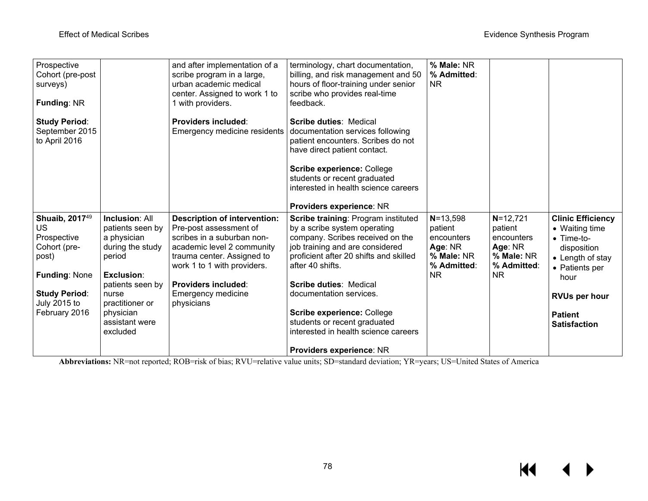| Prospective<br>Cohort (pre-post<br>surveys)<br><b>Funding: NR</b>        |                                                                                        | and after implementation of a<br>scribe program in a large,<br>urban academic medical<br>center. Assigned to work 1 to<br>1 with providers.                                            | terminology, chart documentation,<br>billing, and risk management and 50<br>hours of floor-training under senior<br>scribe who provides real-time<br>feedback.                                                                                       | % Male: NR<br>% Admitted:<br><b>NR</b>                                        |                                                                               |                                                                                                               |
|--------------------------------------------------------------------------|----------------------------------------------------------------------------------------|----------------------------------------------------------------------------------------------------------------------------------------------------------------------------------------|------------------------------------------------------------------------------------------------------------------------------------------------------------------------------------------------------------------------------------------------------|-------------------------------------------------------------------------------|-------------------------------------------------------------------------------|---------------------------------------------------------------------------------------------------------------|
| <b>Study Period:</b><br>September 2015<br>to April 2016                  |                                                                                        | <b>Providers included:</b><br>Emergency medicine residents                                                                                                                             | <b>Scribe duties: Medical</b><br>documentation services following<br>patient encounters. Scribes do not<br>have direct patient contact.<br><b>Scribe experience: College</b><br>students or recent graduated<br>interested in health science careers |                                                                               |                                                                               |                                                                                                               |
|                                                                          |                                                                                        |                                                                                                                                                                                        | <b>Providers experience: NR</b>                                                                                                                                                                                                                      |                                                                               |                                                                               |                                                                                                               |
| Shuaib, 2017 <sup>49</sup><br>US<br>Prospective<br>Cohort (pre-<br>post) | <b>Inclusion: All</b><br>patients seen by<br>a physician<br>during the study<br>period | <b>Description of intervention:</b><br>Pre-post assessment of<br>scribes in a suburban non-<br>academic level 2 community<br>trauma center. Assigned to<br>work 1 to 1 with providers. | <b>Scribe training: Program instituted</b><br>by a scribe system operating<br>company. Scribes received on the<br>job training and are considered<br>proficient after 20 shifts and skilled<br>after 40 shifts.                                      | $N = 13,598$<br>patient<br>encounters<br>Age: NR<br>% Male: NR<br>% Admitted: | $N = 12,721$<br>patient<br>encounters<br>Age: NR<br>% Male: NR<br>% Admitted: | <b>Clinic Efficiency</b><br>• Waiting time<br>• Time-to-<br>disposition<br>• Length of stay<br>• Patients per |
| <b>Funding: None</b>                                                     | <b>Exclusion:</b>                                                                      |                                                                                                                                                                                        |                                                                                                                                                                                                                                                      | <b>NR</b>                                                                     | <b>NR</b>                                                                     | hour                                                                                                          |
| <b>Study Period:</b><br>July 2015 to<br>February 2016                    | patients seen by<br>nurse<br>practitioner or<br>physician                              | Providers included:<br><b>Emergency medicine</b><br>physicians                                                                                                                         | <b>Scribe duties: Medical</b><br>documentation services.<br>Scribe experience: College                                                                                                                                                               |                                                                               |                                                                               | <b>RVUs per hour</b><br><b>Patient</b>                                                                        |
|                                                                          | assistant were<br>excluded                                                             |                                                                                                                                                                                        | students or recent graduated<br>interested in health science careers                                                                                                                                                                                 |                                                                               |                                                                               | <b>Satisfaction</b>                                                                                           |
|                                                                          |                                                                                        |                                                                                                                                                                                        | <b>Providers experience: NR</b>                                                                                                                                                                                                                      |                                                                               |                                                                               |                                                                                                               |

**Abbreviations:** NR=not reported; ROB=risk of bias; RVU=relative value units; SD=standard deviation; YR=years; US=United States of America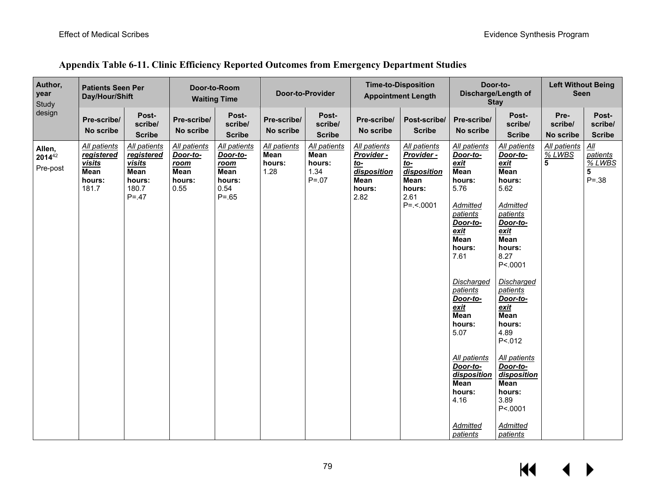| Author,<br>year<br>Study     | <b>Patients Seen Per</b><br>Day/Hour/Shift                                    |                                                                                    | Door-to-Room<br><b>Waiting Time</b>                                      |                                                                                | Door-to-Provider                       |                                                           | <b>Time-to-Disposition</b><br><b>Appointment Length</b>                           |                                                                                                  |                                                                                                                                                                                                                                                                                                                     | Door-to-<br><b>Left Without Being</b><br>Discharge/Length of<br><b>Seen</b><br><b>Stay</b>                                                                                                                                                                                                                                                                                |                              |                                            |
|------------------------------|-------------------------------------------------------------------------------|------------------------------------------------------------------------------------|--------------------------------------------------------------------------|--------------------------------------------------------------------------------|----------------------------------------|-----------------------------------------------------------|-----------------------------------------------------------------------------------|--------------------------------------------------------------------------------------------------|---------------------------------------------------------------------------------------------------------------------------------------------------------------------------------------------------------------------------------------------------------------------------------------------------------------------|---------------------------------------------------------------------------------------------------------------------------------------------------------------------------------------------------------------------------------------------------------------------------------------------------------------------------------------------------------------------------|------------------------------|--------------------------------------------|
| design                       | Pre-scribe/<br>No scribe                                                      | Post-<br>scribe/<br><b>Scribe</b>                                                  | Pre-scribe/<br>No scribe                                                 | Post-<br>scribe/<br><b>Scribe</b>                                              | Pre-scribe/<br>No scribe               | Post-<br>scribe/<br><b>Scribe</b>                         | Pre-scribe/<br>No scribe                                                          | Post-scribe/<br><b>Scribe</b>                                                                    | Pre-scribe/<br>No scribe                                                                                                                                                                                                                                                                                            | Post-<br>scribe/<br><b>Scribe</b>                                                                                                                                                                                                                                                                                                                                         | Pre-<br>scribe/<br>No scribe | Post-<br>scribe/<br><b>Scribe</b>          |
| Allen,<br>201442<br>Pre-post | All patients<br><b>registered</b><br><u>visits</u><br>Mean<br>hours:<br>181.7 | All patients<br>registered<br><b>visits</b><br>Mean<br>hours:<br>180.7<br>$P = 47$ | All patients<br>Door-to-<br><u>room</u><br><b>Mean</b><br>hours:<br>0.55 | All patients<br>Door-to-<br><u>room</u><br>Mean<br>hours:<br>0.54<br>$P = .65$ | All patients<br>Mean<br>hours:<br>1.28 | All patients<br><b>Mean</b><br>hours:<br>1.34<br>$P = 07$ | All patients<br>Provider -<br><u>to-</u><br>disposition<br>Mean<br>hours:<br>2.82 | All patients<br>Provider -<br><u>to-</u><br>disposition<br>Mean<br>hours:<br>2.61<br>$P = -0001$ | All patients<br>Door-to-<br>exit<br>Mean<br>hours:<br>5.76<br>Admitted<br>patients<br>Door-to-<br>exit<br>Mean<br>hours:<br>7.61<br>Discharged<br>patients<br>Door-to-<br>exit<br>Mean<br>hours:<br>5.07<br><b>All patients</b><br>Door-to-<br>disposition<br>Mean<br>hours:<br>4.16<br><b>Admitted</b><br>patients | All patients<br>Door-to-<br>exit<br>Mean<br>hours:<br>5.62<br>Admitted<br>patients<br>Door-to-<br><u>exit</u><br><b>Mean</b><br>hours:<br>8.27<br>P<.0001<br><b>Discharged</b><br><i>patients</i><br>Door-to-<br>exit<br>Mean<br>hours:<br>4.89<br>P < 012<br>All patients<br>Door-to-<br>disposition<br>Mean<br>hours:<br>3.89<br>P<.0001<br>Admitted<br><i>patients</i> | All patients<br>% LWBS<br>5  | All<br>patients<br>% LWBS<br>5<br>$P = 38$ |

### **Appendix Table 6-11. Clinic Efficiency Reported Outcomes from Emergency Department Studies**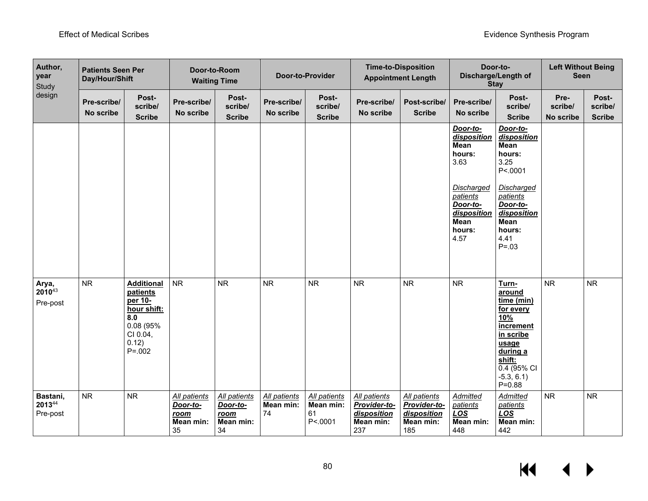| Author,<br>year<br>Study       | <b>Patients Seen Per</b><br>Day/Hour/Shift |                                                                                                                 | Door-to-Room<br><b>Waiting Time</b>                 |                                                     | Door-to-Provider                |                                            | <b>Time-to-Disposition</b><br><b>Appointment Length</b>                |                                                                 |                                                                             | Door-to-<br>Discharge/Length of<br><b>Stay</b>                                                                                                          | <b>Left Without Being</b><br><b>Seen</b> |                                   |
|--------------------------------|--------------------------------------------|-----------------------------------------------------------------------------------------------------------------|-----------------------------------------------------|-----------------------------------------------------|---------------------------------|--------------------------------------------|------------------------------------------------------------------------|-----------------------------------------------------------------|-----------------------------------------------------------------------------|---------------------------------------------------------------------------------------------------------------------------------------------------------|------------------------------------------|-----------------------------------|
| design                         | Pre-scribe/<br>No scribe                   | Post-<br>scribe/<br><b>Scribe</b>                                                                               | Pre-scribe/<br>No scribe                            | Post-<br>scribe/<br><b>Scribe</b>                   | Pre-scribe/<br>No scribe        | Post-<br>scribe/<br><b>Scribe</b>          | Pre-scribe/<br>No scribe                                               | Post-scribe/<br><b>Scribe</b>                                   | Pre-scribe/<br>No scribe                                                    | Post-<br>scribe/<br><b>Scribe</b>                                                                                                                       | Pre-<br>scribe/<br>No scribe             | Post-<br>scribe/<br><b>Scribe</b> |
|                                |                                            |                                                                                                                 |                                                     |                                                     |                                 |                                            |                                                                        |                                                                 | Door-to-<br>disposition<br>Mean<br>hours:<br>3.63                           | Door-to-<br>disposition<br>Mean<br>hours:<br>3.25<br>P<.0001                                                                                            |                                          |                                   |
|                                |                                            |                                                                                                                 |                                                     |                                                     |                                 |                                            |                                                                        |                                                                 | Discharged<br>patients<br>Door-to-<br>disposition<br>Mean<br>hours:<br>4.57 | <b>Discharged</b><br>patients<br>Door-to-<br>disposition<br>Mean<br>hours:<br>4.41<br>$P = .03$                                                         |                                          |                                   |
| Arya,<br>201043<br>Pre-post    | <b>NR</b>                                  | <b>Additional</b><br>patients<br>per 10-<br>hour shift:<br>8.0<br>0.08 (95%<br>CI 0.04,<br>0.12)<br>$P = 0.002$ | <b>NR</b>                                           | <b>NR</b>                                           | <b>NR</b>                       | <b>NR</b>                                  | <b>NR</b>                                                              | <b>NR</b>                                                       | <b>NR</b>                                                                   | Turn-<br>around<br>time (min)<br>for every<br>10%<br>increment<br>in scribe<br>usage<br>during a<br>shift:<br>0.4(95% C1)<br>$-5.3, 6.1)$<br>$P = 0.88$ | <b>NR</b>                                | <b>NR</b>                         |
| Bastani,<br>201344<br>Pre-post | ${\sf NR}$                                 | <b>NR</b>                                                                                                       | All patients<br>Door-to-<br>room<br>Mean min:<br>35 | All patients<br>Door-to-<br>room<br>Mean min:<br>34 | All patients<br>Mean min:<br>74 | All patients<br>Mean min:<br>61<br>P<.0001 | <b>All patients</b><br>Provider-to-<br>disposition<br>Mean min:<br>237 | All patients<br>Provider-to-<br>disposition<br>Mean min:<br>185 | <b>Admitted</b><br>patients<br><b>LOS</b><br>Mean min:<br>448               | <b>Admitted</b><br>patients<br><b>LOS</b><br>Mean min:<br>442                                                                                           | <b>NR</b>                                | <b>NR</b>                         |

 $\overline{\mathbf{M}}$  $\blacktriangleright$ ◀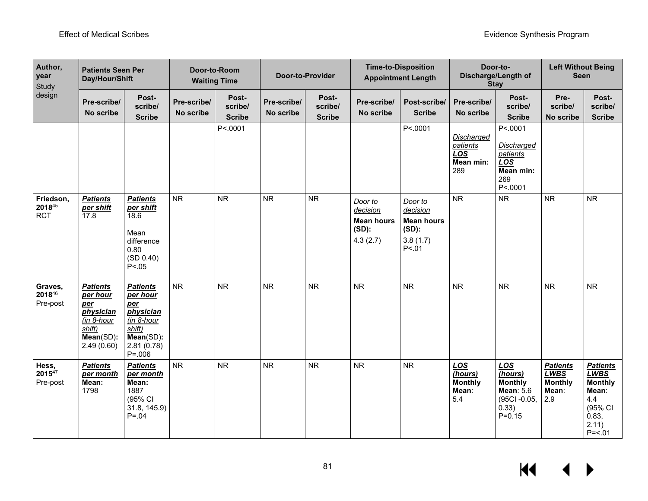| Author,<br>year<br>Study          | <b>Patients Seen Per</b><br>Day/Hour/Shift                                                                       |                                                                                                                      | Door-to-Room<br><b>Waiting Time</b> |                                   | <b>Door-to-Provider</b>  |                                   | <b>Time-to-Disposition</b><br><b>Appointment Length</b>          |                                                                            | Door-to-<br><b>Stay</b>                                                | Discharge/Length of                                                                               | <b>Left Without Being</b><br><b>Seen</b>                         |                                                                                                             |
|-----------------------------------|------------------------------------------------------------------------------------------------------------------|----------------------------------------------------------------------------------------------------------------------|-------------------------------------|-----------------------------------|--------------------------|-----------------------------------|------------------------------------------------------------------|----------------------------------------------------------------------------|------------------------------------------------------------------------|---------------------------------------------------------------------------------------------------|------------------------------------------------------------------|-------------------------------------------------------------------------------------------------------------|
| design                            | Pre-scribe/<br>No scribe                                                                                         | Post-<br>scribe/<br><b>Scribe</b>                                                                                    | Pre-scribe/<br>No scribe            | Post-<br>scribe/<br><b>Scribe</b> | Pre-scribe/<br>No scribe | Post-<br>scribe/<br><b>Scribe</b> | Pre-scribe/<br>No scribe                                         | Post-scribe/<br><b>Scribe</b>                                              | Pre-scribe/<br>No scribe                                               | Post-<br>scribe/<br><b>Scribe</b>                                                                 | Pre-<br>scribe/<br>No scribe                                     | Post-<br>scribe/<br><b>Scribe</b>                                                                           |
|                                   |                                                                                                                  |                                                                                                                      |                                     | P<.0001                           |                          |                                   |                                                                  | P<.0001                                                                    | <b>Discharged</b><br><i>patients</i><br><b>LOS</b><br>Mean min:<br>289 | P<.0001<br><b>Discharged</b><br>patients<br>LOS<br>Mean min:<br>269<br>P<.0001                    |                                                                  |                                                                                                             |
| Friedson,<br>201845<br><b>RCT</b> | <b>Patients</b><br>per shift<br>17.8                                                                             | <b>Patients</b><br>per shift<br>18.6<br>Mean<br>difference<br>0.80<br>(SD 0.40)<br>P < 0.05                          | ${\sf NR}$                          | <b>NR</b>                         | <b>NR</b>                | ${\sf NR}$                        | Door to<br>decision<br><b>Mean hours</b><br>$(SD)$ :<br>4.3(2.7) | Door to<br>decision<br><b>Mean hours</b><br>$(SD)$ :<br>3.8(1.7)<br>P < 01 | <b>NR</b>                                                              | ${\sf NR}$                                                                                        | <b>NR</b>                                                        | <b>NR</b>                                                                                                   |
| Graves,<br>201846<br>Pre-post     | <b>Patients</b><br>per hour<br>per<br>physician<br>(in 8-hour<br>$s$ <i>hift</i> )<br>$Mean(SD)$ :<br>2.49(0.60) | <b>Patients</b><br>per hour<br>per<br>physician<br>(in 8-hour<br>shift)<br>$Mean(SD)$ :<br>2.81(0.78)<br>$P = 0.006$ | <b>NR</b>                           | <b>NR</b>                         | <b>NR</b>                | <b>NR</b>                         | <b>NR</b>                                                        | <b>NR</b>                                                                  | <b>NR</b>                                                              | <b>NR</b>                                                                                         | <b>NR</b>                                                        | <b>NR</b>                                                                                                   |
| Hess,<br>$2015^{47}$<br>Pre-post  | <b>Patients</b><br>per month<br>Mean:<br>1798                                                                    | <b>Patients</b><br>per month<br>Mean:<br>1887<br>(95% CI<br>31.8, 145.9)<br>$P = 0.04$                               | <b>NR</b>                           | <b>NR</b>                         | <b>NR</b>                | <b>NR</b>                         | <b>NR</b>                                                        | <b>NR</b>                                                                  | LOS<br>(hours)<br><b>Monthly</b><br>Mean:<br>5.4                       | <b>LOS</b><br>(hours)<br><b>Monthly</b><br><b>Mean: 5.6</b><br>(95CI-0.05,<br>0.33)<br>$P = 0.15$ | <b>Patients</b><br><b>LWBS</b><br><b>Monthly</b><br>Mean:<br>2.9 | <b>Patients</b><br><b>LWBS</b><br><b>Monthly</b><br>Mean:<br>4.4<br>(95% CI<br>0.83,<br>2.11)<br>$P = < 01$ |

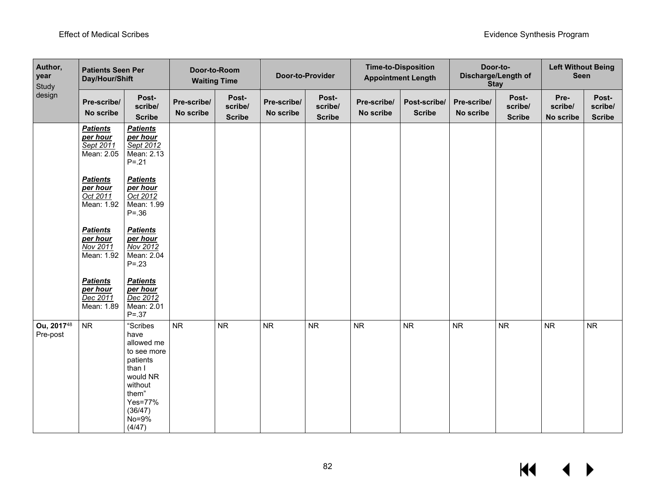| Author,<br>year<br>Study | <b>Patients Seen Per</b><br>Day/Hour/Shift             |                                                                                                                                              | Door-to-Room<br><b>Waiting Time</b> |                                   | Door-to-Provider         |                                   |                          | <b>Time-to-Disposition</b><br><b>Appointment Length</b> |                          | Door-to-<br>Discharge/Length of<br><b>Stay</b> | <b>Left Without Being</b><br><b>Seen</b> |                                   |
|--------------------------|--------------------------------------------------------|----------------------------------------------------------------------------------------------------------------------------------------------|-------------------------------------|-----------------------------------|--------------------------|-----------------------------------|--------------------------|---------------------------------------------------------|--------------------------|------------------------------------------------|------------------------------------------|-----------------------------------|
| design                   | Pre-scribe/<br>No scribe                               | Post-<br>scribe/<br><b>Scribe</b>                                                                                                            | Pre-scribe/<br>No scribe            | Post-<br>scribe/<br><b>Scribe</b> | Pre-scribe/<br>No scribe | Post-<br>scribe/<br><b>Scribe</b> | Pre-scribe/<br>No scribe | Post-scribe/<br><b>Scribe</b>                           | Pre-scribe/<br>No scribe | Post-<br>scribe/<br><b>Scribe</b>              | Pre-<br>scribe/<br>No scribe             | Post-<br>scribe/<br><b>Scribe</b> |
|                          | <b>Patients</b><br>per hour<br>Sept 2011<br>Mean: 2.05 | <b>Patients</b><br>per hour<br>Sept 2012<br>Mean: 2.13<br>$P = 0.21$                                                                         |                                     |                                   |                          |                                   |                          |                                                         |                          |                                                |                                          |                                   |
|                          | <b>Patients</b><br>per hour<br>Oct 2011<br>Mean: 1.92  | <b>Patients</b><br>per hour<br>Oct 2012<br>Mean: 1.99<br>$P = .36$                                                                           |                                     |                                   |                          |                                   |                          |                                                         |                          |                                                |                                          |                                   |
|                          | <b>Patients</b><br>per hour<br>Nov 2011<br>Mean: 1.92  | <b>Patients</b><br>per hour<br>Nov 2012<br>Mean: 2.04<br>$P = .23$                                                                           |                                     |                                   |                          |                                   |                          |                                                         |                          |                                                |                                          |                                   |
|                          | <b>Patients</b><br>per hour<br>Dec 2011<br>Mean: 1.89  | <b>Patients</b><br>per hour<br>Dec 2012<br>Mean: 2.01<br>$P = .37$                                                                           |                                     |                                   |                          |                                   |                          |                                                         |                          |                                                |                                          |                                   |
| Ou, 201748<br>Pre-post   | <b>NR</b>                                              | "Scribes<br>have<br>allowed me<br>to see more<br>patients<br>than I<br>would NR<br>without<br>them"<br>Yes=77%<br>(36/47)<br>No=9%<br>(4/47) | <b>NR</b>                           | <b>NR</b>                         | ${\sf NR}$               | <b>NR</b>                         | <b>NR</b>                | NR                                                      | <b>NR</b>                | <b>NR</b>                                      | <b>NR</b>                                | <b>NR</b>                         |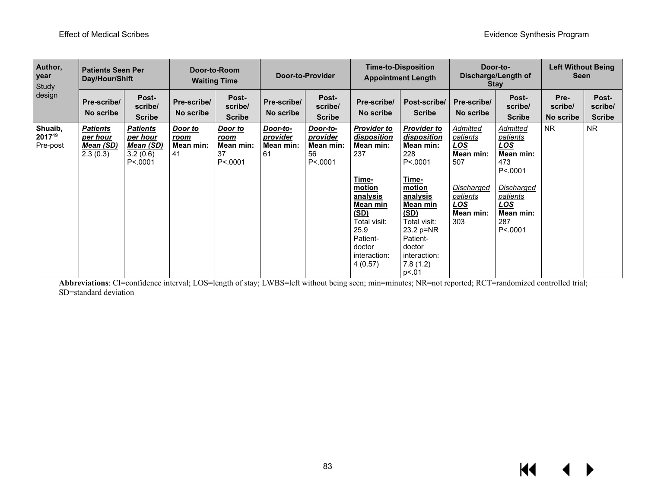| Author,<br>year<br>Study<br>design | <b>Patients Seen Per</b><br>Day/Hour/Shift                  |                                                                  | Door-to-Room<br><b>Waiting Time</b> |                                                       | <b>Door-to-Provider</b>                 |                                                     |                                                                                                                                                                                                 | <b>Time-to-Disposition</b><br><b>Appointment Length</b>                                                                                                                                                        |                                                                                                                                  | Door-to-<br><b>Left Without Being</b><br>Discharge/Length of<br><b>Seen</b><br><b>Stay</b>                                                                             |                              |                                   |
|------------------------------------|-------------------------------------------------------------|------------------------------------------------------------------|-------------------------------------|-------------------------------------------------------|-----------------------------------------|-----------------------------------------------------|-------------------------------------------------------------------------------------------------------------------------------------------------------------------------------------------------|----------------------------------------------------------------------------------------------------------------------------------------------------------------------------------------------------------------|----------------------------------------------------------------------------------------------------------------------------------|------------------------------------------------------------------------------------------------------------------------------------------------------------------------|------------------------------|-----------------------------------|
|                                    | Pre-scribe/<br>No scribe                                    | Post-<br>scribe/<br><b>Scribe</b>                                | Pre-scribe/<br>No scribe            | Post-<br>scribe/<br><b>Scribe</b>                     | Pre-scribe/<br>No scribe                | Post-<br>scribe/<br><b>Scribe</b>                   | Pre-scribe/<br>No scribe                                                                                                                                                                        | Post-scribe/<br><b>Scribe</b>                                                                                                                                                                                  | Pre-scribe/<br>No scribe                                                                                                         | Post-<br>scribe/<br><b>Scribe</b>                                                                                                                                      | Pre-<br>scribe/<br>No scribe | Post-<br>scribe/<br><b>Scribe</b> |
| Shuaib,<br>201749<br>Pre-post      | <b>Patients</b><br>per hour<br><u>Mean (SD)</u><br>2.3(0.3) | <b>Patients</b><br>per hour<br>Mean (SD)<br>3.2(0.6)<br>P < 0001 | Door to<br>room<br>Mean min:<br>41  | Door to<br><u>room</u><br>Mean min:<br>37<br>P < 0001 | Door-to-<br>provider<br>Mean min:<br>61 | Door-to-<br>provider<br>Mean min:<br>56<br>P < 0001 | <b>Provider to</b><br><u>disposition</u><br>Mean min:<br>237<br>Time-<br>motion<br>analysis<br><b>Mean min</b><br>(SD)<br>Total visit:<br>25.9<br>Patient-<br>doctor<br>interaction:<br>4(0.57) | <b>Provider to</b><br>disposition<br>Mean min:<br>228<br>P < 0001<br>Time-<br>motion<br>analysis<br>Mean min<br>(SD)<br>Total visit:<br>23.2 p=NR<br>Patient-<br>doctor<br>interaction:<br>7.8(1.2)<br>p <. 01 | Admitted<br><u>patients</u><br><u>LOS</u><br>Mean min:<br>507<br>Discharged<br><u>patients</u><br><u>LOS</u><br>Mean min:<br>303 | Admitted<br><u>patients</u><br><u>LOS</u><br>Mean min:<br>473<br>P < 0001<br><b>Discharged</b><br><i><u>patients</u></i><br><u>LOS</u><br>Mean min:<br>287<br>P < 0001 | NR.                          | <b>NR</b>                         |

Abbreviations: CI=confidence interval; LOS=length of stay; LWBS=left without being seen; min=minutes; NR=not reported; RCT=randomized controlled trial; SD=standard deviation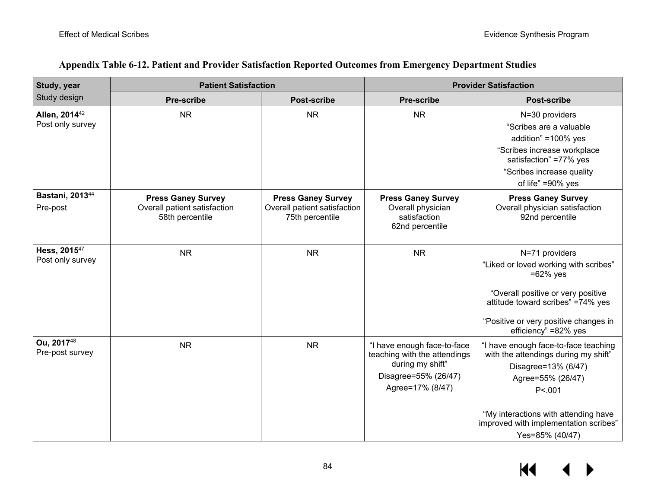| Study, year                             | <b>Patient Satisfaction</b>                                                  |                                                                              | <b>Provider Satisfaction</b>                                                                                                |                                                                                                                                     |  |  |
|-----------------------------------------|------------------------------------------------------------------------------|------------------------------------------------------------------------------|-----------------------------------------------------------------------------------------------------------------------------|-------------------------------------------------------------------------------------------------------------------------------------|--|--|
| Study design                            | <b>Pre-scribe</b>                                                            | <b>Post-scribe</b>                                                           | <b>Pre-scribe</b>                                                                                                           | <b>Post-scribe</b>                                                                                                                  |  |  |
| Allen, 2014 <sup>42</sup>               | <b>NR</b>                                                                    | <b>NR</b>                                                                    | <b>NR</b>                                                                                                                   | N=30 providers                                                                                                                      |  |  |
| Post only survey                        |                                                                              |                                                                              |                                                                                                                             | "Scribes are a valuable                                                                                                             |  |  |
|                                         |                                                                              |                                                                              |                                                                                                                             | addition" = 100% yes                                                                                                                |  |  |
|                                         |                                                                              |                                                                              |                                                                                                                             | "Scribes increase workplace<br>satisfaction" =77% yes                                                                               |  |  |
|                                         |                                                                              |                                                                              |                                                                                                                             | "Scribes increase quality                                                                                                           |  |  |
|                                         |                                                                              |                                                                              |                                                                                                                             | of life" =90% yes                                                                                                                   |  |  |
| Bastani, 2013 <sup>44</sup><br>Pre-post | <b>Press Ganey Survey</b><br>Overall patient satisfaction<br>58th percentile | <b>Press Ganey Survey</b><br>Overall patient satisfaction<br>75th percentile | <b>Press Ganey Survey</b><br>Overall physician<br>satisfaction<br>62nd percentile                                           | <b>Press Ganey Survey</b><br>Overall physician satisfaction<br>92nd percentile                                                      |  |  |
| Hess, 2015 <sup>47</sup>                | <b>NR</b>                                                                    | <b>NR</b>                                                                    | <b>NR</b>                                                                                                                   | N=71 providers                                                                                                                      |  |  |
| Post only survey                        |                                                                              |                                                                              |                                                                                                                             | "Liked or loved working with scribes"<br>$=62\%$ yes                                                                                |  |  |
|                                         |                                                                              |                                                                              |                                                                                                                             | "Overall positive or very positive<br>attitude toward scribes" =74% yes                                                             |  |  |
|                                         |                                                                              |                                                                              |                                                                                                                             | "Positive or very positive changes in<br>efficiency" =82% yes                                                                       |  |  |
| Ou, 201748<br>Pre-post survey           | <b>NR</b>                                                                    | <b>NR</b>                                                                    | "I have enough face-to-face<br>teaching with the attendings<br>during my shift"<br>Disagree=55% (26/47)<br>Agree=17% (8/47) | "I have enough face-to-face teaching<br>with the attendings during my shift"<br>Disagree=13% (6/47)<br>Agree=55% (26/47)<br>P < 001 |  |  |
|                                         |                                                                              |                                                                              |                                                                                                                             | "My interactions with attending have<br>improved with implementation scribes"<br>Yes=85% (40/47)                                    |  |  |

### **Appendix Table 6-12. Patient and Provider Satisfaction Reported Outcomes from Emergency Department Studies**

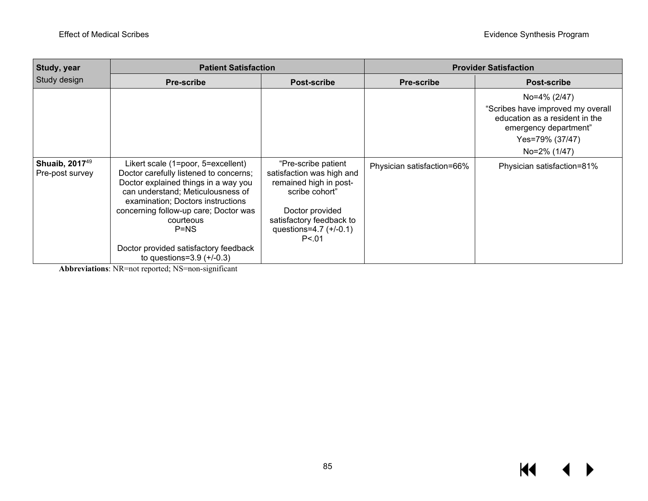| <b>Study, year</b>                            | <b>Patient Satisfaction</b>                                                                                                                                                                                                                                                                                                             |                                                                                                                                                                                    | <b>Provider Satisfaction</b> |                                                                                                                                                 |  |  |
|-----------------------------------------------|-----------------------------------------------------------------------------------------------------------------------------------------------------------------------------------------------------------------------------------------------------------------------------------------------------------------------------------------|------------------------------------------------------------------------------------------------------------------------------------------------------------------------------------|------------------------------|-------------------------------------------------------------------------------------------------------------------------------------------------|--|--|
| Study design                                  | <b>Pre-scribe</b>                                                                                                                                                                                                                                                                                                                       | <b>Post-scribe</b>                                                                                                                                                                 | <b>Pre-scribe</b>            | <b>Post-scribe</b>                                                                                                                              |  |  |
|                                               |                                                                                                                                                                                                                                                                                                                                         |                                                                                                                                                                                    |                              | No=4% (2/47)<br>"Scribes have improved my overall<br>education as a resident in the<br>emergency department"<br>Yes=79% (37/47)<br>No=2% (1/47) |  |  |
| Shuaib, 2017 <sup>49</sup><br>Pre-post survey | Likert scale (1=poor, 5=excellent)<br>Doctor carefully listened to concerns;<br>Doctor explained things in a way you<br>can understand; Meticulousness of<br>examination; Doctors instructions<br>concerning follow-up care; Doctor was<br>courteous<br>$P=NS$<br>Doctor provided satisfactory feedback<br>to questions= $3.9 (+/-0.3)$ | "Pre-scribe patient<br>satisfaction was high and<br>remained high in post-<br>scribe cohort"<br>Doctor provided<br>satisfactory feedback to<br>questions= $4.7 (+/-0.1)$<br>P < 01 | Physician satisfaction=66%   | Physician satisfaction=81%                                                                                                                      |  |  |

**Abbreviations**: NR=not reported; NS=non-significant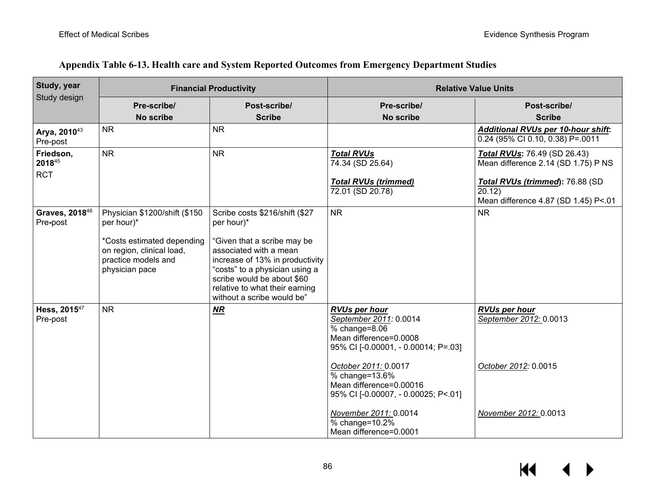| Study, year                            |                                                                                                                                                 | <b>Financial Productivity</b>                                                                                                                                                                                                                                            | <b>Relative Value Units</b>                                                                                                                                                                                                                       |                                                                                                 |  |  |  |
|----------------------------------------|-------------------------------------------------------------------------------------------------------------------------------------------------|--------------------------------------------------------------------------------------------------------------------------------------------------------------------------------------------------------------------------------------------------------------------------|---------------------------------------------------------------------------------------------------------------------------------------------------------------------------------------------------------------------------------------------------|-------------------------------------------------------------------------------------------------|--|--|--|
| Study design                           | Pre-scribe/<br>No scribe                                                                                                                        | Post-scribe/<br><b>Scribe</b>                                                                                                                                                                                                                                            | Pre-scribe/<br>No scribe                                                                                                                                                                                                                          | Post-scribe/<br><b>Scribe</b>                                                                   |  |  |  |
| Arya, 2010 <sup>43</sup><br>Pre-post   | <b>NR</b>                                                                                                                                       | <b>NR</b>                                                                                                                                                                                                                                                                |                                                                                                                                                                                                                                                   | <b>Additional RVUs per 10-hour shift:</b><br>0.24 (95% CI 0.10, 0.38) P=.0011                   |  |  |  |
| Friedson,<br>201845                    | <b>NR</b>                                                                                                                                       | <b>NR</b>                                                                                                                                                                                                                                                                | <b>Total RVUs</b><br>74.34 (SD 25.64)                                                                                                                                                                                                             | <b>Total RVUs: 76.49 (SD 26.43)</b><br>Mean difference 2.14 (SD 1.75) P NS                      |  |  |  |
| <b>RCT</b>                             |                                                                                                                                                 |                                                                                                                                                                                                                                                                          | <b>Total RVUs (trimmed)</b><br>72.01 (SD 20.78)                                                                                                                                                                                                   | Total RVUs (trimmed): 76.88 (SD<br>$\overline{20.12}$ )<br>Mean difference 4.87 (SD 1.45) P<.01 |  |  |  |
| Graves, 2018 <sup>46</sup><br>Pre-post | Physician \$1200/shift (\$150<br>per hour)*<br>*Costs estimated depending<br>on region, clinical load,<br>practice models and<br>physician pace | Scribe costs \$216/shift (\$27<br>per hour)*<br>"Given that a scribe may be<br>associated with a mean<br>increase of 13% in productivity<br>"costs" to a physician using a<br>scribe would be about \$60<br>relative to what their earning<br>without a scribe would be" | <b>NR</b>                                                                                                                                                                                                                                         | <b>NR</b>                                                                                       |  |  |  |
| Hess, 2015 <sup>47</sup><br>Pre-post   | <b>NR</b>                                                                                                                                       | $\overline{MR}$                                                                                                                                                                                                                                                          | <b>RVUs per hour</b><br>September 2011: 0.0014<br>$%$ change= $8.06$<br>Mean difference=0.0008<br>95% CI [-0.00001, - 0.00014; P=.03]<br>October 2011: 0.0017<br>% change=13.6%<br>Mean difference=0.00016<br>95% CI [-0.00007, - 0.00025; P<.01] | <b>RVUs per hour</b><br>September 2012: 0.0013<br>October 2012: 0.0015                          |  |  |  |
|                                        |                                                                                                                                                 |                                                                                                                                                                                                                                                                          | November 2011: 0.0014<br>% change=10.2%<br>Mean difference=0.0001                                                                                                                                                                                 | November 2012: 0.0013                                                                           |  |  |  |

### **Appendix Table 6-13. Health care and System Reported Outcomes from Emergency Department Studies**

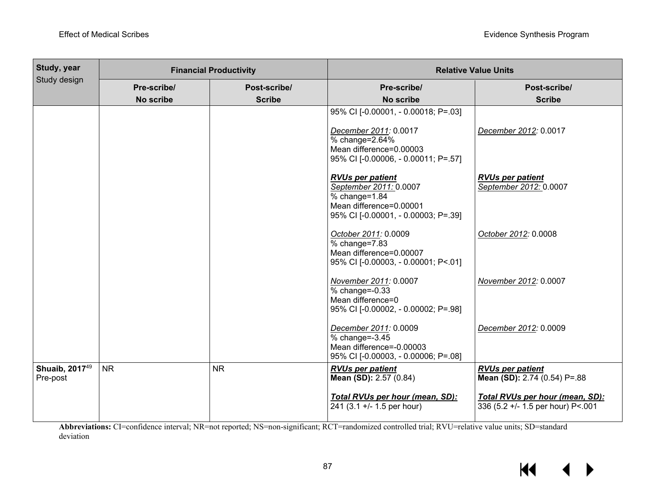| <b>Study, year</b>                     |                          | <b>Financial Productivity</b> | <b>Relative Value Units</b>                                                                                                                      |                                                                      |  |  |  |
|----------------------------------------|--------------------------|-------------------------------|--------------------------------------------------------------------------------------------------------------------------------------------------|----------------------------------------------------------------------|--|--|--|
| Study design                           | Pre-scribe/<br>No scribe | Post-scribe/<br><b>Scribe</b> | Pre-scribe/<br>No scribe                                                                                                                         | Post-scribe/<br><b>Scribe</b>                                        |  |  |  |
|                                        |                          |                               | 95% CI [-0.00001, - 0.00018; P=.03]<br>December 2011: 0.0017<br>% change=2.64%<br>Mean difference=0.00003<br>95% CI [-0.00006, - 0.00011; P=.57] | December 2012: 0.0017                                                |  |  |  |
|                                        |                          |                               | <b>RVUs per patient</b><br>September 2011: 0.0007<br>$%$ change=1.84<br>Mean difference=0.00001<br>95% CI [-0.00001, - 0.00003; P=.39]           | <b>RVUs per patient</b><br>September 2012: 0.0007                    |  |  |  |
|                                        |                          |                               | October 2011: 0.0009<br>% change=7.83<br>Mean difference=0.00007<br>95% CI [-0.00003, - 0.00001; P<.01]                                          | October 2012: 0.0008                                                 |  |  |  |
|                                        |                          |                               | November 2011: 0.0007<br>% change=-0.33<br>Mean difference=0<br>95% CI [-0.00002, - 0.00002; P=.98]                                              | November 2012: 0.0007                                                |  |  |  |
|                                        |                          |                               | December 2011: 0.0009<br>% change=-3.45<br>Mean difference=-0.00003<br>95% CI [-0.00003, - 0.00006; P=.08]                                       | December 2012: 0.0009                                                |  |  |  |
| Shuaib, 2017 <sup>49</sup><br>Pre-post | <b>NR</b>                | <b>NR</b>                     | <b>RVUs per patient</b><br>Mean (SD): 2.57 (0.84)                                                                                                | <b>RVUs per patient</b><br>Mean (SD): 2.74 (0.54) P=.88              |  |  |  |
|                                        |                          |                               | Total RVUs per hour (mean, SD):<br>$241$ (3.1 +/- 1.5 per hour)                                                                                  | Total RVUs per hour (mean, SD):<br>336 (5.2 +/- 1.5 per hour) P<.001 |  |  |  |

Abbreviations: CI=confidence interval; NR=not reported; NS=non-significant; RCT=randomized controlled trial; RVU=relative value units; SD=standard deviation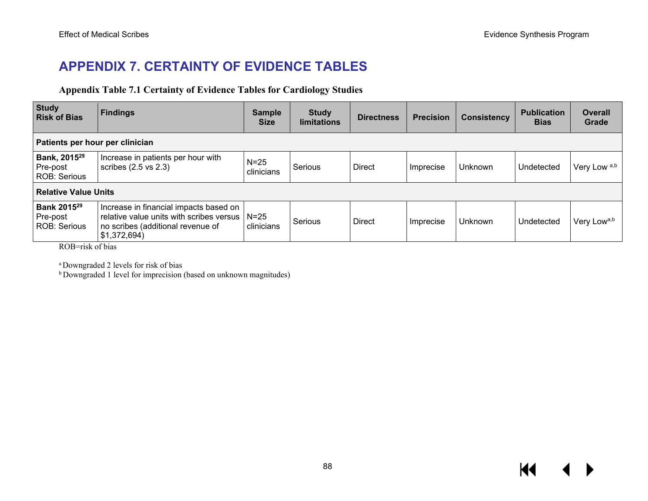## **APPENDIX 7. CERTAINTY OF EVIDENCE TABLES**

### **Appendix Table 7.1 Certainty of Evidence Tables for Cardiology Studies**

| Study<br><b>Risk of Bias</b>                               | <b>Findings</b>                                                                                                                         | <b>Sample</b><br><b>Size</b> | <b>Study</b><br><b>limitations</b> | <b>Directness</b> | <b>Precision</b> | <b>Consistency</b> | <b>Publication</b><br><b>Bias</b> | <b>Overall</b><br>Grade |  |
|------------------------------------------------------------|-----------------------------------------------------------------------------------------------------------------------------------------|------------------------------|------------------------------------|-------------------|------------------|--------------------|-----------------------------------|-------------------------|--|
| Patients per hour per clinician                            |                                                                                                                                         |                              |                                    |                   |                  |                    |                                   |                         |  |
| Bank, 2015 <sup>29</sup><br>Pre-post<br>ROB: Serious       | Increase in patients per hour with<br>scribes (2.5 vs 2.3)                                                                              | $N=25$<br>clinicians         | Serious                            | <b>Direct</b>     | Imprecise        | Unknown            | Undetected                        | Very Low a,b            |  |
| <b>Relative Value Units</b>                                |                                                                                                                                         |                              |                                    |                   |                  |                    |                                   |                         |  |
| <b>Bank 2015</b> <sup>29</sup><br>Pre-post<br>ROB: Serious | Increase in financial impacts based on<br>relative value units with scribes versus<br>no scribes (additional revenue of<br>\$1,372,694) | $N=25$<br>clinicians         | Serious                            | <b>Direct</b>     | Imprecise        | Unknown            | Undetected                        | Very Lowa,b             |  |

ROB=risk of bias

a Downgraded 2 levels for risk of bias

b Downgraded 1 level for imprecision (based on unknown magnitudes)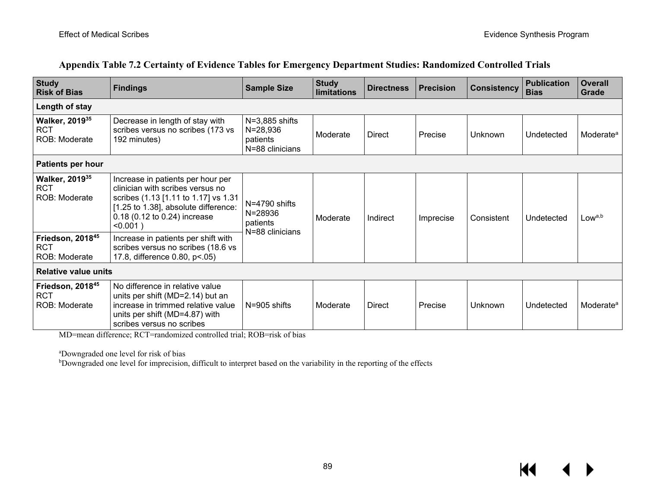| <b>Study</b><br><b>Risk of Bias</b>                         | <b>Findings</b>                                                                                                                                                                                      | <b>Sample Size</b>                                              | <b>Study</b><br>limitations | <b>Directness</b> | <b>Precision</b> | <b>Consistency</b> | <b>Publication</b><br><b>Bias</b> | <b>Overall</b><br>Grade |
|-------------------------------------------------------------|------------------------------------------------------------------------------------------------------------------------------------------------------------------------------------------------------|-----------------------------------------------------------------|-----------------------------|-------------------|------------------|--------------------|-----------------------------------|-------------------------|
| Length of stay                                              |                                                                                                                                                                                                      |                                                                 |                             |                   |                  |                    |                                   |                         |
| <b>Walker, 2019</b> 35<br><b>RCT</b><br>ROB: Moderate       | Decrease in length of stay with<br>scribes versus no scribes (173 vs<br>192 minutes)                                                                                                                 | $N=3,885$ shifts<br>$N = 28,936$<br>patients<br>N=88 clinicians | Moderate                    | <b>Direct</b>     | Precise          | Unknown            | Undetected                        | Moderate <sup>a</sup>   |
| <b>Patients per hour</b>                                    |                                                                                                                                                                                                      |                                                                 |                             |                   |                  |                    |                                   |                         |
| <b>Walker, 2019</b> 35<br><b>RCT</b><br>ROB: Moderate       | Increase in patients per hour per<br>clinician with scribes versus no<br>scribes (1.13 [1.11 to 1.17] vs 1.31<br>[1.25 to 1.38], absolute difference:<br>0.18 (0.12 to 0.24) increase<br>$< 0.001$ ) | N=4790 shifts<br>N=28936<br>patients                            | Moderate                    | Indirect          | Imprecise        | Consistent         | Undetected                        | Lowa,b                  |
| Friedson, 201845<br><b>RCT</b><br>ROB: Moderate             | Increase in patients per shift with<br>scribes versus no scribes (18.6 vs<br>17.8, difference 0.80, p<.05)                                                                                           | N=88 clinicians                                                 |                             |                   |                  |                    |                                   |                         |
| <b>Relative value units</b>                                 |                                                                                                                                                                                                      |                                                                 |                             |                   |                  |                    |                                   |                         |
| Friedson, 2018 <sup>45</sup><br><b>RCT</b><br>ROB: Moderate | No difference in relative value<br>units per shift (MD=2.14) but an<br>increase in trimmed relative value<br>units per shift (MD=4.87) with<br>scribes versus no scribes                             | N=905 shifts                                                    | Moderate                    | <b>Direct</b>     | Precise          | Unknown            | Undetected                        | Moderate <sup>a</sup>   |

### **Appendix Table 7.2 Certainty of Evidence Tables for Emergency Department Studies: Randomized Controlled Trials**

MD=mean difference; RCT=randomized controlled trial; ROB=risk of bias

a Downgraded one level for risk of bias

b Downgraded one level for imprecision, difficult to interpret based on the variability in the reporting of the effects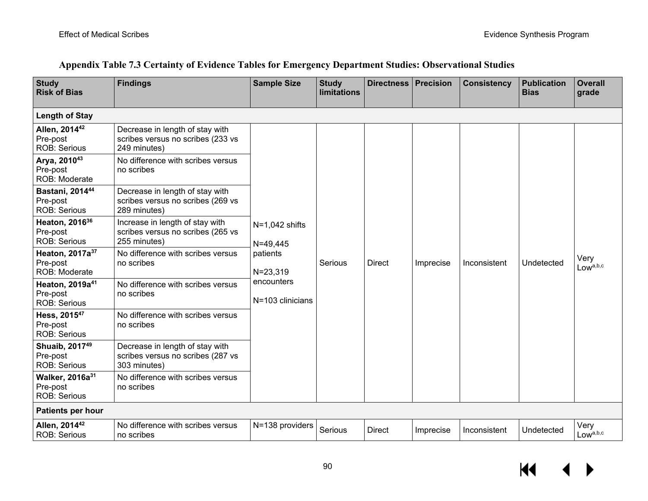| Appendix Table 7.3 Certainty of Evidence Tables for Emergency Department Studies: Observational Studies |  |  |
|---------------------------------------------------------------------------------------------------------|--|--|
|                                                                                                         |  |  |

| <b>Study</b><br><b>Risk of Bias</b>                            | <b>Findings</b>                                                                      | <b>Sample Size</b>                                                                             | <b>Study</b><br><b>limitations</b> | <b>Directness</b> | <b>Precision</b> | <b>Consistency</b> | <b>Publication</b><br><b>Bias</b> | <b>Overall</b><br>grade      |
|----------------------------------------------------------------|--------------------------------------------------------------------------------------|------------------------------------------------------------------------------------------------|------------------------------------|-------------------|------------------|--------------------|-----------------------------------|------------------------------|
| <b>Length of Stay</b>                                          |                                                                                      |                                                                                                |                                    |                   |                  |                    |                                   |                              |
| Allen, 2014 <sup>42</sup><br>Pre-post<br><b>ROB: Serious</b>   | Decrease in length of stay with<br>scribes versus no scribes (233 vs<br>249 minutes) | $N=1,042$ shifts<br>$N = 49,445$<br>patients<br>$N = 23,319$<br>encounters<br>N=103 clinicians |                                    | <b>Direct</b>     | Imprecise        | Inconsistent       | Undetected                        | Very<br>Low <sup>a,b,c</sup> |
| Arya, 201043<br>Pre-post<br>ROB: Moderate                      | No difference with scribes versus<br>no scribes                                      |                                                                                                |                                    |                   |                  |                    |                                   |                              |
| Bastani, 201444<br>Pre-post<br><b>ROB: Serious</b>             | Decrease in length of stay with<br>scribes versus no scribes (269 vs<br>289 minutes) |                                                                                                |                                    |                   |                  |                    |                                   |                              |
| Heaton, 2016 <sup>36</sup><br>Pre-post<br><b>ROB: Serious</b>  | Increase in length of stay with<br>scribes versus no scribes (265 vs<br>255 minutes) |                                                                                                |                                    |                   |                  |                    |                                   |                              |
| Heaton, 2017a <sup>37</sup><br>Pre-post<br>ROB: Moderate       | No difference with scribes versus<br>no scribes                                      |                                                                                                | Serious                            |                   |                  |                    |                                   |                              |
| Heaton, 2019a <sup>41</sup><br>Pre-post<br><b>ROB: Serious</b> | No difference with scribes versus<br>no scribes                                      |                                                                                                |                                    |                   |                  |                    |                                   |                              |
| Hess, 201547<br>Pre-post<br><b>ROB: Serious</b>                | No difference with scribes versus<br>no scribes                                      |                                                                                                |                                    |                   |                  |                    |                                   |                              |
| Shuaib, 2017 <sup>49</sup><br>Pre-post<br><b>ROB: Serious</b>  | Decrease in length of stay with<br>scribes versus no scribes (287 vs<br>303 minutes) |                                                                                                |                                    |                   |                  |                    |                                   |                              |
| Walker, 2016a <sup>31</sup><br>Pre-post<br><b>ROB: Serious</b> | No difference with scribes versus<br>no scribes                                      |                                                                                                |                                    |                   |                  |                    |                                   |                              |
| <b>Patients per hour</b>                                       |                                                                                      |                                                                                                |                                    |                   |                  |                    |                                   |                              |
| Allen, 2014 <sup>42</sup><br><b>ROB: Serious</b>               | No difference with scribes versus<br>no scribes                                      | N=138 providers                                                                                | Serious                            | <b>Direct</b>     | Imprecise        | Inconsistent       | Undetected                        | Very<br>Lowa,b,c             |

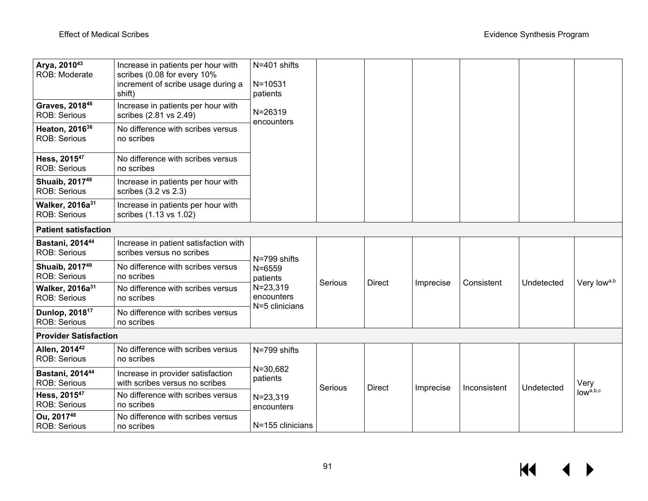| Arya, 201043<br>ROB: Moderate                      | Increase in patients per hour with<br>scribes (0.08 for every 10%<br>increment of scribe usage during a<br>shift) | N=401 shifts<br>$N = 10531$<br>patients                                                |         |               |           |              |            |                              |  |
|----------------------------------------------------|-------------------------------------------------------------------------------------------------------------------|----------------------------------------------------------------------------------------|---------|---------------|-----------|--------------|------------|------------------------------|--|
| Graves, 201846<br><b>ROB: Serious</b>              | Increase in patients per hour with<br>scribes (2.81 vs 2.49)                                                      | $N = 26319$<br>encounters                                                              |         |               |           |              |            |                              |  |
| Heaton, 2016 <sup>36</sup><br><b>ROB: Serious</b>  | No difference with scribes versus<br>no scribes                                                                   |                                                                                        |         |               |           |              |            |                              |  |
| Hess, 201547<br><b>ROB: Serious</b>                | No difference with scribes versus<br>no scribes                                                                   |                                                                                        |         |               |           |              |            |                              |  |
| Shuaib, 2017 <sup>49</sup><br><b>ROB: Serious</b>  | Increase in patients per hour with<br>scribes (3.2 vs 2.3)                                                        |                                                                                        |         |               |           |              |            |                              |  |
| Walker, 2016a <sup>31</sup><br><b>ROB: Serious</b> | Increase in patients per hour with<br>scribes (1.13 vs 1.02)                                                      |                                                                                        |         |               |           |              |            |                              |  |
| <b>Patient satisfaction</b>                        |                                                                                                                   |                                                                                        |         |               |           |              |            |                              |  |
| Bastani, 201444<br><b>ROB: Serious</b>             | Increase in patient satisfaction with<br>scribes versus no scribes                                                | N=799 shifts<br>$N = 6559$<br>patients<br>$N = 23,319$<br>encounters<br>N=5 clinicians |         |               | Imprecise | Consistent   | Undetected | Very lowa,b                  |  |
| Shuaib, 2017 <sup>49</sup><br><b>ROB: Serious</b>  | No difference with scribes versus<br>no scribes                                                                   |                                                                                        |         |               |           |              |            |                              |  |
| Walker, 2016a <sup>31</sup><br><b>ROB: Serious</b> | No difference with scribes versus<br>no scribes                                                                   |                                                                                        | Serious | <b>Direct</b> |           |              |            |                              |  |
| Dunlop, 2018 <sup>17</sup><br><b>ROB: Serious</b>  | No difference with scribes versus<br>no scribes                                                                   |                                                                                        |         |               |           |              |            |                              |  |
| <b>Provider Satisfaction</b>                       |                                                                                                                   |                                                                                        |         |               |           |              |            |                              |  |
| Allen, 201442<br><b>ROB: Serious</b>               | No difference with scribes versus<br>no scribes                                                                   | N=799 shifts<br>$N = 30,682$<br>patients<br>N=23,319<br>encounters<br>N=155 clinicians |         |               | Imprecise | Inconsistent | Undetected | Very<br>low <sup>a,b,c</sup> |  |
| Bastani, 201444<br><b>ROB: Serious</b>             | Increase in provider satisfaction<br>with scribes versus no scribes                                               |                                                                                        | Serious | <b>Direct</b> |           |              |            |                              |  |
| Hess, 2015 <sup>47</sup><br><b>ROB: Serious</b>    | No difference with scribes versus<br>no scribes                                                                   |                                                                                        |         |               |           |              |            |                              |  |
| Ou, 201748<br><b>ROB: Serious</b>                  | No difference with scribes versus<br>no scribes                                                                   |                                                                                        |         |               |           |              |            |                              |  |

 $\overline{M}$  $\blacktriangleright$